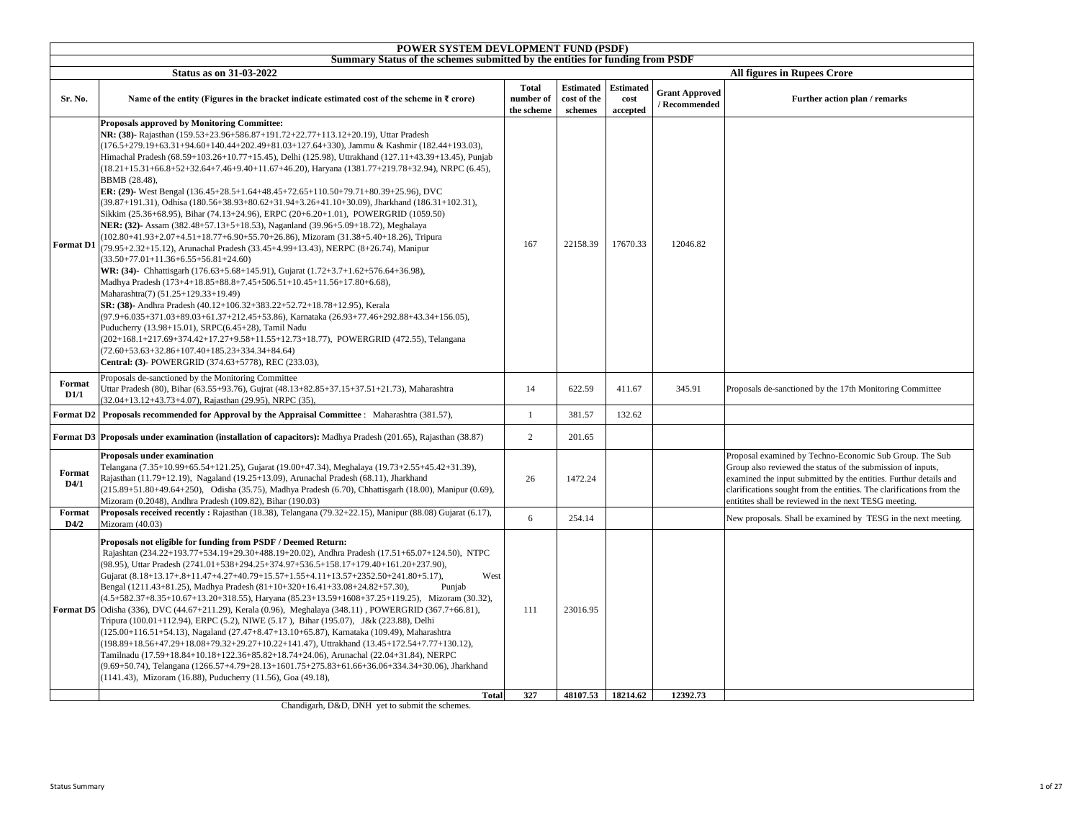|                  | POWER SYSTEM DEVLOPMENT FUND (PSDF)<br>Summary Status of the schemes submitted by the entities for funding from PSDF                                                                                                                                                                                                                                                                                                                                                                                                                                                                                                                                                                                                                                                                                                                                                                                                                                                                                                                                                                                                                                                                                                                                                                                                                                                                                                                                                                                                                                                                                                                                                                                 |                                         |                                            |                                      |                                        |                                                                                                                                                                                                                                                                                                                              |
|------------------|------------------------------------------------------------------------------------------------------------------------------------------------------------------------------------------------------------------------------------------------------------------------------------------------------------------------------------------------------------------------------------------------------------------------------------------------------------------------------------------------------------------------------------------------------------------------------------------------------------------------------------------------------------------------------------------------------------------------------------------------------------------------------------------------------------------------------------------------------------------------------------------------------------------------------------------------------------------------------------------------------------------------------------------------------------------------------------------------------------------------------------------------------------------------------------------------------------------------------------------------------------------------------------------------------------------------------------------------------------------------------------------------------------------------------------------------------------------------------------------------------------------------------------------------------------------------------------------------------------------------------------------------------------------------------------------------------|-----------------------------------------|--------------------------------------------|--------------------------------------|----------------------------------------|------------------------------------------------------------------------------------------------------------------------------------------------------------------------------------------------------------------------------------------------------------------------------------------------------------------------------|
|                  |                                                                                                                                                                                                                                                                                                                                                                                                                                                                                                                                                                                                                                                                                                                                                                                                                                                                                                                                                                                                                                                                                                                                                                                                                                                                                                                                                                                                                                                                                                                                                                                                                                                                                                      |                                         |                                            |                                      |                                        |                                                                                                                                                                                                                                                                                                                              |
| Sr. No.          | <b>Status as on 31-03-2022</b><br>Name of the entity (Figures in the bracket indicate estimated cost of the scheme in $\bar{\tau}$ crore)                                                                                                                                                                                                                                                                                                                                                                                                                                                                                                                                                                                                                                                                                                                                                                                                                                                                                                                                                                                                                                                                                                                                                                                                                                                                                                                                                                                                                                                                                                                                                            | <b>Total</b><br>number of<br>the scheme | <b>Estimated</b><br>cost of the<br>schemes | <b>Estimated</b><br>cost<br>accepted | <b>Grant Approved</b><br>/ Recommended | <b>All figures in Rupees Crore</b><br>Further action plan / remarks                                                                                                                                                                                                                                                          |
| <b>Format D1</b> | Proposals approved by Monitoring Committee:<br>NR: (38)- Rajasthan (159.53+23.96+586.87+191.72+22.77+113.12+20.19), Uttar Pradesh<br>(176.5+279.19+63.31+94.60+140.44+202.49+81.03+127.64+330), Jammu & Kashmir (182.44+193.03),<br>Himachal Pradesh (68.59+103.26+10.77+15.45), Delhi (125.98), Uttrakhand (127.11+43.39+13.45), Punjab<br>(18.21+15.31+66.8+52+32.64+7.46+9.40+11.67+46.20), Haryana (1381.77+219.78+32.94), NRPC (6.45),<br>BBMB (28.48),<br>ER: (29)- West Bengal $(136.45+28.5+1.64+48.45+72.65+110.50+79.71+80.39+25.96)$ , DVC<br>(39.87+191.31), Odhisa (180.56+38.93+80.62+31.94+3.26+41.10+30.09), Jharkhand (186.31+102.31),<br>Sikkim (25.36+68.95), Bihar (74.13+24.96), ERPC (20+6.20+1.01), POWERGRID (1059.50)<br>NER: (32)-Assam (382.48+57.13+5+18.53), Naganland (39.96+5.09+18.72), Meghalaya<br>(102.80+41.93+2.07+4.51+18.77+6.90+55.70+26.86), Mizoram (31.38+5.40+18.26), Tripura<br>(79.95+2.32+15.12), Arunachal Pradesh (33.45+4.99+13.43), NERPC (8+26.74), Manipur<br>$(33.50+77.01+11.36+6.55+56.81+24.60)$<br>WR: (34) Chhattisgarh (176.63+5.68+145.91), Gujarat (1.72+3.7+1.62+576.64+36.98),<br>Madhya Pradesh (173+4+18.85+88.8+7.45+506.51+10.45+11.56+17.80+6.68),<br>Maharashtra(7) (51.25+129.33+19.49)<br>SR: (38)- Andhra Pradesh (40.12+106.32+383.22+52.72+18.78+12.95), Kerala<br>(97.9+6.035+371.03+89.03+61.37+212.45+53.86), Karnataka (26.93+77.46+292.88+43.34+156.05),<br>Puducherry (13.98+15.01), SRPC(6.45+28), Tamil Nadu<br>(202+168.1+217.69+374.42+17.27+9.58+11.55+12.73+18.77), POWERGRID (472.55), Telangana<br>$(72.60+53.63+32.86+107.40+185.23+334.34+84.64)$<br>Central: (3)- POWERGRID (374.63+5778), REC (233.03), | 167                                     | 22158.39                                   | 17670.33                             | 12046.82                               |                                                                                                                                                                                                                                                                                                                              |
| Format<br>D1/1   | Proposals de-sanctioned by the Monitoring Committee<br>Uttar Pradesh (80), Bihar (63.55+93.76), Gujrat (48.13+82.85+37.15+37.51+21.73), Maharashtra<br>32.04+13.12+43.73+4.07), Rajasthan (29.95), NRPC (35),                                                                                                                                                                                                                                                                                                                                                                                                                                                                                                                                                                                                                                                                                                                                                                                                                                                                                                                                                                                                                                                                                                                                                                                                                                                                                                                                                                                                                                                                                        | 14                                      | 622.59                                     | 411.67                               | 345.91                                 | Proposals de-sanctioned by the 17th Monitoring Committee                                                                                                                                                                                                                                                                     |
| Format D2        | Proposals recommended for Approval by the Appraisal Committee : Maharashtra (381.57),                                                                                                                                                                                                                                                                                                                                                                                                                                                                                                                                                                                                                                                                                                                                                                                                                                                                                                                                                                                                                                                                                                                                                                                                                                                                                                                                                                                                                                                                                                                                                                                                                | $\mathbf{1}$                            | 381.57                                     | 132.62                               |                                        |                                                                                                                                                                                                                                                                                                                              |
| Format D3        | Proposals under examination (installation of capacitors): Madhya Pradesh (201.65), Rajasthan (38.87)                                                                                                                                                                                                                                                                                                                                                                                                                                                                                                                                                                                                                                                                                                                                                                                                                                                                                                                                                                                                                                                                                                                                                                                                                                                                                                                                                                                                                                                                                                                                                                                                 | $\overline{2}$                          | 201.65                                     |                                      |                                        |                                                                                                                                                                                                                                                                                                                              |
| Format<br>D4/1   | Proposals under examination<br>Telangana (7.35+10.99+65.54+121.25), Gujarat (19.00+47.34), Meghalaya (19.73+2.55+45.42+31.39),<br>Rajasthan (11.79+12.19), Nagaland (19.25+13.09), Arunachal Pradesh (68.11), Jharkhand<br>(215.89+51.80+49.64+250), Odisha (35.75), Madhya Pradesh (6.70), Chhattisgarh (18.00), Manipur (0.69),<br>Mizoram (0.2048), Andhra Pradesh (109.82), Bihar (190.03)                                                                                                                                                                                                                                                                                                                                                                                                                                                                                                                                                                                                                                                                                                                                                                                                                                                                                                                                                                                                                                                                                                                                                                                                                                                                                                       | 26                                      | 1472.24                                    |                                      |                                        | Proposal examined by Techno-Economic Sub Group. The Sub<br>Group also reviewed the status of the submission of inputs,<br>examined the input submitted by the entities. Furthur details and<br>clarifications sought from the entities. The clarifications from the<br>entitites shall be reviewed in the next TESG meeting. |
| Format<br>D4/2   | Proposals received recently: Rajasthan (18.38), Telangana (79.32+22.15), Manipur (88.08) Gujarat (6.17),<br>Mizoram (40.03)                                                                                                                                                                                                                                                                                                                                                                                                                                                                                                                                                                                                                                                                                                                                                                                                                                                                                                                                                                                                                                                                                                                                                                                                                                                                                                                                                                                                                                                                                                                                                                          | 6                                       | 254.14                                     |                                      |                                        | New proposals. Shall be examined by TESG in the next meeting.                                                                                                                                                                                                                                                                |
| Format D5        | Proposals not eligible for funding from PSDF / Deemed Return:<br>Rajashtan (234.22+193.77+534.19+29.30+488.19+20.02), Andhra Pradesh (17.51+65.07+124.50), NTPC<br>(98.95), Uttar Pradesh (2741.01+538+294.25+374.97+536.5+158.17+179.40+161.20+237.90),<br>Gujarat (8.18+13.17+.8+11.47+4.27+40.79+15.57+1.55+4.11+13.57+2352.50+241.80+5.17),<br>West<br>Bengal (1211.43+81.25), Madhya Pradesh (81+10+320+16.41+33.08+24.82+57.30),<br>Punjab<br>(4.5+582.37+8.35+10.67+13.20+318.55), Haryana (85.23+13.59+1608+37.25+119.25), Mizoram (30.32),<br>Odisha (336), DVC (44.67+211.29), Kerala (0.96), Meghalaya (348.11), POWERGRID (367.7+66.81),<br>Tripura (100.01+112.94), ERPC (5.2), NIWE (5.17), Bihar (195.07), J&k (223.88), Delhi<br>(125.00+116.51+54.13), Nagaland (27.47+8.47+13.10+65.87), Karnataka (109.49), Maharashtra<br>(198.89+18.56+47.29+18.08+79.32+29.27+10.22+141.47), Uttrakhand (13.45+172.54+7.77+130.12),<br>Tamilnadu (17.59+18.84+10.18+122.36+85.82+18.74+24.06), Arunachal (22.04+31.84), NERPC<br>(9.69+50.74), Telangana (1266.57+4.79+28.13+1601.75+275.83+61.66+36.06+334.34+30.06), Jharkhand<br>(1141.43), Mizoram (16.88), Puducherry (11.56), Goa (49.18),                                                                                                                                                                                                                                                                                                                                                                                                                                                                                               | 111                                     | 23016.95                                   |                                      |                                        |                                                                                                                                                                                                                                                                                                                              |
|                  | <b>Total</b>                                                                                                                                                                                                                                                                                                                                                                                                                                                                                                                                                                                                                                                                                                                                                                                                                                                                                                                                                                                                                                                                                                                                                                                                                                                                                                                                                                                                                                                                                                                                                                                                                                                                                         | 327                                     | 48107.53                                   | 18214.62                             | 12392.73                               |                                                                                                                                                                                                                                                                                                                              |

Chandigarh, D&D, DNH yet to submit the schemes.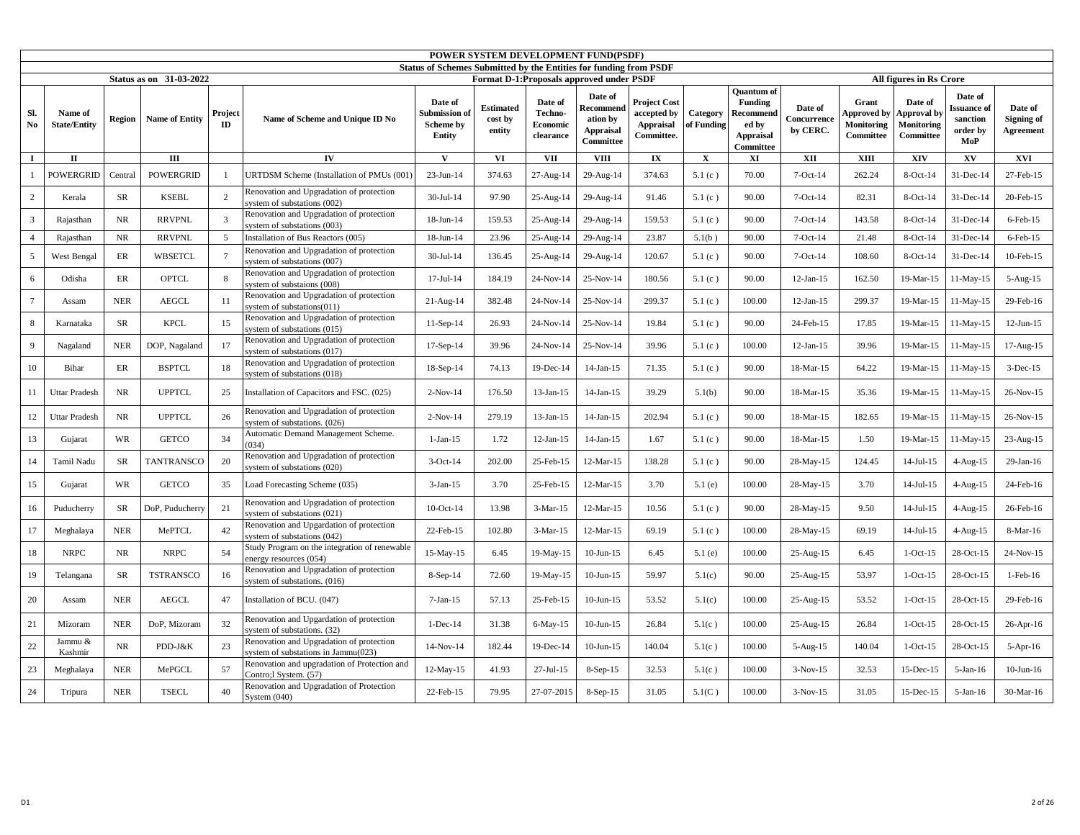|                |                                |            |                         |                |                                                                                 | Status of Schemes Submitted by the Entities for funding from PSDF | POWER SYSTEM DEVELOPMENT FUND(PSDF)      |                                             |                                                                   |                                                               |                        |                                                                                            |                                    |                                                        |                                                          |                                                      |                                    |
|----------------|--------------------------------|------------|-------------------------|----------------|---------------------------------------------------------------------------------|-------------------------------------------------------------------|------------------------------------------|---------------------------------------------|-------------------------------------------------------------------|---------------------------------------------------------------|------------------------|--------------------------------------------------------------------------------------------|------------------------------------|--------------------------------------------------------|----------------------------------------------------------|------------------------------------------------------|------------------------------------|
|                |                                |            | Status as on 31-03-2022 |                |                                                                                 |                                                                   | Format D-1:Proposals approved under PSDF |                                             |                                                                   |                                                               |                        |                                                                                            |                                    |                                                        | All figures in Rs Crore                                  |                                                      |                                    |
| Sl.<br>No      | Name of<br><b>State/Entity</b> | Region     | <b>Name of Entity</b>   | Project<br>ID  | Name of Scheme and Unique ID No                                                 | Date of<br>Submission of<br><b>Scheme by</b><br>Entity            | <b>Estimated</b><br>cost by<br>entity    | Date of<br>Techno-<br>Economic<br>clearance | Date of<br>Recommend<br>ation by<br><b>Appraisal</b><br>Committee | <b>Project Cost</b><br>accepted by<br>Appraisal<br>Committee. | Category<br>of Funding | <b>Quantum</b> of<br><b>Funding</b><br>Recommend<br>ed by<br><b>Appraisal</b><br>Committee | Date of<br>Concurrence<br>by CERC. | Grant<br>Approved by<br><b>Monitoring</b><br>Committee | Date of<br>Approval by<br><b>Monitoring</b><br>Committee | Date of<br>ssuance of<br>sanction<br>order by<br>MoP | Date of<br>Signing of<br>Agreement |
| $\mathbf I$    | $\mathbf{I}$                   |            | $\mathbf{III}$          |                | IV                                                                              | $\mathbf{V}$                                                      | <b>VI</b>                                | <b>VII</b>                                  | <b>VIII</b>                                                       | $\mathbf{IX}$                                                 | $\mathbf X$            | XI                                                                                         | XII                                | XIII                                                   | XIV                                                      | $\mathbf{X}\mathbf{V}$                               | <b>XVI</b>                         |
|                | POWERGRID                      | Central    | <b>POWERGRID</b>        |                | URTDSM Scheme (Installation of PMUs (001)                                       | 23-Jun-14                                                         | 374.63                                   | 27-Aug-14                                   | 29-Aug-14                                                         | 374.63                                                        | 5.1(c)                 | 70.00                                                                                      | $7$ -Oct-14                        | 262.24                                                 | 8-Oct-14                                                 | 31-Dec-14                                            | 27-Feb-15                          |
| $\overline{2}$ | Kerala                         | <b>SR</b>  | <b>KSEBL</b>            | $\overline{2}$ | Renovation and Upgradation of protection<br>system of substations (002)         | $30 -$ Jul-14                                                     | 97.90                                    | 25-Aug-14                                   | 29-Aug-14                                                         | 91.46                                                         | 5.1(c)                 | 90.00                                                                                      | $7-Oct-14$                         | 82.31                                                  | $8$ -Oct-14                                              | 31-Dec-14                                            | 20-Feb-15                          |
| 3              | Rajasthan                      | <b>NR</b>  | <b>RRVPNL</b>           | 3              | Renovation and Upgradation of protection<br>system of substations (003)         | 18-Jun-14                                                         | 159.53                                   | 25-Aug-14                                   | 29-Aug-14                                                         | 159.53                                                        | 5.1(c)                 | 90.00                                                                                      | $7-Oct-14$                         | 143.58                                                 | 8-Oct-14                                                 | 31-Dec-14                                            | $6$ -Feb- $15$                     |
| $\overline{4}$ | Rajasthan                      | NR         | <b>RRVPNL</b>           | 5              | Installation of Bus Reactors (005)                                              | 18-Jun-14                                                         | 23.96                                    | 25-Aug-14                                   | 29-Aug-14                                                         | 23.87                                                         | 5.1(b)                 | 90.00                                                                                      | $7-Oct-14$                         | 21.48                                                  | 8-Oct-14                                                 | 31-Dec-14                                            | $6$ -Feb- $15$                     |
| 5              | <b>West Bengal</b>             | ER         | <b>WBSETCL</b>          | $\overline{7}$ | Renovation and Upgradation of protection<br>system of substations (007)         | 30-Jul-14                                                         | 136.45                                   | 25-Aug-14                                   | 29-Aug-14                                                         | 120.67                                                        | 5.1(c)                 | 90.00                                                                                      | $7-Oct-14$                         | 108.60                                                 | 8-Oct-14                                                 | 31-Dec-14                                            | $10$ -Feb- $15$                    |
| 6              | Odisha                         | ER         | <b>OPTCL</b>            | 8              | Renovation and Upgradation of protection<br>system of substaions (008)          | $17 -$ Jul-14                                                     | 184.19                                   | $24-Nov-14$                                 | 25-Nov-14                                                         | 180.56                                                        | 5.1(c)                 | 90.00                                                                                      | $12$ -Jan- $15$                    | 162.50                                                 | 19-Mar-15                                                | 11-May-15                                            | 5-Aug-15                           |
| $\overline{7}$ | Assam                          | <b>NER</b> | <b>AEGCL</b>            | 11             | Renovation and Upgradation of protection<br>system of substations(011)          | $21$ -Aug- $14$                                                   | 382.48                                   | 24-Nov-14                                   | 25-Nov-14                                                         | 299.37                                                        | 5.1(c)                 | 100.00                                                                                     | $12-Jan-15$                        | 299.37                                                 | 19-Mar-15                                                | 11-May-15                                            | 29-Feb-16                          |
| 8              | Karnataka                      | <b>SR</b>  | <b>KPCL</b>             | 15             | Renovation and Upgradation of protection<br>system of substations (015)         | $11-Sep-14$                                                       | 26.93                                    | 24-Nov-14                                   | 25-Nov-14                                                         | 19.84                                                         | 5.1 $(c)$              | 90.00                                                                                      | 24-Feb-15                          | 17.85                                                  | 19-Mar-15                                                | $11-May-15$                                          | $12$ -Jun- $15$                    |
| $\overline{Q}$ | Nagaland                       | <b>NER</b> | DOP, Nagaland           | 17             | Renovation and Upgradation of protection<br>system of substations (017)         | 17-Sep-14                                                         | 39.96                                    | 24-Nov-14                                   | 25-Nov-14                                                         | 39.96                                                         | 5.1(c)                 | 100.00                                                                                     | $12-Jan-15$                        | 39.96                                                  | 19-Mar-15                                                | 11-May-15                                            | 17-Aug-15                          |
| $10\,$         | Bihar                          | $\rm ER$   | <b>BSPTCL</b>           | 18             | Renovation and Upgradation of protection<br>system of substations (018)         | 18-Sep-14                                                         | 74.13                                    | 19-Dec-14                                   | $14$ -Jan- $15$                                                   | 71.35                                                         | 5.1(c)                 | 90.00                                                                                      | 18-Mar-15                          | 64.22                                                  | 19-Mar-15                                                | $11-May-15$                                          | $3-Dec-15$                         |
| 11             | <b>Uttar Pradesh</b>           | <b>NR</b>  | <b>UPPTCL</b>           | 25             | Installation of Capacitors and FSC. (025)                                       | $2-Nov-14$                                                        | 176.50                                   | 13-Jan-15                                   | $14-Jan-15$                                                       | 39.29                                                         | 5.1(b)                 | 90.00                                                                                      | 18-Mar-15                          | 35.36                                                  | 19-Mar-15                                                | 11-May-15                                            | 26-Nov-15                          |
| 12             | <b>Uttar Pradesh</b>           | NR         | <b>UPPTCL</b>           | 26             | Renovation and Upgradation of protection<br>system of substations. (026)        | $2-Nov-14$                                                        | 279.19                                   | 13-Jan-15                                   | $14-Jan-15$                                                       | 202.94                                                        | 5.1(c)                 | 90.00                                                                                      | 18-Mar-15                          | 182.65                                                 | 19-Mar-15                                                | 11-May-15                                            | 26-Nov-15                          |
| 13             | Gujarat                        | <b>WR</b>  | <b>GETCO</b>            | 34             | Automatic Demand Management Scheme.<br>(034)                                    | $1-Jan-15$                                                        | 1.72                                     | $12-Jan-15$                                 | $14-Jan-15$                                                       | 1.67                                                          | 5.1(c)                 | 90.00                                                                                      | 18-Mar-15                          | 1.50                                                   | 19-Mar-15                                                | 11-May-15                                            | 23-Aug-15                          |
| 14             | Tamil Nadu                     | <b>SR</b>  | <b>TANTRANSCO</b>       | 20             | Renovation and Upgradation of protection<br>system of substations (020)         | $3-Oct-14$                                                        | 202.00                                   | 25-Feb-15                                   | 12-Mar-15                                                         | 138.28                                                        | 5.1(c)                 | 90.00                                                                                      | 28-May-15                          | 124.45                                                 | $14-Jul-15$                                              | 4-Aug-15                                             | $29$ -Jan-16                       |
| 15             | Gujarat                        | <b>WR</b>  | <b>GETCO</b>            | 35             | Load Forecasting Scheme (035)                                                   | $3-Jan-15$                                                        | 3.70                                     | 25-Feb-15                                   | 12-Mar-15                                                         | 3.70                                                          | 5.1(e)                 | 100.00                                                                                     | 28-May-15                          | 3.70                                                   | $14-Jul-15$                                              | 4-Aug-15                                             | 24-Feb-16                          |
| 16             | Puducherry                     | <b>SR</b>  | DoP, Puducherry         | 21             | Renovation and Upgradation of protection<br>system of substations (021)         | 10-Oct-14                                                         | 13.98                                    | $3-Mar-15$                                  | 12-Mar-15                                                         | 10.56                                                         | 5.1(c)                 | 90.00                                                                                      | 28-May-15                          | 9.50                                                   | $14-Jul-15$                                              | $4$ -Aug-15                                          | 26-Feb-16                          |
| 17             | Meghalaya                      | <b>NER</b> | MePTCL                  | 42             | Renovation and Upgardation of protection<br>system of substations (042)         | 22-Feb-15                                                         | 102.80                                   | $3-Mar-15$                                  | 12-Mar-15                                                         | 69.19                                                         | 5.1(c)                 | 100.00                                                                                     | 28-May-15                          | 69.19                                                  | $14-Jul-15$                                              | $4-Aug-15$                                           | 8-Mar-16                           |
| $18\,$         | <b>NRPC</b>                    | <b>NR</b>  | <b>NRPC</b>             | 54             | Study Program on the integration of renewable<br>energy resources (054)         | 15-May-15                                                         | 6.45                                     | 19-May-15                                   | $10$ -Jun- $15$                                                   | 6.45                                                          | 5.1(e)                 | 100.00                                                                                     | 25-Aug-15                          | 6.45                                                   | $1-Oct-15$                                               | 28-Oct-15                                            | 24-Nov-15                          |
| 19             | Telangana                      | <b>SR</b>  | <b>TSTRANSCO</b>        | 16             | Renovation and Upgradation of protection<br>system of substations. (016)        | $8-Sep-14$                                                        | 72.60                                    | 19-May-15                                   | $10-Jun-15$                                                       | 59.97                                                         | 5.1(c)                 | 90.00                                                                                      | 25-Aug-15                          | 53.97                                                  | $1-Oct-15$                                               | 28-Oct-15                                            | $1-Feb-16$                         |
| 20             | Assam                          | <b>NER</b> | <b>AEGCL</b>            | 47             | Installation of BCU. (047)                                                      | $7-Jan-15$                                                        | 57.13                                    | 25-Feb-15                                   | $10-Jun-15$                                                       | 53.52                                                         | 5.1(c)                 | 100.00                                                                                     | 25-Aug-15                          | 53.52                                                  | $1-Oct-15$                                               | 28-Oct-15                                            | 29-Feb-16                          |
| 21             | Mizoram                        | <b>NER</b> | DoP, Mizoram            | 32             | Renovation and Upgardation of protection<br>system of substations. (32)         | $1-Dec-14$                                                        | 31.38                                    | 6-May-15                                    | $10-Jun-15$                                                       | 26.84                                                         | 5.1(c)                 | 100.00                                                                                     | 25-Aug-15                          | 26.84                                                  | $1-Oct-15$                                               | 28-Oct-15                                            | $26$ -Apr-16                       |
| $22\,$         | Jammu &<br>Kashmir             | $\rm{NR}$  | PDD-J&K                 | 23             | Renovation and Upgradation of protection<br>system of substations in Jammu(023) | 14-Nov-14                                                         | 182.44                                   | 19-Dec-14                                   | $10$ -Jun- $15$                                                   | 140.04                                                        | 5.1(c)                 | 100.00                                                                                     | $5 - Aug-15$                       | 140.04                                                 | $1-Oct-15$                                               | 28-Oct-15                                            | $5-$ Apr $-16$                     |
| 23             | Meghalaya                      | <b>NER</b> | MePGCL                  | 57             | Renovation and upgradation of Protection and<br>Contro;l System. (57)           | $12-May-15$                                                       | 41.93                                    | $27$ -Jul-15                                | $8-Sep-15$                                                        | 32.53                                                         | 5.1(c)                 | 100.00                                                                                     | $3-Nov-15$                         | 32.53                                                  | 15-Dec-15                                                | $5-Jan-16$                                           | $10$ -Jun- $16$                    |
| 24             | Tripura                        | <b>NER</b> | <b>TSECL</b>            | 40             | Renovation and Upgradation of Protection<br>System $(040)$                      | 22-Feb-15                                                         | 79.95                                    | 27-07-2015                                  | $8-Sep-15$                                                        | 31.05                                                         | 5.1(C)                 | 100.00                                                                                     | $3-Nov-15$                         | 31.05                                                  | 15-Dec-15                                                | $5-Jan-16$                                           | 30-Mar-16                          |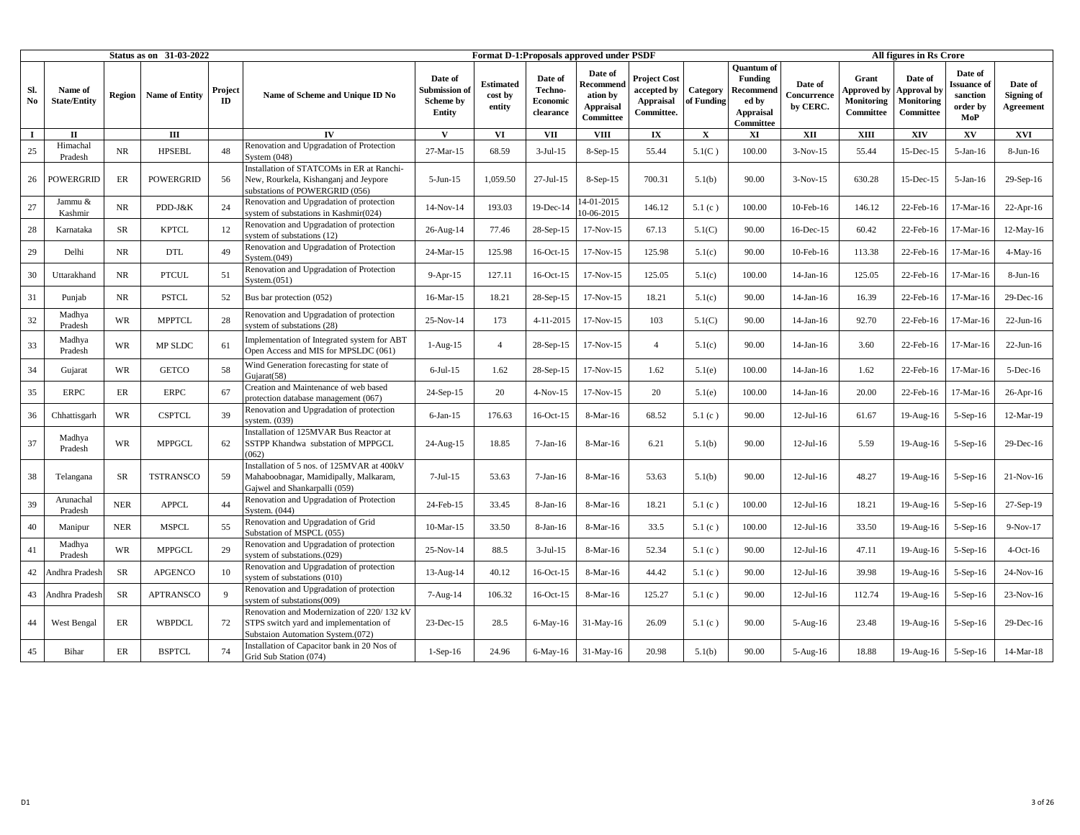|           |                                |            | <b>Status as on 31-03-2022</b> |               |                                                                                                                           |                                                 |                                |                                             | Format D-1: Proposals approved under PSDF                         |                                                                      |                        |                                                                              |                                    |                                                        | All figures in Rs Crore                           |                                                              |                                    |
|-----------|--------------------------------|------------|--------------------------------|---------------|---------------------------------------------------------------------------------------------------------------------------|-------------------------------------------------|--------------------------------|---------------------------------------------|-------------------------------------------------------------------|----------------------------------------------------------------------|------------------------|------------------------------------------------------------------------------|------------------------------------|--------------------------------------------------------|---------------------------------------------------|--------------------------------------------------------------|------------------------------------|
| Sl.<br>No | Name of<br><b>State/Entity</b> | Region     | <b>Name of Entity</b>          | Project<br>ID | Name of Scheme and Unique ID No                                                                                           | Date of<br>Submission of<br>Scheme by<br>Entity | Estimated<br>cost by<br>entity | Date of<br>Techno-<br>Economic<br>clearance | Date of<br>Recommend<br>ation by<br><b>Appraisal</b><br>Committee | <b>Project Cost</b><br>accepted by<br><b>Appraisal</b><br>Committee. | Category<br>of Funding | Ouantum of<br><b>Funding</b><br>Recommend<br>ed by<br>Appraisal<br>Committee | Date of<br>Concurrence<br>by CERC. | Grant<br><b>Approved by</b><br>Monitoring<br>Committee | Date of<br>Approval by<br>Monitoring<br>Committee | Date of<br><b>Issuance</b> of<br>sanction<br>order by<br>MoP | Date of<br>Signing of<br>Agreement |
| $\bf{I}$  | $\mathbf{I}$                   |            | Ш                              |               | IV                                                                                                                        | V                                               | <b>VI</b>                      | <b>VII</b>                                  | <b>VIII</b>                                                       | $\mathbf{I} \mathbf{X}$                                              | $\mathbf{x}$           | XI                                                                           | XII                                | <b>XIII</b>                                            | XIV                                               | XV                                                           | XVI                                |
| 25        | Himachal<br>Pradesh            | NR         | <b>HPSEBL</b>                  | 48            | Renovation and Upgradation of Protection<br>System $(048)$                                                                | 27-Mar-15                                       | 68.59                          | $3-Jul-15$                                  | $8-Sep-15$                                                        | 55.44                                                                | 5.1(C)                 | 100.00                                                                       | $3-Nov-15$                         | 55.44                                                  | 15-Dec-15                                         | $5-Jan-16$                                                   | $8-Jun-16$                         |
| 26        | <b>POWERGRID</b>               | ER         | <b>POWERGRID</b>               | 56            | Installation of STATCOMs in ER at Ranchi-<br>New, Rourkela, Kishanganj and Jeypore<br>substations of POWERGRID (056)      | $5-Jun-15$                                      | 1,059.50                       | $27$ -Jul-15                                | $8-Sep-15$                                                        | 700.31                                                               | 5.1(b)                 | 90.00                                                                        | $3-Nov-15$                         | 630.28                                                 | 15-Dec-15                                         | $5-Jan-16$                                                   | $29-Sep-16$                        |
| 27        | Jammu &<br>Kashmir             | NR.        | PDD-J&K                        | 24            | Renovation and Upgradation of protection<br>system of substations in Kashmir(024)                                         | 14-Nov-14                                       | 193.03                         | 19-Dec-14                                   | 14-01-2015<br>10-06-2015                                          | 146.12                                                               | 5.1(c)                 | 100.00                                                                       | 10-Feb-16                          | 146.12                                                 | 22-Feb-16                                         | 17-Mar-16                                                    | $22$ -Apr-16                       |
| 28        | Karnataka                      | SR         | <b>KPTCL</b>                   | 12            | Renovation and Upgradation of protection<br>system of substations (12)                                                    | 26-Aug-14                                       | 77.46                          | 28-Sep-15                                   | 17-Nov-15                                                         | 67.13                                                                | 5.1(C)                 | 90.00                                                                        | 16-Dec-15                          | 60.42                                                  | 22-Feb-16                                         | 17-Mar-16                                                    | $12-May-16$                        |
| 29        | Delhi                          | <b>NR</b>  | <b>DTL</b>                     | 49            | Renovation and Upgradation of Protection<br>System. $(049)$                                                               | 24-Mar-15                                       | 125.98                         | 16-Oct-15                                   | 17-Nov-15                                                         | 125.98                                                               | 5.1(c)                 | 90.00                                                                        | 10-Feb-16                          | 113.38                                                 | 22-Feb-16                                         | 17-Mar-16                                                    | $4-May-16$                         |
| 30        | Uttarakhand                    | <b>NR</b>  | <b>PTCUL</b>                   | 51            | Renovation and Upgradation of Protection<br>System.(051)                                                                  | $9-Apr-15$                                      | 127.11                         | 16-Oct-15                                   | 17-Nov-15                                                         | 125.05                                                               | 5.1(c)                 | 100.00                                                                       | 14-Jan-16                          | 125.05                                                 | 22-Feb-16                                         | 17-Mar-16                                                    | $8-Jun-16$                         |
| 31        | Punjab                         | NR         | <b>PSTCL</b>                   | 52            | Bus bar protection (052)                                                                                                  | 16-Mar-15                                       | 18.21                          | 28-Sep-15                                   | 17-Nov-15                                                         | 18.21                                                                | 5.1(c)                 | 90.00                                                                        | 14-Jan-16                          | 16.39                                                  | 22-Feb-16                                         | 17-Mar-16                                                    | $29$ -Dec-16                       |
| 32        | Madhya<br>Pradesh              | <b>WR</b>  | <b>MPPTCL</b>                  | 28            | Renovation and Upgradation of protection<br>system of substations (28)                                                    | 25-Nov-14                                       | 173                            | $4 - 11 - 2015$                             | $17-Nov-15$                                                       | 103                                                                  | 5.1(C)                 | 90.00                                                                        | 14-Jan-16                          | 92.70                                                  | 22-Feb-16                                         | 17-Mar-16                                                    | $22-Jun-16$                        |
| 33        | Madhya<br>Pradesh              | <b>WR</b>  | MP SLDC                        | 61            | Implementation of Integrated system for ABT<br>Open Access and MIS for MPSLDC (061)                                       | $1-Aug-15$                                      | $\overline{4}$                 | 28-Sep-15                                   | 17-Nov-15                                                         | $\overline{4}$                                                       | 5.1(c)                 | 90.00                                                                        | $14$ -Jan-16                       | 3.60                                                   | 22-Feb-16                                         | 17-Mar-16                                                    | $22$ -Jun-16                       |
| 34        | Gujarat                        | WR         | <b>GETCO</b>                   | 58            | Wind Generation forecasting for state of<br>Gujarat(58)                                                                   | $6$ -Jul-15                                     | 1.62                           | 28-Sep-15                                   | 17-Nov-15                                                         | 1.62                                                                 | 5.1(e)                 | 100.00                                                                       | $14$ -Jan-16                       | 1.62                                                   | 22-Feb-16                                         | 17-Mar-16                                                    | $5$ -Dec-16                        |
| 35        | <b>ERPC</b>                    | ER         | <b>ERPC</b>                    | 67            | Creation and Maintenance of web based<br>protection database management (067)                                             | 24-Sep-15                                       | 20                             | $4-Nov-15$                                  | 17-Nov-15                                                         | 20                                                                   | 5.1(e)                 | 100.00                                                                       | $14$ -Jan-16                       | 20.00                                                  | 22-Feb-16                                         | 17-Mar-16                                                    | 26-Apr-16                          |
| 36        | Chhattisgarh                   | WR         | <b>CSPTCL</b>                  | 39            | Renovation and Upgradation of protection<br>svstem. (039)                                                                 | $6$ -Jan-15                                     | 176.63                         | 16-Oct-15                                   | 8-Mar-16                                                          | 68.52                                                                | 5.1(c)                 | 90.00                                                                        | $12$ -Jul-16                       | 61.67                                                  | 19-Aug-16                                         | $5-Sep-16$                                                   | 12-Mar-19                          |
| 37        | Madhya<br>Pradesh              | WR         | <b>MPPGCL</b>                  | 62            | Installation of 125MVAR Bus Reactor at<br>SSTPP Khandwa substation of MPPGCL<br>(062)                                     | 24-Aug-15                                       | 18.85                          | $7-Jan-16$                                  | 8-Mar-16                                                          | 6.21                                                                 | 5.1(b)                 | 90.00                                                                        | $12-Jul-16$                        | 5.59                                                   | $19$ -Aug- $16$                                   | $5-Sep-16$                                                   | 29-Dec-16                          |
| 38        | Telangana                      | <b>SR</b>  | <b>TSTRANSCO</b>               | 59            | Installation of 5 nos. of 125MVAR at 400kV<br>Mahaboobnagar, Mamidipally, Malkaram,<br>Gajwel and Shankarpalli (059)      | $7-Jul-15$                                      | 53.63                          | $7-Jan-16$                                  | 8-Mar-16                                                          | 53.63                                                                | 5.1(b)                 | 90.00                                                                        | $12-Jul-16$                        | 48.27                                                  | 19-Aug-16                                         | $5-Sep-16$                                                   | $21-Nov-16$                        |
| 39        | Arunachal<br>Pradesh           | <b>NER</b> | <b>APPCL</b>                   | 44            | Renovation and Upgradation of Protection<br>System. $(044)$                                                               | 24-Feb-15                                       | 33.45                          | $8-Jan-16$                                  | $8-Mar-16$                                                        | 18.21                                                                | 5.1(c)                 | 100.00                                                                       | $12-Jul-16$                        | 18.21                                                  | 19-Aug-16                                         | $5-Sep-16$                                                   | 27-Sep-19                          |
| 40        | Manipur                        | <b>NER</b> | <b>MSPCL</b>                   | 55            | Renovation and Upgradation of Grid<br>Substation of MSPCL (055)                                                           | 10-Mar-15                                       | 33.50                          | 8-Jan-16                                    | 8-Mar-16                                                          | 33.5                                                                 | 5.1(c)                 | 100.00                                                                       | $12$ -Jul-16                       | 33.50                                                  | 19-Aug-16                                         | $5-Sep-16$                                                   | $9-Nov-17$                         |
| 41        | Madhya<br>Pradesh              | WR         | <b>MPPGCL</b>                  | 29            | Renovation and Upgradation of protection<br>system of substations.(029)                                                   | 25-Nov-14                                       | 88.5                           | $3-Jul-15$                                  | 8-Mar-16                                                          | 52.34                                                                | 5.1(c)                 | 90.00                                                                        | $12-Jul-16$                        | 47.11                                                  | 19-Aug-16                                         | $5-Sep-16$                                                   | $4-Oct-16$                         |
| 42        | Andhra Pradesl                 | <b>SR</b>  | <b>APGENCO</b>                 | 10            | Renovation and Upgradation of protection<br>system of substations (010)                                                   | $13$ -Aug- $14$                                 | 40.12                          | 16-Oct-15                                   | 8-Mar-16                                                          | 44.42                                                                | 5.1(c)                 | 90.00                                                                        | $12-Jul-16$                        | 39.98                                                  | 19-Aug-16                                         | $5-Sep-16$                                                   | 24-Nov-16                          |
| 43        | Andhra Pradesh                 | <b>SR</b>  | <b>APTRANSCO</b>               | 9             | Renovation and Upgradation of protection<br>system of substations(009)                                                    | 7-Aug-14                                        | 106.32                         | 16-Oct-15                                   | 8-Mar-16                                                          | 125.27                                                               | 5.1(c)                 | 90.00                                                                        | $12-Jul-16$                        | 112.74                                                 | 19-Aug-16                                         | $5-Sep-16$                                                   | $23-Nov-16$                        |
| 44        | West Bengal                    | ER         | <b>WBPDCL</b>                  | 72            | Renovation and Modernization of 220/132 kV<br>STPS switch yard and implementation of<br>Substaion Automation System.(072) | $23$ -Dec-15                                    | 28.5                           | 6-May-16                                    | $31-May-16$                                                       | 26.09                                                                | 5.1(c)                 | 90.00                                                                        | $5 - Aug-16$                       | 23.48                                                  | $19$ -Aug- $16$                                   | $5-Sep-16$                                                   | 29-Dec-16                          |
| 45        | Bihar                          | ER         | <b>BSPTCL</b>                  | 74            | Installation of Capacitor bank in 20 Nos of<br>Grid Sub Station (074)                                                     | $1-Sep-16$                                      | 24.96                          | $6$ -May-16                                 | 31-May-16                                                         | 20.98                                                                | 5.1(b)                 | 90.00                                                                        | $5-Aug-16$                         | 18.88                                                  | 19-Aug-16                                         | $5-Sep-16$                                                   | 14-Mar-18                          |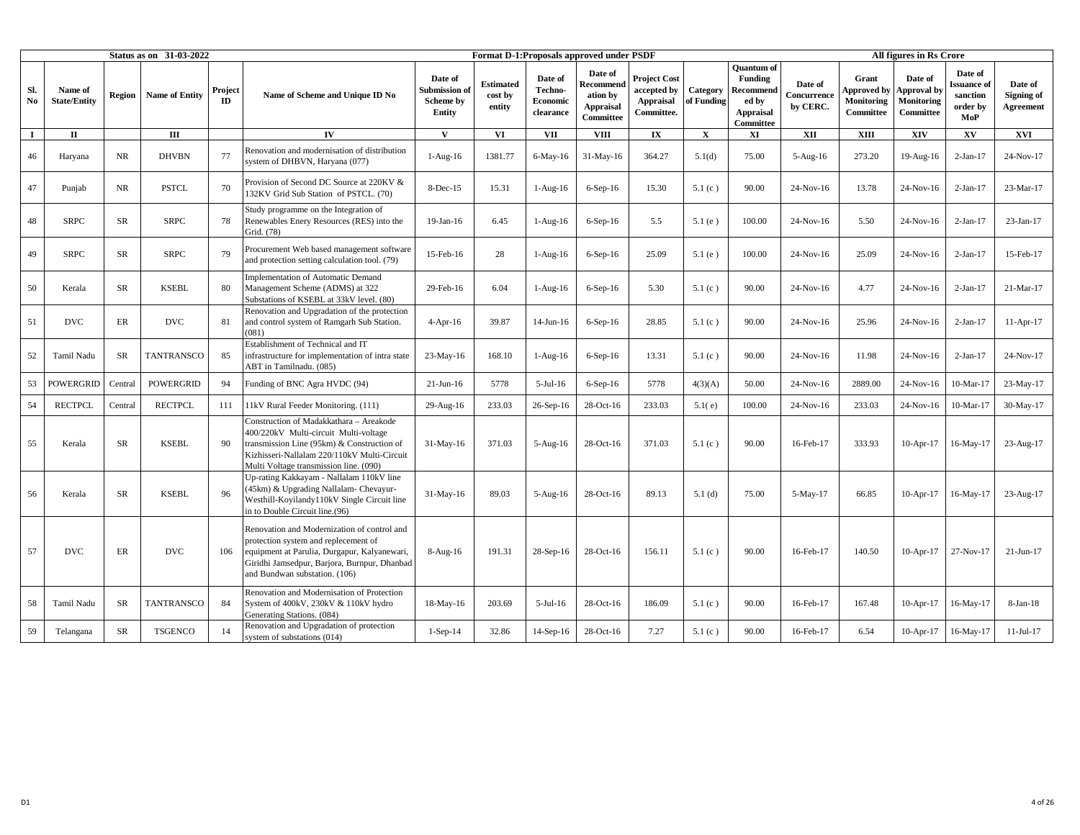|           |                                |            | Status as on 31-03-2022 |               |                                                                                                                                                                                                                         |                                                 |                                       |                                                    | Format D-1:Proposals approved under PSDF                          |                                                                      |                        |                                                                                     |                                    |                                                        | All figures in Rs Crore                                  |                                                              |                                    |
|-----------|--------------------------------|------------|-------------------------|---------------|-------------------------------------------------------------------------------------------------------------------------------------------------------------------------------------------------------------------------|-------------------------------------------------|---------------------------------------|----------------------------------------------------|-------------------------------------------------------------------|----------------------------------------------------------------------|------------------------|-------------------------------------------------------------------------------------|------------------------------------|--------------------------------------------------------|----------------------------------------------------------|--------------------------------------------------------------|------------------------------------|
| Sl.<br>No | Name of<br><b>State/Entity</b> | Region     | <b>Name of Entity</b>   | Project<br>ID | Name of Scheme and Unique ID No                                                                                                                                                                                         | Date of<br>Submission of<br>Scheme by<br>Entity | <b>Estimated</b><br>cost by<br>entity | Date of<br>Techno-<br><b>Economic</b><br>clearance | Date of<br>Recommend<br>ation by<br><b>Appraisal</b><br>Committee | <b>Project Cost</b><br>accepted by<br><b>Appraisal</b><br>Committee. | Category<br>of Funding | <b>Ouantum</b> of<br><b>Funding</b><br>Recommend<br>ed by<br>Appraisal<br>Committee | Date of<br>Concurrence<br>by CERC. | Grant<br><b>Approved by</b><br>Monitoring<br>Committee | Date of<br>Approval by<br><b>Monitoring</b><br>Committee | Date of<br><b>Issuance</b> of<br>sanction<br>order by<br>MoP | Date of<br>Signing of<br>Agreement |
| $\bf{I}$  | $\mathbf{I}$                   |            | Ш                       |               | IV                                                                                                                                                                                                                      | $\mathbf{V}$                                    | VI                                    | <b>VII</b>                                         | <b>VIII</b>                                                       | $\mathbf{I}\mathbf{X}$                                               | $\mathbf{x}$           | XI                                                                                  | XII                                | <b>XIII</b>                                            | XIV                                                      | XV                                                           | XVI                                |
| 46        | Haryana                        | NR         | <b>DHVBN</b>            | 77            | Renovation and modernisation of distribution<br>system of DHBVN, Haryana (077)                                                                                                                                          | $1-Aug-16$                                      | 1381.77                               | 6-May-16                                           | $31-May-16$                                                       | 364.27                                                               | 5.1(d)                 | 75.00                                                                               | 5-Aug-16                           | 273.20                                                 | 19-Aug-16                                                | $2-Jan-17$                                                   | 24-Nov-17                          |
| 47        | Punjab                         | NR         | <b>PSTCL</b>            | 70            | Provision of Second DC Source at 220KV &<br>132KV Grid Sub Station of PSTCL. (70)                                                                                                                                       | 8-Dec-15                                        | 15.31                                 | $1-Aug-16$                                         | $6-Sep-16$                                                        | 15.30                                                                | 5.1 $(c)$              | 90.00                                                                               | 24-Nov-16                          | 13.78                                                  | 24-Nov-16                                                | $2-Jan-17$                                                   | 23-Mar-17                          |
| 48        | <b>SRPC</b>                    | SR         | <b>SRPC</b>             | 78            | Study programme on the Integration of<br>Renewables Enery Resources (RES) into the<br>Grid. (78)                                                                                                                        | 19-Jan-16                                       | 6.45                                  | $1-Aug-16$                                         | $6-Sep-16$                                                        | 5.5                                                                  | 5.1(e)                 | 100.00                                                                              | 24-Nov-16                          | 5.50                                                   | 24-Nov-16                                                | $2-Jan-17$                                                   | 23-Jan-17                          |
| 49        | <b>SRPC</b>                    | <b>SR</b>  | <b>SRPC</b>             | 79            | Procurement Web based management software<br>and protection setting calculation tool. (79)                                                                                                                              | 15-Feb-16                                       | 28                                    | $1-Aug-16$                                         | $6-Sep-16$                                                        | 25.09                                                                | 5.1(e)                 | 100.00                                                                              | 24-Nov-16                          | 25.09                                                  | 24-Nov-16                                                | $2-Jan-17$                                                   | 15-Feb-17                          |
| 50        | Kerala                         | <b>SR</b>  | <b>KSEBL</b>            | 80            | <b>Implementation of Automatic Demand</b><br>Management Scheme (ADMS) at 322<br>Substations of KSEBL at 33kV level. (80)                                                                                                | 29-Feb-16                                       | 6.04                                  | $1-Aug-16$                                         | $6-Sep-16$                                                        | 5.30                                                                 | 5.1(c)                 | 90.00                                                                               | 24-Nov-16                          | 4.77                                                   | 24-Nov-16                                                | $2-Jan-17$                                                   | 21-Mar-17                          |
| 51        | <b>DVC</b>                     | ER         | DVC                     | 81            | Renovation and Upgradation of the protection<br>and control system of Ramgarh Sub Station.<br>(081)                                                                                                                     | $4-Apr-16$                                      | 39.87                                 | 14-Jun-16                                          | $6-Sep-16$                                                        | 28.85                                                                | 5.1(c)                 | 90.00                                                                               | 24-Nov-16                          | 25.96                                                  | 24-Nov-16                                                | $2-Jan-17$                                                   | $11-Apr-17$                        |
| 52        | Tamil Nadu                     | SR         | <b>TANTRANSCO</b>       | 85            | Establishment of Technical and IT<br>infrastructure for implementation of intra state<br>ABT in Tamilnadu. (085)                                                                                                        | $23-May-16$                                     | 168.10                                | $1-Aug-16$                                         | $6-Sep-16$                                                        | 13.31                                                                | 5.1(c)                 | 90.00                                                                               | 24-Nov-16                          | 11.98                                                  | 24-Nov-16                                                | $2-Jan-17$                                                   | 24-Nov-17                          |
| 53        | <b>POWERGRID</b>               | Central    | <b>POWERGRID</b>        | 94            | Funding of BNC Agra HVDC (94)                                                                                                                                                                                           | $21-Jun-16$                                     | 5778                                  | $5-Jul-16$                                         | $6-Sep-16$                                                        | 5778                                                                 | 4(3)(A)                | 50.00                                                                               | $24-Nov-16$                        | 2889.00                                                | 24-Nov-16                                                | 10-Mar-17                                                    | 23-May-17                          |
| 54        | <b>RECTPCL</b>                 | Central    | <b>RECTPCL</b>          | 111           | 11kV Rural Feeder Monitoring. (111)                                                                                                                                                                                     | 29-Aug-16                                       | 233.03                                | 26-Sep-16                                          | 28-Oct-16                                                         | 233.03                                                               | 5.1(e)                 | 100.00                                                                              | 24-Nov-16                          | 233.03                                                 | 24-Nov-16                                                | 10-Mar-17                                                    | 30-May-17                          |
| 55        | Kerala                         | $\rm SR$   | <b>KSEBL</b>            | 90            | Construction of Madakkathara - Areakode<br>400/220kV Multi-circuit Multi-voltage<br>transmission Line (95km) & Construction of<br>Kizhisseri-Nallalam 220/110kV Multi-Circuit<br>Multi Voltage transmission line. (090) | $31-May-16$                                     | 371.03                                | 5-Aug-16                                           | 28-Oct-16                                                         | 371.03                                                               | 5.1(c)                 | 90.00                                                                               | 16-Feb-17                          | 333.93                                                 | $10-Apr-17$                                              | 16-May-17                                                    | 23-Aug-17                          |
| 56        | Kerala                         | SR         | <b>KSEBL</b>            | 96            | Jp-rating Kakkayam - Nallalam 110kV line<br>45km) & Upgrading Nallalam- Chevayur-<br>Westhill-Koyilandy110kV Single Circuit line<br>in to Double Circuit line.(96)                                                      | $31-May-16$                                     | 89.03                                 | $5-Aug-16$                                         | $28-Oct-16$                                                       | 89.13                                                                | 5.1(d)                 | 75.00                                                                               | $5-May-17$                         | 66.85                                                  | $10-Apr-17$                                              | 16-May-17                                                    | 23-Aug-17                          |
| 57        | <b>DVC</b>                     | ER         | <b>DVC</b>              | 106           | Renovation and Modernization of control and<br>protection system and replecement of<br>equipment at Parulia, Durgapur, Kalyanewari,<br>Giridhi Jamsedpur, Barjora, Burnpur, Dhanbad<br>and Bundwan substation. (106)    | 8-Aug-16                                        | 191.31                                | $28-Sep-16$                                        | 28-Oct-16                                                         | 156.11                                                               | 5.1(c)                 | 90.00                                                                               | 16-Feb-17                          | 140.50                                                 | $10-Apr-17$                                              | 27-Nov-17                                                    | $21-Jun-17$                        |
| 58        | Tamil Nadu                     | SR         | <b>TANTRANSCO</b>       | 84            | Renovation and Modernisation of Protection<br>System of 400kV, 230kV & 110kV hydro<br>Generating Stations. (084)                                                                                                        | $18-May-16$                                     | 203.69                                | $5$ -Jul-16                                        | 28-Oct-16                                                         | 186.09                                                               | 5.1(c)                 | 90.00                                                                               | 16-Feb-17                          | 167.48                                                 | 10-Apr-17                                                | 16-May-17                                                    | 8-Jan-18                           |
| 59        | Telangana                      | ${\rm SR}$ | <b>TSGENCO</b>          | 14            | Renovation and Upgradation of protection<br>system of substations (014)                                                                                                                                                 | $1-Sep-14$                                      | 32.86                                 | $14-Sep-16$                                        | 28-Oct-16                                                         | 7.27                                                                 | 5.1(c)                 | 90.00                                                                               | 16-Feb-17                          | 6.54                                                   | 10-Apr-17                                                | 16-May-17                                                    | $11-Jul-17$                        |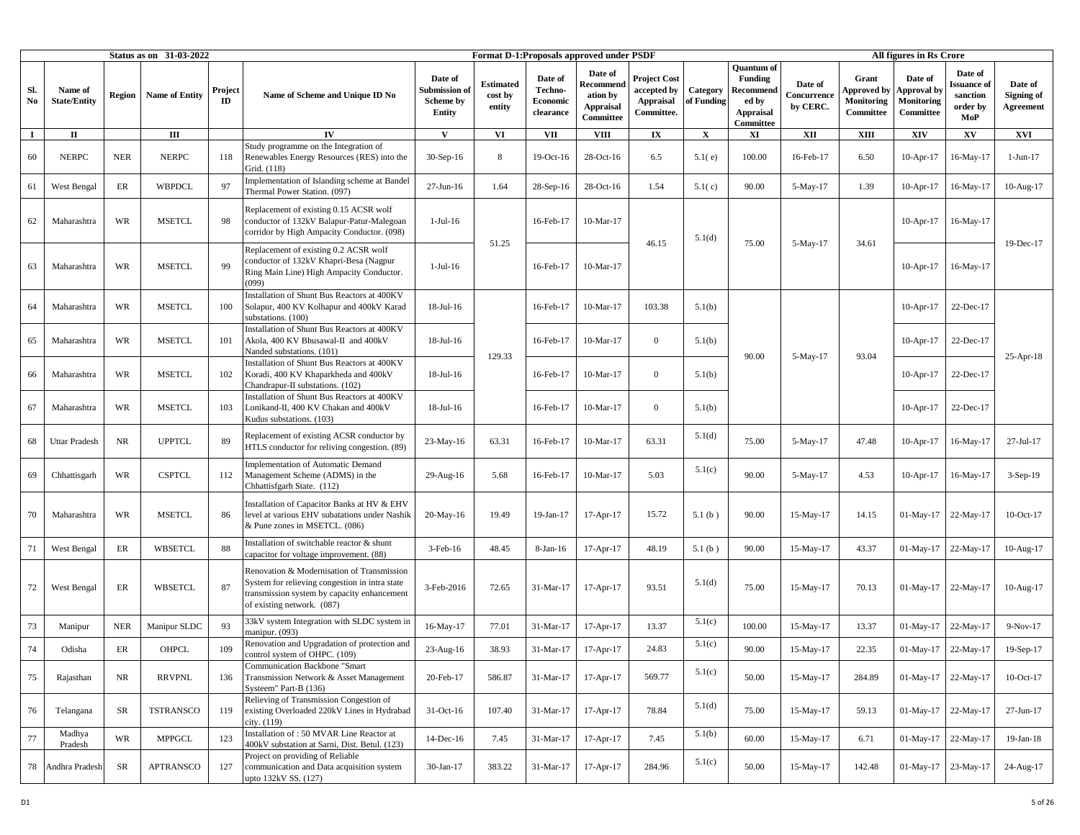|           |                                |            | Status as on 31-03-2022 |               |                                                                                                                                                                           |                                                       |                                       |                                             | Format D-1:Proposals approved under PSDF                          |                                                                      |                        |                                                                                            |                                    |                                                 | All figures in Rs Crore                                  |                                                      |                                    |
|-----------|--------------------------------|------------|-------------------------|---------------|---------------------------------------------------------------------------------------------------------------------------------------------------------------------------|-------------------------------------------------------|---------------------------------------|---------------------------------------------|-------------------------------------------------------------------|----------------------------------------------------------------------|------------------------|--------------------------------------------------------------------------------------------|------------------------------------|-------------------------------------------------|----------------------------------------------------------|------------------------------------------------------|------------------------------------|
| Sl.<br>No | Name of<br><b>State/Entity</b> | Region     | <b>Name of Entity</b>   | Project<br>ID | Name of Scheme and Unique ID No                                                                                                                                           | Date of<br>Submission o<br><b>Scheme by</b><br>Entity | <b>Estimated</b><br>cost by<br>entity | Date of<br>Techno-<br>Economic<br>clearance | Date of<br>Recommend<br>ation by<br><b>Appraisal</b><br>Committee | <b>Project Cost</b><br>accepted by<br><b>Appraisal</b><br>Committee. | Category<br>of Funding | <b>Ouantum</b> of<br><b>Funding</b><br>Recommend<br>ed by<br><b>Appraisal</b><br>Committee | Date of<br>Concurrence<br>by CERC. | Grant<br>Approved by<br>Monitoring<br>Committee | Date of<br><b>Approval</b> by<br>Monitoring<br>Committee | Date of<br>ssuance of<br>sanction<br>order by<br>MoP | Date of<br>Signing of<br>Agreement |
| $\bf{I}$  | П                              |            | Ш                       |               | $\mathbf{IV}$                                                                                                                                                             | V                                                     | VI                                    | <b>VII</b>                                  | <b>VIII</b>                                                       | $\mathbf{I}\mathbf{X}$                                               | $\mathbf X$            | XI                                                                                         | XII                                | <b>XIII</b>                                     | XIV                                                      | XV                                                   | XVI                                |
| 60        | <b>NERPC</b>                   | <b>NER</b> | <b>NERPC</b>            | 118           | Study programme on the Integration of<br>Renewables Energy Resources (RES) into the<br>Grid. (118)                                                                        | $30-Sep-16$                                           | 8                                     | 19-Oct-16                                   | 28-Oct-16                                                         | 6.5                                                                  | 5.1(e)                 | 100.00                                                                                     | 16-Feb-17                          | 6.50                                            | 10-Apr-17                                                | 16-May-17                                            | $1-Jun-17$                         |
| 61        | West Bengal                    | ER         | <b>WBPDCL</b>           | 97            | Implementation of Islanding scheme at Bandel<br>Thermal Power Station. (097)                                                                                              | $27-Jun-16$                                           | 1.64                                  | 28-Sep-16                                   | 28-Oct-16                                                         | 1.54                                                                 | 5.1(c)                 | 90.00                                                                                      | 5-May-17                           | 1.39                                            | $10-Apr-17$                                              | 16-May-17                                            | 10-Aug-17                          |
| 62        | Maharashtra                    | <b>WR</b>  | <b>MSETCL</b>           | 98            | Replacement of existing 0.15 ACSR wolf<br>conductor of 132kV Balapur-Patur-Malegoan<br>corridor by High Ampacity Conductor. (098)                                         | $1-Jul-16$                                            |                                       | 16-Feb-17                                   | 10-Mar-17                                                         |                                                                      | 5.1(d)                 |                                                                                            |                                    |                                                 | $10-Apr-17$                                              | 16-May-17                                            |                                    |
| 63        | Maharashtra                    | <b>WR</b>  | <b>MSETCL</b>           | 99            | Replacement of existing 0.2 ACSR wolf<br>conductor of 132kV Khapri-Besa (Nagpur<br>Ring Main Line) High Ampacity Conductor.<br>(099)                                      | $1-Jul-16$                                            | 51.25                                 | 16-Feb-17                                   | 10-Mar-17                                                         | 46.15                                                                |                        | 75.00                                                                                      | 5-May-17                           | 34.61                                           | $10-Apr-17$                                              | 16-May-17                                            | 19-Dec-17                          |
| 64        | Maharashtra                    | <b>WR</b>  | <b>MSETCL</b>           | 100           | Installation of Shunt Bus Reactors at 400KV<br>Solapur, 400 KV Kolhapur and 400kV Karad<br>substations. (100)                                                             | 18-Jul-16                                             |                                       | 16-Feb-17                                   | 10-Mar-17                                                         | 103.38                                                               | 5.1(b)                 |                                                                                            |                                    |                                                 | $10-Apr-17$                                              | 22-Dec-17                                            |                                    |
| 65        | Maharashtra                    | <b>WR</b>  | <b>MSETCL</b>           | 101           | Installation of Shunt Bus Reactors at 400KV<br>Akola, 400 KV Bhusawal-II and 400kV<br>Nanded substations. (101)                                                           | $18$ -Jul- $16$                                       | 129.33                                | 16-Feb-17                                   | 10-Mar-17                                                         | $\overline{0}$                                                       | 5.1(b)                 | 90.00                                                                                      |                                    | 93.04                                           | $10-Apr-17$                                              | 22-Dec-17                                            |                                    |
| 66        | Maharashtra                    | <b>WR</b>  | <b>MSETCL</b>           | 102           | Installation of Shunt Bus Reactors at 400KV<br>Koradi, 400 KV Khaparkheda and 400kV<br>Chandrapur-II substations. (102)                                                   | $18$ -Jul- $16$                                       |                                       | 16-Feb-17                                   | 10-Mar-17                                                         | $\overline{0}$                                                       | 5.1(b)                 |                                                                                            | $5-May-17$                         |                                                 | $10$ -Apr-17                                             | 22-Dec-17                                            | 25-Apr-18                          |
| 67        | Maharashtra                    | <b>WR</b>  | <b>MSETCL</b>           | 103           | Installation of Shunt Bus Reactors at 400KV<br>Lonikand-II, 400 KV Chakan and 400kV<br>Kudus substations. (103)                                                           | $18$ -Jul- $16$                                       |                                       | 16-Feb-17                                   | 10-Mar-17                                                         | $\overline{0}$                                                       | 5.1(b)                 |                                                                                            |                                    |                                                 | 10-Apr-17                                                | 22-Dec-17                                            |                                    |
| 68        | Uttar Pradesh                  | NR         | <b>UPPTCL</b>           | 89            | Replacement of existing ACSR conductor by<br>HTLS conductor for reliving congestion. (89)                                                                                 | 23-May-16                                             | 63.31                                 | 16-Feb-17                                   | 10-Mar-17                                                         | 63.31                                                                | 5.1(d)                 | 75.00                                                                                      | $5-May-17$                         | 47.48                                           | $10-Apr-17$                                              | 16-May-17                                            | 27-Jul-17                          |
| 69        | Chhattisgarh                   | WR         | <b>CSPTCL</b>           | 112           | <b>Implementation of Automatic Demand</b><br>Management Scheme (ADMS) in the<br>Chhattisfgarh State. (112)                                                                | 29-Aug-16                                             | 5.68                                  | 16-Feb-17                                   | 10-Mar-17                                                         | 5.03                                                                 | 5.1(c)                 | 90.00                                                                                      | 5-May-17                           | 4.53                                            | $10-Apr-17$                                              | 16-May-17                                            | $3-Sep-19$                         |
| 70        | Maharashtra                    | <b>WR</b>  | <b>MSETCL</b>           | 86            | Installation of Capacitor Banks at HV & EHV<br>level at various EHV subatations under Nashik<br>& Pune zones in MSETCL. (086)                                             | 20-May-16                                             | 19.49                                 | 19-Jan-17                                   | 17-Apr-17                                                         | 15.72                                                                | 5.1(b)                 | 90.00                                                                                      | 15-May-17                          | 14.15                                           | $01-May-17$                                              | 22-May-17                                            | $10$ -Oct- $17$                    |
| 71        | West Bengal                    | ER         | <b>WBSETCL</b>          | 88            | Installation of switchable reactor & shunt<br>capacitor for voltage improvement. (88)                                                                                     | $3-Feb-16$                                            | 48.45                                 | 8-Jan-16                                    | 17-Apr-17                                                         | 48.19                                                                | 5.1(b)                 | 90.00                                                                                      | 15-May-17                          | 43.37                                           | 01-May-17                                                | 22-May-17                                            | 10-Aug-17                          |
| 72        | West Bengal                    | ER         | WBSETCL                 | 87            | Renovation & Modernisation of Transmission<br>System for relieving congestion in intra state<br>transmission system by capacity enhancement<br>of existing network. (087) | 3-Feb-2016                                            | 72.65                                 | 31-Mar-17                                   | 17-Apr-17                                                         | 93.51                                                                | 5.1(d)                 | 75.00                                                                                      | 15-May-17                          | 70.13                                           | $01-May-17$                                              | 22-May-17                                            | 10-Aug-17                          |
| 73        | Manipur                        | <b>NER</b> | Manipur SLDC            | 93            | 33kV system Integration with SLDC system in<br>manipur. (093)                                                                                                             | 16-May-17                                             | 77.01                                 | 31-Mar-17                                   | 17-Apr-17                                                         | 13.37                                                                | 5.1(c)                 | 100.00                                                                                     | 15-May-17                          | 13.37                                           | 01-May-17                                                | 22-May-17                                            | $9-Nov-17$                         |
| 74        | Odisha                         | ER         | OHPCL                   | 109           | Renovation and Upgradation of protection and<br>control system of OHPC. (109)                                                                                             | 23-Aug-16                                             | 38.93                                 | 31-Mar-17                                   | 17-Apr-17                                                         | 24.83                                                                | 5.1(c)                 | 90.00                                                                                      | 15-May-17                          | 22.35                                           | 01-May-17                                                | 22-May-17                                            | 19-Sep-17                          |
| 75        | Rajasthan                      | <b>NR</b>  | <b>RRVPNL</b>           | 136           | Communication Backbone "Smart<br>Transmission Network & Asset Management<br>Systeem" Part-B (136)                                                                         | 20-Feb-17                                             | 586.87                                | 31-Mar-17                                   | 17-Apr-17                                                         | 569.77                                                               | 5.1(c)                 | 50.00                                                                                      | 15-May-17                          | 284.89                                          | $01-May-17$                                              | 22-May-17                                            | $10$ -Oct-17                       |
| 76        | Telangana                      | SR         | <b>TSTRANSCO</b>        | 119           | Relieving of Transmission Congestion of<br>existing Overloaded 220kV Lines in Hydrabad<br>city. (119)                                                                     | 31-Oct-16                                             | 107.40                                | 31-Mar-17                                   | 17-Apr-17                                                         | 78.84                                                                | 5.1(d)                 | 75.00                                                                                      | 15-May-17                          | 59.13                                           | $01-May-17$                                              | 22-May-17                                            | 27-Jun-17                          |
| 77        | Madhya<br>Pradesh              | <b>WR</b>  | <b>MPPGCL</b>           | 123           | Installation of: 50 MVAR Line Reactor at<br>400kV substation at Sarni, Dist. Betul. (123)                                                                                 | 14-Dec-16                                             | 7.45                                  | 31-Mar-17                                   | 17-Apr-17                                                         | 7.45                                                                 | 5.1(b)                 | 60.00                                                                                      | 15-May-17                          | 6.71                                            | $01$ -May-17                                             | 22-May-17                                            | 19-Jan-18                          |
| 78        | Andhra Pradesh                 | SR         | <b>APTRANSCO</b>        | 127           | Project on providing of Reliable<br>communication and Data acquisition system<br>upto 132kV SS. (127)                                                                     | 30-Jan-17                                             | 383.22                                | 31-Mar-17                                   | 17-Apr-17                                                         | 284.96                                                               | 5.1(c)                 | 50.00                                                                                      | 15-May-17                          | 142.48                                          | 01-May-17                                                | 23-May-17                                            | 24-Aug-17                          |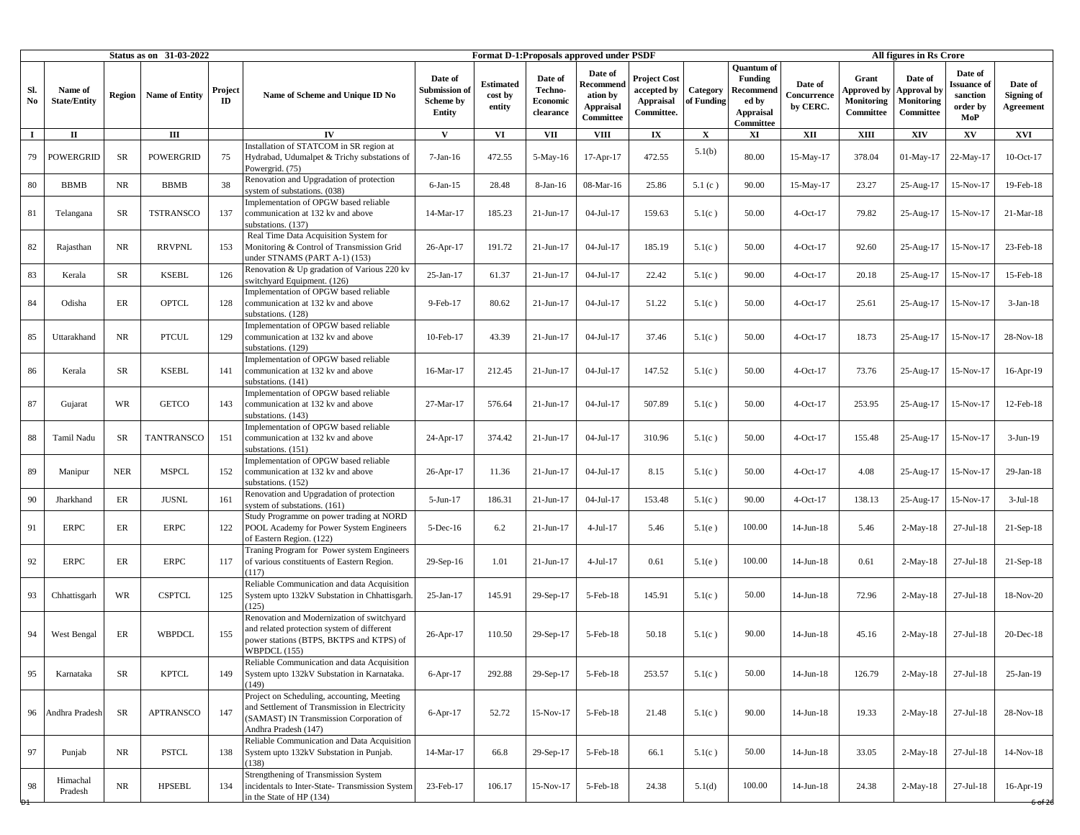|                               |                                |               | Status as on 31-03-2022 |               |                                                                                                                                                                |                                                               |                                       |                                             | Format D-1: Proposals approved under PSDF                         |                                                                      |                        |                                                                                     |                                    |                                                        | All figures in Rs Crore                                  |                                                      |                                           |
|-------------------------------|--------------------------------|---------------|-------------------------|---------------|----------------------------------------------------------------------------------------------------------------------------------------------------------------|---------------------------------------------------------------|---------------------------------------|---------------------------------------------|-------------------------------------------------------------------|----------------------------------------------------------------------|------------------------|-------------------------------------------------------------------------------------|------------------------------------|--------------------------------------------------------|----------------------------------------------------------|------------------------------------------------------|-------------------------------------------|
| Sl.<br>$\mathbf{N}\mathbf{o}$ | Name of<br><b>State/Entity</b> | <b>Region</b> | <b>Name of Entity</b>   | Project<br>ID | Name of Scheme and Unique ID No                                                                                                                                | Date of<br>Submission of<br><b>Scheme by</b><br><b>Entity</b> | <b>Estimated</b><br>cost by<br>entity | Date of<br>Techno-<br>Economic<br>clearance | Date of<br>Recommend<br>ation by<br><b>Appraisal</b><br>Committee | <b>Project Cost</b><br>accepted by<br><b>Appraisal</b><br>Committee. | Category<br>of Funding | <b>Quantum</b> of<br>Funding<br>Recommend<br>ed by<br><b>Appraisal</b><br>Committee | Date of<br>Concurrence<br>by CERC. | Grant<br><b>Approved</b> by<br>Monitoring<br>Committee | Date of<br><b>Approval</b> by<br>Monitoring<br>Committee | Date of<br>ssuance of<br>sanction<br>order by<br>MoP | Date of<br>Signing of<br><b>Agreement</b> |
| $\bf{I}$                      | $\mathbf{I}$                   |               | $\rm III$               |               | IV                                                                                                                                                             | $\mathbf{V}$                                                  | VI                                    | <b>VII</b>                                  | <b>VIII</b>                                                       | $\mathbf{I}\mathbf{X}$                                               | $\mathbf X$            | XI                                                                                  | XII                                | <b>XIII</b>                                            | XIV                                                      | XV                                                   | XVI                                       |
| 79                            | <b>POWERGRID</b>               | SR            | <b>POWERGRID</b>        | 75            | Installation of STATCOM in SR region at<br>Hydrabad, Udumalpet & Trichy substations of<br>Powergrid. (75)                                                      | $7-Jan-16$                                                    | 472.55                                | 5-May-16                                    | 17-Apr-17                                                         | 472.55                                                               | 5.1(b)                 | 80.00                                                                               | 15-May-17                          | 378.04                                                 | $01-May-17$                                              | 22-May-17                                            | $10$ -Oct-17                              |
| $80\,$                        | <b>BBMB</b>                    | NR            | <b>BBMB</b>             | 38            | Renovation and Upgradation of protection<br>system of substations. (038)<br>Implementation of OPGW based reliable                                              | $6$ -Jan-15                                                   | 28.48                                 | 8-Jan-16                                    | 08-Mar-16                                                         | 25.86                                                                | 5.1(c)                 | 90.00                                                                               | 15-May-17                          | 23.27                                                  | 25-Aug-17                                                | 15-Nov-17                                            | 19-Feb-18                                 |
| 81                            | Telangana                      | SR            | <b>TSTRANSCO</b>        | 137           | communication at 132 kv and above<br>substations. (137)                                                                                                        | 14-Mar-17                                                     | 185.23                                | $21-Jun-17$                                 | 04-Jul-17                                                         | 159.63                                                               | 5.1(c)                 | 50.00                                                                               | $4-Oct-17$                         | 79.82                                                  | 25-Aug-17                                                | 15-Nov-17                                            | $21-Mar-18$                               |
| 82                            | Rajasthan                      | NR.           | <b>RRVPNL</b>           | 153           | Real Time Data Acquisition System for<br>Monitoring & Control of Transmission Grid<br>under STNAMS (PART A-1) (153)                                            | 26-Apr-17                                                     | 191.72                                | 21-Jun-17                                   | $04-Jul-17$                                                       | 185.19                                                               | 5.1(c)                 | 50.00                                                                               | 4-Oct-17                           | 92.60                                                  | 25-Aug-17                                                | 15-Nov-17                                            | 23-Feb-18                                 |
| 83                            | Kerala                         | SR            | <b>KSEBL</b>            | 126           | Renovation & Up gradation of Various 220 kv<br>switchyard Equipment. (126)                                                                                     | 25-Jan-17                                                     | 61.37                                 | $21-Jun-17$                                 | 04-Jul-17                                                         | 22.42                                                                | 5.1(c)                 | 90.00                                                                               | 4-Oct-17                           | 20.18                                                  | 25-Aug-17                                                | 15-Nov-17                                            | 15-Feb-18                                 |
| 84                            | Odisha                         | ER            | <b>OPTCL</b>            | 128           | implementation of OPGW based reliable<br>communication at 132 kv and above<br>ubstations. (128)                                                                | 9-Feb-17                                                      | 80.62                                 | $21-Jun-17$                                 | 04-Jul-17                                                         | 51.22                                                                | 5.1(c)                 | 50.00                                                                               | $4-Oct-17$                         | 25.61                                                  | 25-Aug-17                                                | 15-Nov-17                                            | $3-Jan-18$                                |
| 85                            | Uttarakhand                    | NR            | <b>PTCUL</b>            | 129           | mplementation of OPGW based reliable<br>communication at 132 kv and above<br>substations. (129)                                                                | 10-Feb-17                                                     | 43.39                                 | $21-Jun-17$                                 | $04-Jul-17$                                                       | 37.46                                                                | 5.1(c)                 | 50.00                                                                               | $4$ -Oct-17                        | 18.73                                                  | 25-Aug-17                                                | 15-Nov-17                                            | 28-Nov-18                                 |
| 86                            | Kerala                         | SR            | <b>KSEBL</b>            | 141           | mplementation of OPGW based reliable<br>communication at 132 kv and above<br>ubstations. (141)                                                                 | 16-Mar-17                                                     | 212.45                                | 21-Jun-17                                   | 04-Jul-17                                                         | 147.52                                                               | 5.1(c)                 | 50.00                                                                               | 4-Oct-17                           | 73.76                                                  | 25-Aug-17                                                | 15-Nov-17                                            | $16$ -Apr- $19$                           |
| 87                            | Gujarat                        | <b>WR</b>     | <b>GETCO</b>            | 143           | mplementation of OPGW based reliable<br>communication at 132 kv and above<br>substations. (143)                                                                | 27-Mar-17                                                     | 576.64                                | 21-Jun-17                                   | $04-Jul-17$                                                       | 507.89                                                               | 5.1(c)                 | 50.00                                                                               | 4-Oct-17                           | 253.95                                                 | 25-Aug-17                                                | 15-Nov-17                                            | 12-Feb-18                                 |
| 88                            | Tamil Nadu                     | SR            | TANTRANSCO              | 151           | implementation of OPGW based reliable<br>communication at 132 kv and above<br>substations. (151)                                                               | 24-Apr-17                                                     | 374.42                                | $21-Jun-17$                                 | 04-Jul-17                                                         | 310.96                                                               | 5.1(c)                 | 50.00                                                                               | $4-Oct-17$                         | 155.48                                                 | 25-Aug-17                                                | 15-Nov-17                                            | $3-Jun-19$                                |
| 89                            | Manipur                        | <b>NER</b>    | <b>MSPCL</b>            | 152           | mplementation of OPGW based reliable<br>communication at 132 kv and above<br>substations. (152)                                                                | 26-Apr-17                                                     | 11.36                                 | $21-Jun-17$                                 | 04-Jul-17                                                         | 8.15                                                                 | 5.1(c)                 | 50.00                                                                               | 4-Oct-17                           | 4.08                                                   | 25-Aug-17                                                | 15-Nov-17                                            | $29$ -Jan-18                              |
| $90^{\circ}$                  | Jharkhand                      | ER            | <b>JUSNL</b>            | 161           | Renovation and Upgradation of protection<br>ystem of substations. (161)                                                                                        | $5-Jun-17$                                                    | 186.31                                | $21-Jun-17$                                 | 04-Jul-17                                                         | 153.48                                                               | 5.1(c)                 | 90.00                                                                               | $4$ -Oct-17                        | 138.13                                                 | 25-Aug-17                                                | 15-Nov-17                                            | $3-Jul-18$                                |
| 91                            | <b>ERPC</b>                    | ER            | ERPC                    | 122           | Study Programme on power trading at NORD<br>POOL Academy for Power System Engineers<br>of Eastern Region. (122)                                                | $5$ -Dec-16                                                   | 6.2                                   | $21-Jun-17$                                 | $4-Jul-17$                                                        | 5.46                                                                 | 5.1(e)                 | 100.00                                                                              | $14$ -Jun- $18$                    | 5.46                                                   | $2-May-18$                                               | $27$ -Jul-18                                         | $21-Sep-18$                               |
| 92                            | <b>ERPC</b>                    | ER            | <b>ERPC</b>             | 117           | Traning Program for Power system Engineers<br>of various constituents of Eastern Region.<br>(117)                                                              | 29-Sep-16                                                     | 1.01                                  | $21-Jun-17$                                 | $4-Jul-17$                                                        | 0.61                                                                 | 5.1(e)                 | 100.00                                                                              | $14$ -Jun- $18$                    | 0.61                                                   | $2-May-18$                                               | $27$ -Jul-18                                         | $21-Sep-18$                               |
| 93                            | Chhattisgarh                   | <b>WR</b>     | <b>CSPTCL</b>           | 125           | Reliable Communication and data Acquisition<br>System upto 132kV Substation in Chhattisgarh.<br>(125)                                                          | 25-Jan-17                                                     | 145.91                                | 29-Sep-17                                   | $5$ -Feb- $18$                                                    | 145.91                                                               | 5.1(c)                 | 50.00                                                                               | $14$ -Jun- $18$                    | 72.96                                                  | $2-May-18$                                               | $27-Jul-18$                                          | 18-Nov-20                                 |
| 94                            | West Bengal                    | ER            | <b>WBPDCL</b>           | 155           | Renovation and Modernization of switchyard<br>and related protection system of different<br>power stations (BTPS, BKTPS and KTPS) of<br>WBPDCL (155)           | 26-Apr-17                                                     | 110.50                                | 29-Sep-17                                   | 5-Feb-18                                                          | 50.18                                                                | 5.1(c)                 | 90.00                                                                               | 14-Jun-18                          | 45.16                                                  | $2-May-18$                                               | $27-Jul-18$                                          | $20$ -Dec-18                              |
| 95                            | Karnataka                      | SR            | <b>KPTCL</b>            | 149           | Reliable Communication and data Acquisition<br>System upto 132kV Substation in Karnataka.<br>(149)                                                             | $6-Apr-17$                                                    | 292.88                                | 29-Sep-17                                   | 5-Feb-18                                                          | 253.57                                                               | 5.1(c)                 | 50.00                                                                               | $14$ -Jun- $18$                    | 126.79                                                 | $2-May-18$                                               | $27-Jul-18$                                          | 25-Jan-19                                 |
| 96                            | Andhra Pradesh                 | <b>SR</b>     | <b>APTRANSCO</b>        | 147           | Project on Scheduling, accounting, Meeting<br>and Settlement of Transmission in Electricity<br>(SAMAST) IN Transmission Corporation of<br>Andhra Pradesh (147) | $6-Apr-17$                                                    | 52.72                                 | 15-Nov-17                                   | 5-Feb-18                                                          | 21.48                                                                | 5.1(c)                 | 90.00                                                                               | $14$ -Jun- $18$                    | 19.33                                                  | $2-May-18$                                               | $27-Jul-18$                                          | 28-Nov-18                                 |
| 97                            | Punjab                         | NR            | <b>PSTCL</b>            | 138           | Reliable Communication and Data Acquisition<br>System upto 132kV Substation in Punjab.<br>(138)                                                                | 14-Mar-17                                                     | 66.8                                  | $29-Sep-17$                                 | 5-Feb-18                                                          | 66.1                                                                 | 5.1(c)                 | 50.00                                                                               | $14$ -Jun- $18$                    | 33.05                                                  | $2-May-18$                                               | $27-Jul-18$                                          | 14-Nov-18                                 |
| 98                            | Himachal<br>Pradesh            | $\rm NR$      | <b>HPSEBL</b>           | 134           | Strengthening of Transmission System<br>incidentals to Inter-State- Transmission System<br>in the State of HP (134)                                            | 23-Feb-17                                                     | 106.17                                | 15-Nov-17                                   | 5-Feb-18                                                          | 24.38                                                                | 5.1(d)                 | 100.00                                                                              | $14$ -Jun- $18$                    | 24.38                                                  | $2-May-18$                                               | $27-Jul-18$                                          | 16-Apr-19                                 |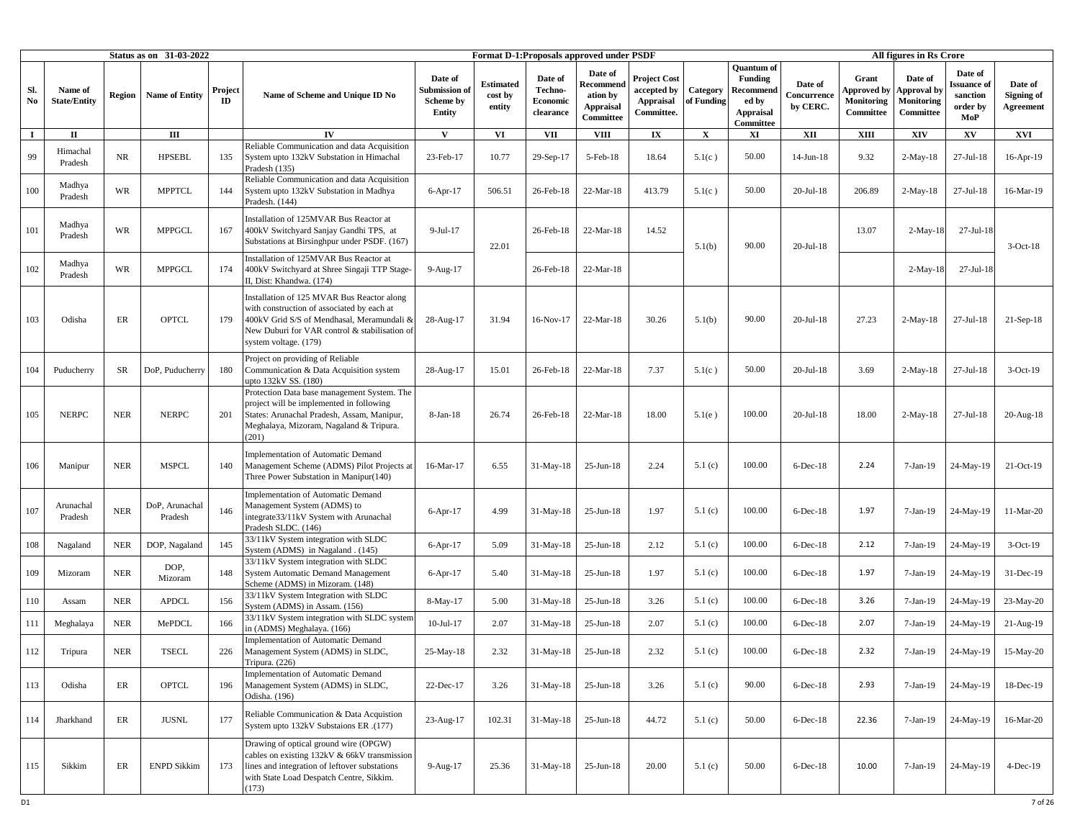|                               |                                |               | Status as on 31-03-2022   |               |                                                                                                                                                                                                                  |                                                |                                       |                                             | Format D-1:Proposals approved under PSDF                          |                                                               |                        |                                                                                     |                                    |                                                        | All figures in Rs Crore                                         |                                                       |                                    |
|-------------------------------|--------------------------------|---------------|---------------------------|---------------|------------------------------------------------------------------------------------------------------------------------------------------------------------------------------------------------------------------|------------------------------------------------|---------------------------------------|---------------------------------------------|-------------------------------------------------------------------|---------------------------------------------------------------|------------------------|-------------------------------------------------------------------------------------|------------------------------------|--------------------------------------------------------|-----------------------------------------------------------------|-------------------------------------------------------|------------------------------------|
| Sl.<br>$\mathbf{N}\mathbf{o}$ | Name of<br><b>State/Entity</b> | <b>Region</b> | <b>Name of Entity</b>     | Project<br>ID | Name of Scheme and Unique ID No                                                                                                                                                                                  | Date of<br>Submission o<br>Scheme by<br>Entity | <b>Estimated</b><br>cost by<br>entity | Date of<br>Techno-<br>Economic<br>clearance | Date of<br>Recommend<br>ation by<br><b>Appraisal</b><br>Committee | <b>Project Cost</b><br>accepted by<br>Appraisal<br>Committee. | Category<br>of Funding | <b>Quantum of</b><br>Funding<br>Recommend<br>ed by<br><b>Appraisal</b><br>Committee | Date of<br>Concurrence<br>by CERC. | Grant<br><b>Approved</b> by<br>Monitoring<br>Committee | Date of<br><b>Approval</b> by<br><b>Monitoring</b><br>Committee | Date of<br>lssuance of<br>sanction<br>order by<br>MoP | Date of<br>Signing of<br>Agreement |
| $\bf{I}$                      | П                              |               | Ш                         |               | $\mathbf{I}$                                                                                                                                                                                                     | $\mathbf{V}$                                   | VI                                    | VII                                         | <b>VIII</b>                                                       | $\mathbf{I} \mathbf{X}$                                       | $\mathbf X$            | XI                                                                                  | XII                                | XIII                                                   | <b>XIV</b>                                                      | XV                                                    | XVI                                |
| 99                            | Himachal<br>Pradesh            | <b>NR</b>     | <b>HPSEBL</b>             | 135           | Reliable Communication and data Acquisition<br>System upto 132kV Substation in Himachal<br>Pradesh (135)                                                                                                         | 23-Feb-17                                      | 10.77                                 | 29-Sep-17                                   | 5-Feb-18                                                          | 18.64                                                         | 5.1(c)                 | 50.00                                                                               | 14-Jun-18                          | 9.32                                                   | $2-May-18$                                                      | $27-Jul-18$                                           | 16-Apr-19                          |
| 100                           | Madhya<br>Pradesh              | <b>WR</b>     | <b>MPPTCL</b>             | 144           | Reliable Communication and data Acquisition<br>System upto 132kV Substation in Madhya<br>Pradesh. (144)                                                                                                          | $6-Apr-17$                                     | 506.51                                | 26-Feb-18                                   | 22-Mar-18                                                         | 413.79                                                        | 5.1(c)                 | 50.00                                                                               | $20 -$ Jul-18                      | 206.89                                                 | $2-May-18$                                                      | $27-Jul-18$                                           | 16-Mar-19                          |
| 101                           | Madhya<br>Pradesh              | <b>WR</b>     | <b>MPPGCL</b>             | 167           | Installation of 125MVAR Bus Reactor at<br>400kV Switchyard Sanjay Gandhi TPS, at<br>Substations at Birsinghpur under PSDF. (167)                                                                                 | 9-Jul-17                                       | 22.01                                 | 26-Feb-18                                   | 22-Mar-18                                                         | 14.52                                                         | 5.1(b)                 | 90.00                                                                               | 20-Jul-18                          | 13.07                                                  | $2-May-18$                                                      | 27-Jul-18                                             | $3-Oct-18$                         |
| 102                           | Madhya<br>Pradesh              | <b>WR</b>     | <b>MPPGCL</b>             | 174           | Installation of 125MVAR Bus Reactor at<br>400kV Switchyard at Shree Singaji TTP Stage-<br>I, Dist: Khandwa. (174)                                                                                                | $9-Aug-17$                                     |                                       | 26-Feb-18                                   | 22-Mar-18                                                         |                                                               |                        |                                                                                     |                                    |                                                        | $2-May-18$                                                      | $27 -$ Jul-18                                         |                                    |
| 103                           | Odisha                         | ER            | <b>OPTCL</b>              | 179           | Installation of 125 MVAR Bus Reactor along<br>with construction of associated by each at<br>400kV Grid S/S of Mendhasal, Meramundali &<br>New Duburi for VAR control & stabilisation of<br>system voltage. (179) | 28-Aug-17                                      | 31.94                                 | 16-Nov-17                                   | 22-Mar-18                                                         | 30.26                                                         | 5.1(b)                 | 90.00                                                                               | 20-Jul-18                          | 27.23                                                  | $2-May-18$                                                      | $27-Jul-18$                                           | $21-Sep-18$                        |
| 104                           | Puducherry                     | SR            | DoP, Puducherry           | 180           | Project on providing of Reliable<br>Communication & Data Acquisition system<br>upto 132kV SS. (180)                                                                                                              | 28-Aug-17                                      | 15.01                                 | 26-Feb-18                                   | 22-Mar-18                                                         | 7.37                                                          | 5.1(c)                 | 50.00                                                                               | $20$ -Jul-18                       | 3.69                                                   | $2-May-18$                                                      | $27-Jul-18$                                           | $3-Oct-19$                         |
| 105                           | <b>NERPC</b>                   | <b>NER</b>    | <b>NERPC</b>              | 201           | Protection Data base management System. The<br>project will be implemented in following<br>States: Arunachal Pradesh, Assam, Manipur,<br>Meghalaya, Mizoram, Nagaland & Tripura.<br>(201)                        | 8-Jan-18                                       | 26.74                                 | 26-Feb-18                                   | 22-Mar-18                                                         | 18.00                                                         | 5.1(e)                 | 100.00                                                                              | 20-Jul-18                          | 18.00                                                  | $2-May-18$                                                      | $27-Jul-18$                                           | $20$ -Aug- $18$                    |
| 106                           | Manipur                        | <b>NER</b>    | <b>MSPCL</b>              | 140           | <b>Implementation of Automatic Demand</b><br>Management Scheme (ADMS) Pilot Projects at<br>Three Power Substation in Manipur(140)                                                                                | 16-Mar-17                                      | 6.55                                  | $31-May-18$                                 | $25$ -Jun-18                                                      | 2.24                                                          | 5.1(c)                 | 100.00                                                                              | $6$ -Dec-18                        | 2.24                                                   | 7-Jan-19                                                        | 24-May-19                                             | 21-Oct-19                          |
| 107                           | Arunachal<br>Pradesh           | <b>NER</b>    | DoP, Arunachal<br>Pradesh | 146           | <b>Implementation of Automatic Demand</b><br>Management System (ADMS) to<br>integrate33/11kV System with Arunachal<br>Pradesh SLDC. (146)                                                                        | $6-Apr-17$                                     | 4.99                                  | $31-May-18$                                 | $25$ -Jun-18                                                      | 1.97                                                          | 5.1(c)                 | 100.00                                                                              | $6$ -Dec-18                        | 1.97                                                   | $7-Jan-19$                                                      | 24-May-19                                             | 11-Mar-20                          |
| 108                           | Nagaland                       | <b>NER</b>    | DOP, Nagaland             | 145           | 33/11kV System integration with SLDC<br>System (ADMS) in Nagaland . (145)                                                                                                                                        | $6-Apr-17$                                     | 5.09                                  | 31-May-18                                   | $25$ -Jun-18                                                      | 2.12                                                          | 5.1(c)                 | 100.00                                                                              | $6$ -Dec-18                        | 2.12                                                   | 7-Jan-19                                                        | 24-May-19                                             | $3-Oct-19$                         |
| 109                           | Mizoram                        | <b>NER</b>    | DOP,<br>Mizoram           | 148           | 33/11kV System integration with SLDC<br>System Automatic Demand Management<br>Scheme (ADMS) in Mizoram. (148)                                                                                                    | $6-Apr-17$                                     | 5.40                                  | 31-May-18                                   | $25$ -Jun-18                                                      | 1.97                                                          | 5.1(c)                 | 100.00                                                                              | $6$ -Dec-18                        | 1.97                                                   | $7-Jan-19$                                                      | 24-May-19                                             | 31-Dec-19                          |
| 110                           | Assam                          | <b>NER</b>    | <b>APDCL</b>              | 156           | 33/11kV System Integration with SLDC<br>System (ADMS) in Assam. (156)                                                                                                                                            | 8-May-17                                       | 5.00                                  | 31-May-18                                   | $25$ -Jun-18                                                      | 3.26                                                          | 5.1(c)                 | 100.00                                                                              | $6$ -Dec-18                        | 3.26                                                   | 7-Jan-19                                                        | 24-May-19                                             | 23-May-20                          |
| 111                           | Meghalaya                      | <b>NER</b>    | MePDCL                    | 166           | 33/11kV System integration with SLDC system<br>n (ADMS) Meghalaya. (166)                                                                                                                                         | $10-Jul-17$                                    | 2.07                                  | 31-May-18                                   | $25-Jun-18$                                                       | 2.07                                                          | 5.1(c)                 | 100.00                                                                              | $6$ -Dec- $18$                     | 2.07                                                   | $7-Jan-19$                                                      | 24-May-19                                             | $21$ -Aug- $19$                    |
| 112                           | Tripura                        | <b>NER</b>    | <b>TSECL</b>              | 226           | Implementation of Automatic Demand<br>Management System (ADMS) in SLDC,<br>Tripura. $(226)$                                                                                                                      | 25-May-18                                      | 2.32                                  | $31-May-18$                                 | $25$ -Jun-18                                                      | 2.32                                                          | 5.1(c)                 | 100.00                                                                              | 6-Dec-18                           | 2.32                                                   | $7-Jan-19$                                                      | 24-May-19                                             | 15-May-20                          |
| 113                           | Odisha                         | ER            | OPTCL                     | 196           | Implementation of Automatic Demand<br>Management System (ADMS) in SLDC,<br>Odisha. (196)                                                                                                                         | 22-Dec-17                                      | 3.26                                  | 31-May-18                                   | $25$ -Jun-18                                                      | 3.26                                                          | 5.1(c)                 | 90.00                                                                               | $6$ -Dec-18                        | 2.93                                                   | $7-Jan-19$                                                      | 24-May-19                                             | 18-Dec-19                          |
| 114                           | Jharkhand                      | ER            | <b>JUSNL</b>              | 177           | Reliable Communication & Data Acquistion<br>(177). System upto 132kV Substaions ER                                                                                                                               | 23-Aug-17                                      | 102.31                                | $31-May-18$                                 | $25$ -Jun-18                                                      | 44.72                                                         | 5.1(c)                 | 50.00                                                                               | $6$ -Dec-18                        | 22.36                                                  | $7-Jan-19$                                                      | 24-May-19                                             | 16-Mar-20                          |
| 115                           | Sikkim                         | ER            | <b>ENPD Sikkim</b>        | 173           | Drawing of optical ground wire (OPGW)<br>cables on existing 132kV & 66kV transmission<br>lines and integration of leftover substations<br>with State Load Despatch Centre, Sikkim.<br>173)                       | 9-Aug-17                                       | 25.36                                 | 31-May-18                                   | $25$ -Jun-18                                                      | 20.00                                                         | 5.1(c)                 | 50.00                                                                               | $6$ -Dec-18                        | 10.00                                                  | $7-Jan-19$                                                      | 24-May-19                                             | $4$ -Dec-19                        |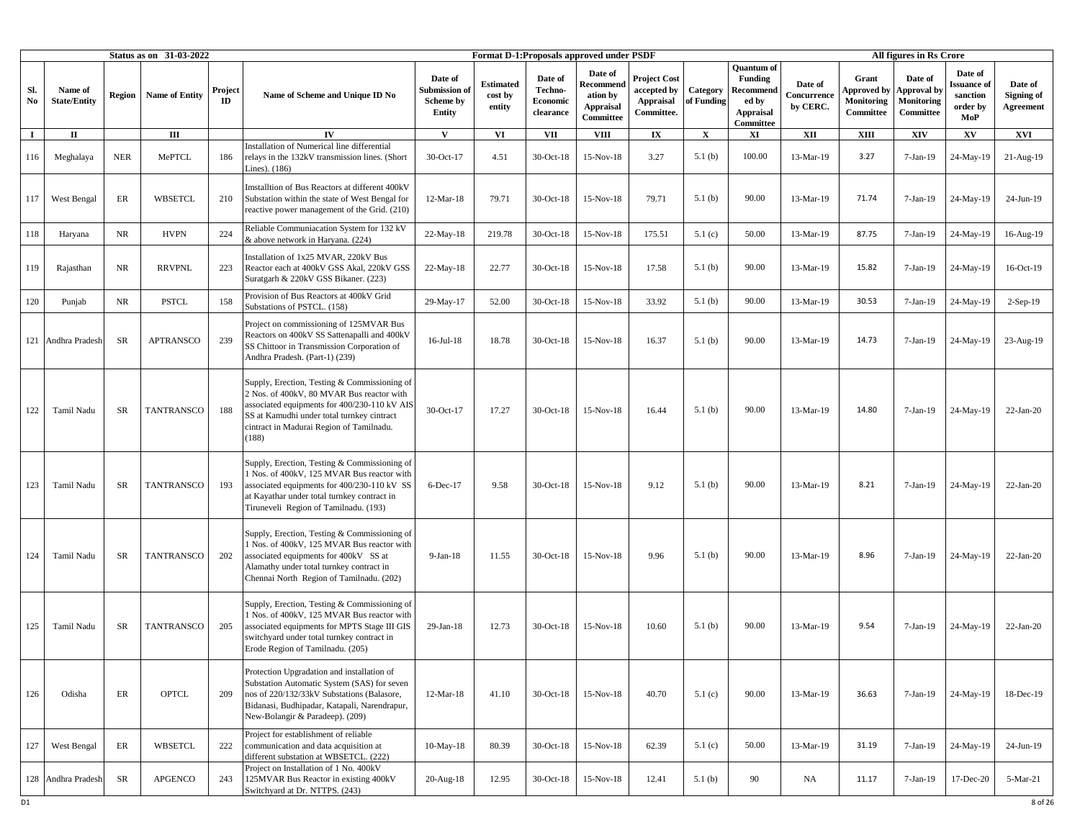|                               |                                |               | Status as on 31-03-2022 |               |                                                                                                                                                                                                                                              |                                                |                                       |                                             | Format D-1:Proposals approved under PSDF                          |                                                               |                        |                                                                                            |                                    |                                                        | All figures in Rs Crore                           |                                                              |                                    |
|-------------------------------|--------------------------------|---------------|-------------------------|---------------|----------------------------------------------------------------------------------------------------------------------------------------------------------------------------------------------------------------------------------------------|------------------------------------------------|---------------------------------------|---------------------------------------------|-------------------------------------------------------------------|---------------------------------------------------------------|------------------------|--------------------------------------------------------------------------------------------|------------------------------------|--------------------------------------------------------|---------------------------------------------------|--------------------------------------------------------------|------------------------------------|
| Sl.<br>$\mathbf{N}\mathbf{o}$ | Name of<br><b>State/Entity</b> | <b>Region</b> | <b>Name of Entity</b>   | Project<br>ID | Name of Scheme and Unique ID No                                                                                                                                                                                                              | Date of<br>Submission o<br>Scheme by<br>Entity | <b>Estimated</b><br>cost by<br>entity | Date of<br>Techno-<br>Economic<br>clearance | Date of<br>Recommend<br>ation by<br><b>Appraisal</b><br>Committee | <b>Project Cost</b><br>accepted by<br>Appraisal<br>Committee. | Category<br>of Funding | <b>Quantum</b> of<br>Funding<br><b>Recommend</b><br>ed by<br><b>Appraisal</b><br>Committee | Date of<br>Concurrence<br>by CERC. | Grant<br><b>Approved by</b><br>Monitoring<br>Committee | Date of<br>Approval by<br>Monitoring<br>Committee | Date of<br><b>Issuance</b> of<br>sanction<br>order by<br>MoP | Date of<br>Signing of<br>Agreement |
| $\bf{I}$                      | П                              |               | Ш                       |               | $\mathbf{I}$                                                                                                                                                                                                                                 | $\mathbf{V}$                                   | VI                                    | VII                                         | <b>VIII</b>                                                       | $\mathbf{I} \mathbf{X}$                                       | $\mathbf X$            | XI                                                                                         | XII                                | XIII                                                   | <b>XIV</b>                                        | XV                                                           | XVI                                |
| 116                           | Meghalaya                      | <b>NER</b>    | MePTCL                  | 186           | Installation of Numerical line differential<br>relays in the 132kV transmission lines. (Short<br>Lines). (186)                                                                                                                               | 30-Oct-17                                      | 4.51                                  | 30-Oct-18                                   | 15-Nov-18                                                         | 3.27                                                          | 5.1(b)                 | 100.00                                                                                     | 13-Mar-19                          | 3.27                                                   | $7-Jan-19$                                        | 24-May-19                                                    | 21-Aug-19                          |
| 117                           | West Bengal                    | ER            | WBSETCL                 | 210           | Imstalltion of Bus Reactors at different 400kV<br>Substation within the state of West Bengal for<br>reactive power management of the Grid. (210)                                                                                             | $12-Mar-18$                                    | 79.71                                 | 30-Oct-18                                   | 15-Nov-18                                                         | 79.71                                                         | 5.1(b)                 | 90.00                                                                                      | 13-Mar-19                          | 71.74                                                  | $7-Jan-19$                                        | 24-May-19                                                    | 24-Jun-19                          |
| 118                           | Haryana                        | <b>NR</b>     | <b>HVPN</b>             | 224           | Reliable Communiacation System for 132 kV<br>& above network in Haryana. (224)                                                                                                                                                               | 22-May-18                                      | 219.78                                | 30-Oct-18                                   | 15-Nov-18                                                         | 175.51                                                        | 5.1(c)                 | 50.00                                                                                      | 13-Mar-19                          | 87.75                                                  | 7-Jan-19                                          | 24-May-19                                                    | 16-Aug-19                          |
| 119                           | Rajasthan                      | <b>NR</b>     | <b>RRVPNL</b>           | 223           | Installation of 1x25 MVAR, 220kV Bus<br>Reactor each at 400kV GSS Akal, 220kV GSS<br>Suratgarh & 220kV GSS Bikaner. (223)                                                                                                                    | $22-May-18$                                    | 22.77                                 | 30-Oct-18                                   | 15-Nov-18                                                         | 17.58                                                         | 5.1(b)                 | 90.00                                                                                      | 13-Mar-19                          | 15.82                                                  | $7-Jan-19$                                        | 24-May-19                                                    | 16-Oct-19                          |
| 120                           | Punjab                         | <b>NR</b>     | <b>PSTCL</b>            | 158           | Provision of Bus Reactors at 400kV Grid<br>Substations of PSTCL. (158)                                                                                                                                                                       | 29-May-17                                      | 52.00                                 | 30-Oct-18                                   | 15-Nov-18                                                         | 33.92                                                         | 5.1(b)                 | 90.00                                                                                      | 13-Mar-19                          | 30.53                                                  | $7-Jan-19$                                        | 24-May-19                                                    | $2-Sep-19$                         |
|                               | 121 Andhra Pradesh             | <b>SR</b>     | <b>APTRANSCO</b>        | 239           | Project on commissioning of 125MVAR Bus<br>Reactors on 400kV SS Sattenapalli and 400kV<br>SS Chittoor in Transmission Corporation of<br>Andhra Pradesh. (Part-1) (239)                                                                       | $16$ -Jul- $18$                                | 18.78                                 | 30-Oct-18                                   | 15-Nov-18                                                         | 16.37                                                         | 5.1(b)                 | 90.00                                                                                      | 13-Mar-19                          | 14.73                                                  | $7-Jan-19$                                        | 24-May-19                                                    | 23-Aug-19                          |
| 122                           | Tamil Nadu                     | <b>SR</b>     | <b>TANTRANSCO</b>       | 188           | Supply, Erection, Testing & Commissioning of<br>2 Nos. of 400kV, 80 MVAR Bus reactor with<br>associated equipments for 400/230-110 kV AIS<br>SS at Kamudhi under total turnkey cintract<br>cintract in Madurai Region of Tamilnadu.<br>(188) | 30-Oct-17                                      | 17.27                                 | 30-Oct-18                                   | 15-Nov-18                                                         | 16.44                                                         | 5.1(b)                 | 90.00                                                                                      | 13-Mar-19                          | 14.80                                                  | $7-Jan-19$                                        | 24-May-19                                                    | $22-Jan-20$                        |
| 123                           | Tamil Nadu                     | SR            | <b>TANTRANSCO</b>       | 193           | Supply, Erection, Testing & Commissioning of<br>1 Nos. of 400kV, 125 MVAR Bus reactor with<br>associated equipments for 400/230-110 kV SS<br>at Kayathar under total turnkey contract in<br>Tiruneveli Region of Tamilnadu. (193)            | 6-Dec-17                                       | 9.58                                  | 30-Oct-18                                   | 15-Nov-18                                                         | 9.12                                                          | 5.1(b)                 | 90.00                                                                                      | 13-Mar-19                          | 8.21                                                   | $7-Jan-19$                                        | 24-May-19                                                    | $22-Jan-20$                        |
| 124                           | Tamil Nadu                     | <b>SR</b>     | TANTRANSCO              | 202           | Supply, Erection, Testing & Commissioning of<br>Nos. of 400kV, 125 MVAR Bus reactor with<br>associated equipments for 400kV SS at<br>Alamathy under total turnkey contract in<br>Chennai North Region of Tamilnadu. (202)                    | $9-Jan-18$                                     | 11.55                                 | 30-Oct-18                                   | 15-Nov-18                                                         | 9.96                                                          | 5.1(b)                 | 90.00                                                                                      | 13-Mar-19                          | 8.96                                                   | 7-Jan-19                                          | 24-May-19                                                    | $22$ -Jan-20                       |
| 125                           | Tamil Nadu                     | SR            | TANTRANSCO              | 205           | Supply, Erection, Testing & Commissioning of<br>1 Nos. of 400kV, 125 MVAR Bus reactor with<br>associated equipments for MPTS Stage III GIS<br>switchyard under total turnkey contract in<br>Erode Region of Tamilnadu. (205)                 | 29-Jan-18                                      | 12.73                                 | 30-Oct-18                                   | 15-Nov-18                                                         | 10.60                                                         | 5.1(b)                 | 90.00                                                                                      | 13-Mar-19                          | 9.54                                                   | $7-Jan-19$                                        | 24-May-19                                                    | $22-Jan-20$                        |
| 126                           | Odisha                         | ER            | OPTCL                   | 209           | Protection Upgradation and installation of<br>Substation Automatic System (SAS) for seven<br>nos of 220/132/33kV Substations (Balasore,<br>Bidanasi, Budhipadar, Katapali, Narendrapur,<br>New-Bolangir & Paradeep). (209)                   | $12-Mar-18$                                    | 41.10                                 | 30-Oct-18                                   | 15-Nov-18                                                         | 40.70                                                         | 5.1(c)                 | 90.00                                                                                      | 13-Mar-19                          | 36.63                                                  | $7-Jan-19$                                        | 24-May-19                                                    | 18-Dec-19                          |
| 127                           | West Bengal                    | ER            | <b>WBSETCL</b>          | 222           | Project for establishment of reliable<br>communication and data acquisition at<br>different substation at WBSETCL. (222)                                                                                                                     | 10-May-18                                      | 80.39                                 | 30-Oct-18                                   | 15-Nov-18                                                         | 62.39                                                         | 5.1(c)                 | 50.00                                                                                      | 13-Mar-19                          | 31.19                                                  | $7-Jan-19$                                        | 24-May-19                                                    | 24-Jun-19                          |
|                               | 128 Andhra Pradesh             | <b>SR</b>     | <b>APGENCO</b>          | 243           | Project on Installation of 1 No. 400kV<br>125MVAR Bus Reactor in existing 400kV<br>Switchyard at Dr. NTTPS. (243)                                                                                                                            | 20-Aug-18                                      | 12.95                                 | 30-Oct-18                                   | 15-Nov-18                                                         | 12.41                                                         | 5.1(b)                 | 90                                                                                         | NA                                 | 11.17                                                  | $7-Jan-19$                                        | 17-Dec-20                                                    | 5-Mar-21                           |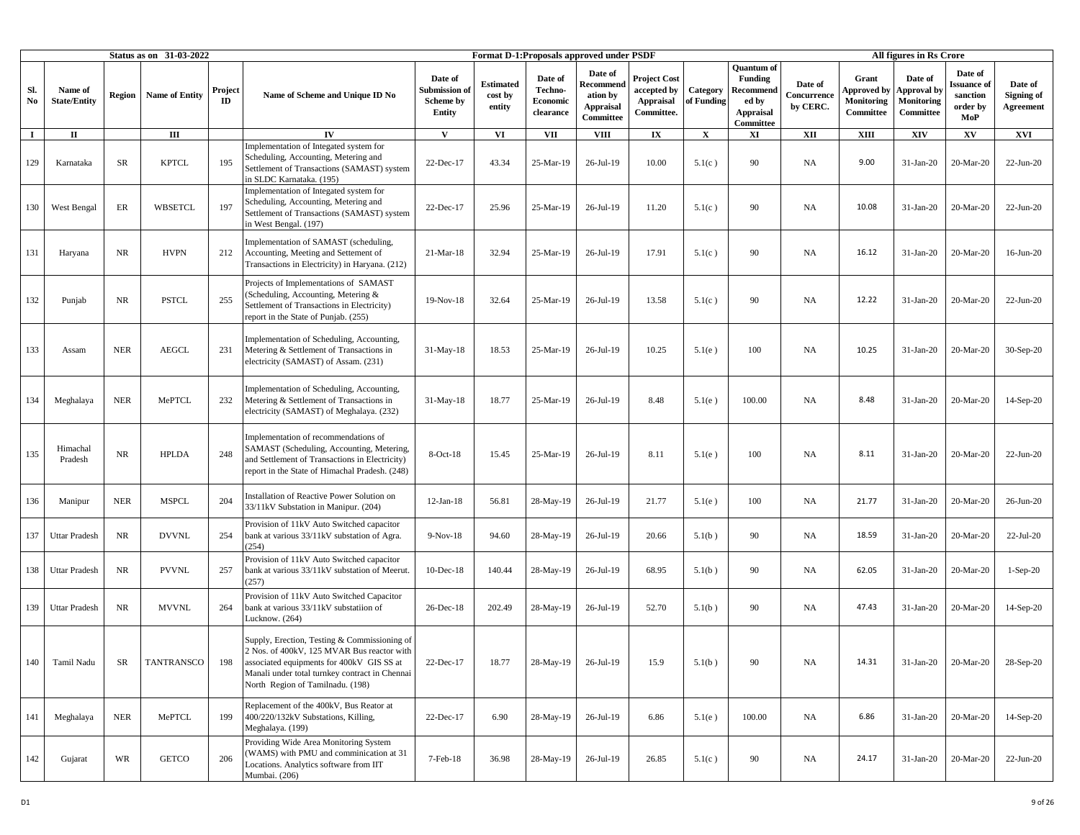|                               |                                |               | Status as on 31-03-2022 |               |                                                                                                                                                                                                                               |                                                        |                                       |                                             | <b>Format D-1:Proposals approved under PSDF</b>                   |                                                               |                        |                                                                                            |                                    |                                                               | All figures in Rs Crore                                         |                                                              |                                    |
|-------------------------------|--------------------------------|---------------|-------------------------|---------------|-------------------------------------------------------------------------------------------------------------------------------------------------------------------------------------------------------------------------------|--------------------------------------------------------|---------------------------------------|---------------------------------------------|-------------------------------------------------------------------|---------------------------------------------------------------|------------------------|--------------------------------------------------------------------------------------------|------------------------------------|---------------------------------------------------------------|-----------------------------------------------------------------|--------------------------------------------------------------|------------------------------------|
| Sl.<br>$\mathbf{N}\mathbf{o}$ | Name of<br><b>State/Entity</b> | <b>Region</b> | <b>Name of Entity</b>   | Project<br>ID | Name of Scheme and Unique ID No                                                                                                                                                                                               | Date of<br>Submission of<br><b>Scheme by</b><br>Entity | <b>Estimated</b><br>cost by<br>entity | Date of<br>Techno-<br>Economic<br>clearance | Date of<br>Recommend<br>ation by<br><b>Appraisal</b><br>Committee | Project Cost<br>accepted by<br><b>Appraisal</b><br>Committee. | Category<br>of Funding | <b>Ouantum</b> of<br><b>Funding</b><br>Recommend<br>ed by<br><b>Appraisal</b><br>Committee | Date of<br>Concurrence<br>by CERC. | Grant<br><b>Approved</b> by<br><b>Monitoring</b><br>Committee | Date of<br><b>Approval</b> by<br><b>Monitoring</b><br>Committee | Date of<br><b>Issuance</b> of<br>sanction<br>order by<br>MoP | Date of<br>Signing of<br>Agreement |
| $\mathbf I$                   | П                              |               | $\rm III$               |               | IV                                                                                                                                                                                                                            | V                                                      | VI                                    | <b>VII</b>                                  | <b>VIII</b>                                                       | $\mathbf{I}\mathbf{X}$                                        | $\mathbf X$            | XI                                                                                         | XII                                | XIII                                                          | XIV                                                             | $\mathbf{X}\mathbf{V}$                                       | <b>XVI</b>                         |
| 129                           | Karnataka                      | SR            | <b>KPTCL</b>            | 195           | implementation of Integated system for<br>Scheduling, Accounting, Metering and<br>Settlement of Transactions (SAMAST) system<br>n SLDC Karnataka. (195)                                                                       | 22-Dec-17                                              | 43.34                                 | 25-Mar-19                                   | 26-Jul-19                                                         | 10.00                                                         | 5.1(c)                 | 90                                                                                         | <b>NA</b>                          | 9.00                                                          | $31-Jan-20$                                                     | 20-Mar-20                                                    | $22-Jun-20$                        |
| 130                           | West Bengal                    | ER            | WBSETCL                 | 197           | Implementation of Integated system for<br>Scheduling, Accounting, Metering and<br>Settlement of Transactions (SAMAST) system<br>in West Bengal. (197)                                                                         | 22-Dec-17                                              | 25.96                                 | 25-Mar-19                                   | 26-Jul-19                                                         | 11.20                                                         | 5.1(c)                 | 90                                                                                         | <b>NA</b>                          | 10.08                                                         | 31-Jan-20                                                       | 20-Mar-20                                                    | $22$ -Jun-20                       |
| 131                           | Haryana                        | NR            | <b>HVPN</b>             | 212           | Implementation of SAMAST (scheduling,<br>Accounting, Meeting and Settement of<br>Transactions in Electricity) in Haryana. (212)                                                                                               | $21-Mar-18$                                            | 32.94                                 | 25-Mar-19                                   | 26-Jul-19                                                         | 17.91                                                         | 5.1(c)                 | 90                                                                                         | <b>NA</b>                          | 16.12                                                         | 31-Jan-20                                                       | 20-Mar-20                                                    | $16$ -Jun-20                       |
| 132                           | Punjab                         | <b>NR</b>     | <b>PSTCL</b>            | 255           | Projects of Implementations of SAMAST<br>(Scheduling, Accounting, Metering &<br>Settlement of Transactions in Electricity)<br>report in the State of Punjab. (255)                                                            | 19-Nov-18                                              | 32.64                                 | 25-Mar-19                                   | $26$ -Jul-19                                                      | 13.58                                                         | 5.1(c)                 | 90                                                                                         | NA                                 | 12.22                                                         | 31-Jan-20                                                       | 20-Mar-20                                                    | $22-Jun-20$                        |
| 133                           | Assam                          | <b>NER</b>    | <b>AEGCL</b>            | 231           | Implementation of Scheduling, Accounting,<br>Metering & Settlement of Transactions in<br>electricity (SAMAST) of Assam. (231)                                                                                                 | $31-May-18$                                            | 18.53                                 | 25-Mar-19                                   | 26-Jul-19                                                         | 10.25                                                         | 5.1(e)                 | 100                                                                                        | <b>NA</b>                          | 10.25                                                         | 31-Jan-20                                                       | 20-Mar-20                                                    | $30-Sep-20$                        |
| 134                           | Meghalaya                      | <b>NER</b>    | MePTCL                  | 232           | Implementation of Scheduling, Accounting,<br>Metering & Settlement of Transactions in<br>electricity (SAMAST) of Meghalaya. (232)                                                                                             | $31-May-18$                                            | 18.77                                 | 25-Mar-19                                   | 26-Jul-19                                                         | 8.48                                                          | 5.1(e)                 | 100.00                                                                                     | <b>NA</b>                          | 8.48                                                          | $31-Jan-20$                                                     | 20-Mar-20                                                    | $14-Sep-20$                        |
| 135                           | Himachal<br>Pradesh            | NR.           | <b>HPLDA</b>            | 248           | Implementation of recommendations of<br>SAMAST (Scheduling, Accounting, Metering,<br>and Settlement of Transactions in Electricity)<br>report in the State of Himachal Pradesh. (248)                                         | $8$ -Oct- $18$                                         | 15.45                                 | 25-Mar-19                                   | $26$ -Jul-19                                                      | 8.11                                                          | 5.1(e)                 | 100                                                                                        | <b>NA</b>                          | 8.11                                                          | $31-Jan-20$                                                     | 20-Mar-20                                                    | $22$ -Jun-20                       |
| 136                           | Manipur                        | <b>NER</b>    | <b>MSPCL</b>            | 204           | Installation of Reactive Power Solution on<br>33/11kV Substation in Manipur. (204)                                                                                                                                            | $12$ -Jan- $18$                                        | 56.81                                 | 28-May-19                                   | 26-Jul-19                                                         | 21.77                                                         | 5.1(e)                 | 100                                                                                        | <b>NA</b>                          | 21.77                                                         | 31-Jan-20                                                       | 20-Mar-20                                                    | 26-Jun-20                          |
| 137                           | <b>Uttar Pradesh</b>           | NR            | <b>DVVNL</b>            | 254           | Provision of 11kV Auto Switched capacitor<br>bank at various 33/11kV substation of Agra.<br>(254)                                                                                                                             | $9-Nov-18$                                             | 94.60                                 | 28-May-19                                   | 26-Jul-19                                                         | 20.66                                                         | 5.1(b)                 | 90                                                                                         | <b>NA</b>                          | 18.59                                                         | $31-Jan-20$                                                     | 20-Mar-20                                                    | $22$ -Jul-20                       |
| 138                           | <b>Uttar Pradesh</b>           | <b>NR</b>     | <b>PVVNL</b>            | 257           | Provision of 11kV Auto Switched capacitor<br>bank at various 33/11kV substation of Meerut.<br>(257)                                                                                                                           | $10$ -Dec-18                                           | 140.44                                | 28-May-19                                   | 26-Jul-19                                                         | 68.95                                                         | 5.1(b)                 | 90                                                                                         | <b>NA</b>                          | 62.05                                                         | 31-Jan-20                                                       | 20-Mar-20                                                    | $1-Sep-20$                         |
| 139                           | <b>Uttar Pradesh</b>           | <b>NR</b>     | <b>MVVNL</b>            | 264           | Provision of 11kV Auto Switched Capacitor<br>bank at various 33/11kV substatiion of<br>Lucknow. (264)                                                                                                                         | 26-Dec-18                                              | 202.49                                | 28-May-19                                   | $26$ -Jul-19                                                      | 52.70                                                         | 5.1(b)                 | 90                                                                                         | <b>NA</b>                          | 47.43                                                         | 31-Jan-20                                                       | 20-Mar-20                                                    | $14-Sep-20$                        |
| 140                           | Tamil Nadu                     | SR            | TANTRANSCO              | 198           | Supply, Erection, Testing & Commissioning of<br>2 Nos. of 400kV, 125 MVAR Bus reactor with<br>associated equipments for 400kV GIS SS at<br>Manali under total turnkey contract in Chennai<br>North Region of Tamilnadu. (198) | 22-Dec-17                                              | 18.77                                 | 28-May-19                                   | 26-Jul-19                                                         | 15.9                                                          | 5.1(b)                 | 90                                                                                         | NA                                 | 14.31                                                         | 31-Jan-20                                                       | 20-Mar-20                                                    | 28-Sep-20                          |
| 141                           | Meghalaya                      | <b>NER</b>    | MePTCL                  | 199           | Replacement of the 400kV, Bus Reator at<br>400/220/132kV Substations, Killing,<br>Meghalaya. (199)                                                                                                                            | 22-Dec-17                                              | 6.90                                  | 28-May-19                                   | 26-Jul-19                                                         | 6.86                                                          | 5.1(e)                 | 100.00                                                                                     | NA                                 | 6.86                                                          | $31-Jan-20$                                                     | 20-Mar-20                                                    | $14-Sep-20$                        |
| 142                           | Gujarat                        | WR            | <b>GETCO</b>            | 206           | Providing Wide Area Monitoring System<br>(WAMS) with PMU and comminication at 31<br>Locations. Analytics software from IIT<br>Mumbai. (206)                                                                                   | 7-Feb-18                                               | 36.98                                 | 28-May-19                                   | 26-Jul-19                                                         | 26.85                                                         | 5.1(c)                 | 90                                                                                         | NA                                 | 24.17                                                         | $31-Jan-20$                                                     | 20-Mar-20                                                    | $22$ -Jun-20                       |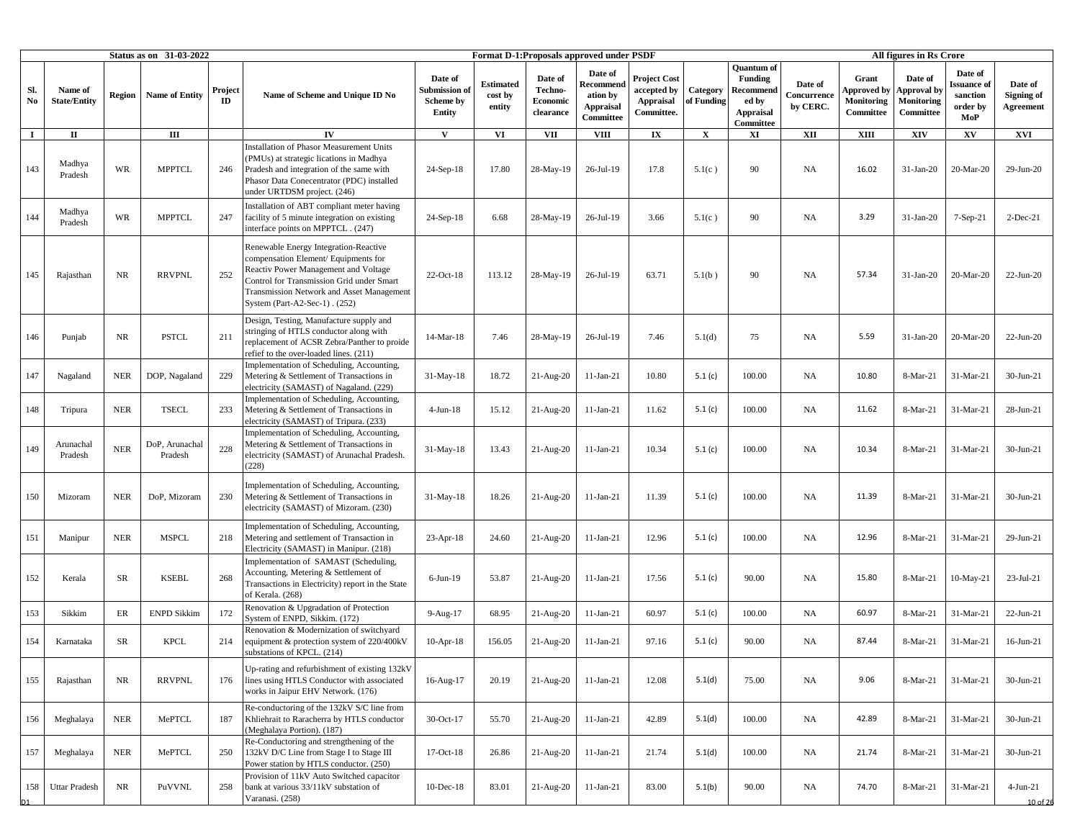|                               |                                |               | <b>Status as on 31-03-2022</b> |               |                                                                                                                                                                                                                                                          |                                                        |                                       |                                                    | Format D-1: Proposals approved under PSDF                         |                                                                      |                        |                                                                                            |                                    |                                                        | All figures in Rs Crore                                  |                                                      |                                           |
|-------------------------------|--------------------------------|---------------|--------------------------------|---------------|----------------------------------------------------------------------------------------------------------------------------------------------------------------------------------------------------------------------------------------------------------|--------------------------------------------------------|---------------------------------------|----------------------------------------------------|-------------------------------------------------------------------|----------------------------------------------------------------------|------------------------|--------------------------------------------------------------------------------------------|------------------------------------|--------------------------------------------------------|----------------------------------------------------------|------------------------------------------------------|-------------------------------------------|
| Sl.<br>$\mathbf{N}\mathbf{o}$ | Name of<br><b>State/Entity</b> | <b>Region</b> | <b>Name of Entity</b>          | Project<br>ID | Name of Scheme and Unique ID No                                                                                                                                                                                                                          | Date of<br>Submission of<br><b>Scheme by</b><br>Entity | <b>Estimated</b><br>cost by<br>entity | Date of<br>Techno-<br><b>Economic</b><br>clearance | Date of<br>Recommend<br>ation by<br><b>Appraisal</b><br>Committee | <b>Project Cost</b><br>accepted by<br><b>Appraisal</b><br>Committee. | Category<br>of Funding | <b>Quantum</b> of<br><b>Funding</b><br>Recommend<br>ed by<br><b>Appraisal</b><br>Committee | Date of<br>Concurrence<br>by CERC. | Grant<br><b>Approved</b> by<br>Monitoring<br>Committee | Date of<br><b>Approval</b> by<br>Monitoring<br>Committee | Date of<br>ssuance of<br>sanction<br>order by<br>MoP | Date of<br>Signing of<br><b>Agreement</b> |
| $\mathbf I$                   | П                              |               | Ш                              |               | $\mathbf{IV}$                                                                                                                                                                                                                                            | V                                                      | VI                                    | <b>VII</b>                                         | <b>VIII</b>                                                       | $\mathbf{I}\mathbf{X}$                                               | $\mathbf X$            | XI                                                                                         | XII                                | <b>XIII</b>                                            | XIV                                                      | XV                                                   | XVI                                       |
| 143                           | Madhya<br>Pradesh              | <b>WR</b>     | <b>MPPTCL</b>                  | 246           | Installation of Phasor Measurement Units<br>(PMUs) at strategic lications in Madhya<br>Pradesh and integration of the same with<br>Phasor Data Conecentrator (PDC) installed<br>under URTDSM project. (246)                                              | $24-Sep-18$                                            | 17.80                                 | 28-May-19                                          | 26-Jul-19                                                         | 17.8                                                                 | 5.1(c)                 | 90                                                                                         | NA                                 | 16.02                                                  | $31-Jan-20$                                              | 20-Mar-20                                            | 29-Jun-20                                 |
| 144                           | Madhya<br>Pradesh              | WR            | <b>MPPTCL</b>                  | 247           | Installation of ABT compliant meter having<br>facility of 5 minute integration on existing<br>nterface points on MPPTCL. (247)                                                                                                                           | 24-Sep-18                                              | 6.68                                  | 28-May-19                                          | 26-Jul-19                                                         | 3.66                                                                 | 5.1(c)                 | 90                                                                                         | <b>NA</b>                          | 3.29                                                   | 31-Jan-20                                                | 7-Sep-21                                             | $2-Dec-21$                                |
| 145                           | Rajasthan                      | <b>NR</b>     | <b>RRVPNL</b>                  | 252           | Renewable Energy Integration-Reactive<br>compensation Element/ Equipments for<br>Reactiv Power Management and Voltage<br>Control for Transmission Grid under Smart<br><b>Transmission Network and Asset Management</b><br>System (Part-A2-Sec-1) . (252) | 22-Oct-18                                              | 113.12                                | 28-May-19                                          | 26-Jul-19                                                         | 63.71                                                                | 5.1(b)                 | 90                                                                                         | NA                                 | 57.34                                                  | $31-Jan-20$                                              | 20-Mar-20                                            | $22$ -Jun-20                              |
| 146                           | Punjab                         | <b>NR</b>     | <b>PSTCL</b>                   | 211           | Design, Testing, Manufacture supply and<br>stringing of HTLS conductor along with<br>eplacement of ACSR Zebra/Panther to proide<br>efief to the over-loaded lines. (211)                                                                                 | 14-Mar-18                                              | 7.46                                  | 28-May-19                                          | 26-Jul-19                                                         | 7.46                                                                 | 5.1(d)                 | 75                                                                                         | NA                                 | 5.59                                                   | $31-Jan-20$                                              | 20-Mar-20                                            | 22-Jun-20                                 |
| 147                           | Nagaland                       | NER           | DOP, Nagaland                  | 229           | mplementation of Scheduling, Accounting,<br>Metering & Settlement of Transactions in<br>electricity (SAMAST) of Nagaland. (229)                                                                                                                          | $31-May-18$                                            | 18.72                                 | 21-Aug-20                                          | $11-Jan-21$                                                       | 10.80                                                                | 5.1(c)                 | 100.00                                                                                     | <b>NA</b>                          | 10.80                                                  | 8-Mar-21                                                 | 31-Mar-21                                            | 30-Jun-21                                 |
| 148                           | Tripura                        | <b>NER</b>    | <b>TSECL</b>                   | 233           | Implementation of Scheduling, Accounting,<br>Metering & Settlement of Transactions in<br>electricity (SAMAST) of Tripura. (233)                                                                                                                          | $4$ -Jun-18                                            | 15.12                                 | 21-Aug-20                                          | $11-Jan-21$                                                       | 11.62                                                                | 5.1(c)                 | 100.00                                                                                     | <b>NA</b>                          | 11.62                                                  | 8-Mar-21                                                 | 31-Mar-21                                            | 28-Jun-21                                 |
| 149                           | Arunachal<br>Pradesh           | <b>NER</b>    | DoP, Arunachal<br>Pradesh      | 228           | mplementation of Scheduling, Accounting,<br>Metering & Settlement of Transactions in<br>electricity (SAMAST) of Arunachal Pradesh.<br>228)                                                                                                               | $31-May-18$                                            | 13.43                                 | $21-Aug-20$                                        | $11-Jan-21$                                                       | 10.34                                                                | 5.1(c)                 | 100.00                                                                                     | <b>NA</b>                          | 10.34                                                  | 8-Mar-21                                                 | 31-Mar-21                                            | 30-Jun-21                                 |
| 150                           | Mizoram                        | <b>NER</b>    | DoP, Mizoram                   | 230           | mplementation of Scheduling, Accounting,<br>Metering & Settlement of Transactions in<br>electricity (SAMAST) of Mizoram. (230)                                                                                                                           | $31-May-18$                                            | 18.26                                 | $21-Aug-20$                                        | $11-Jan-21$                                                       | 11.39                                                                | 5.1(c)                 | 100.00                                                                                     | NA                                 | 11.39                                                  | 8-Mar-21                                                 | 31-Mar-21                                            | $30-Jun-21$                               |
| 151                           | Manipur                        | <b>NER</b>    | <b>MSPCL</b>                   | 218           | mplementation of Scheduling, Accounting,<br>Metering and settlement of Transaction in<br>Electricity (SAMAST) in Manipur. (218)                                                                                                                          | $23$ -Apr-18                                           | 24.60                                 | $21-Aug-20$                                        | $11-Jan-21$                                                       | 12.96                                                                | 5.1(c)                 | 100.00                                                                                     | NA                                 | 12.96                                                  | 8-Mar-21                                                 | 31-Mar-21                                            | 29-Jun-21                                 |
| 152                           | Kerala                         | SR            | <b>KSEBL</b>                   | 268           | implementation of SAMAST (Scheduling,<br>Accounting, Metering & Settlement of<br>Transactions in Electricity) report in the State<br>of Kerala. (268)                                                                                                    | $6$ -Jun-19                                            | 53.87                                 | $21-Aug-20$                                        | $11-Jan-21$                                                       | 17.56                                                                | 5.1(c)                 | 90.00                                                                                      | NA                                 | 15.80                                                  | 8-Mar-21                                                 | 10-May-21                                            | $23-Jul-21$                               |
| 153                           | Sikkim                         | ER            | <b>ENPD Sikkim</b>             | 172           | Renovation & Upgradation of Protection<br>System of ENPD, Sikkim. (172)                                                                                                                                                                                  | $9-Aug-17$                                             | 68.95                                 | $21-Aug-20$                                        | $11-Jan-21$                                                       | 60.97                                                                | 5.1(c)                 | 100.00                                                                                     | <b>NA</b>                          | 60.97                                                  | 8-Mar-21                                                 | 31-Mar-21                                            | $22-Jun-21$                               |
| 154                           | Karnataka                      | SR            | <b>KPCL</b>                    | 214           | Renovation & Modernization of switchyard<br>equipment & protection system of 220/400kV<br>substations of KPCL. (214)                                                                                                                                     | $10-Apr-18$                                            | 156.05                                | $21-Aug-20$                                        | $11-Jan-21$                                                       | 97.16                                                                | 5.1(c)                 | 90.00                                                                                      | <b>NA</b>                          | 87.44                                                  | 8-Mar-21                                                 | 31-Mar-21                                            | $16$ -Jun-21                              |
| 155                           | Rajasthan                      | NR            | <b>RRVPNL</b>                  | 176           | Up-rating and refurbishment of existing 132kV<br>lines using HTLS Conductor with associated<br>works in Jaipur EHV Network. (176)                                                                                                                        | 16-Aug-17                                              | 20.19                                 | 21-Aug-20                                          | $11-Jan-21$                                                       | 12.08                                                                | 5.1(d)                 | 75.00                                                                                      | <b>NA</b>                          | 9.06                                                   | 8-Mar-21                                                 | 31-Mar-21                                            | 30-Jun-21                                 |
| 156                           | Meghalaya                      | <b>NER</b>    | MePTCL                         | 187           | Re-conductoring of the 132kV S/C line from<br>Khliehrait to Raracherra by HTLS conductor<br>(Meghalaya Portion), (187)                                                                                                                                   | 30-Oct-17                                              | 55.70                                 | $21-Aug-20$                                        | $11-Jan-21$                                                       | 42.89                                                                | 5.1(d)                 | 100.00                                                                                     | <b>NA</b>                          | 42.89                                                  | 8-Mar-21                                                 | 31-Mar-21                                            | $30-Jun-21$                               |
| 157                           | Meghalaya                      | <b>NER</b>    | MePTCL                         | 250           | Re-Conductoring and strengthening of the<br>132kV D/C Line from Stage I to Stage III<br>Power station by HTLS conductor. (250)                                                                                                                           | 17-Oct-18                                              | 26.86                                 | $21$ -Aug- $20$                                    | $11-Jan-21$                                                       | 21.74                                                                | 5.1(d)                 | 100.00                                                                                     | <b>NA</b>                          | 21.74                                                  | 8-Mar-21                                                 | 31-Mar-21                                            | $30-Jun-21$                               |
| 158                           | <b>Uttar Pradesh</b>           | $\rm NR$      | PuVVNL                         | 258           | Provision of 11kV Auto Switched capacitor<br>bank at various 33/11kV substation of<br>Varanasi. (258)                                                                                                                                                    | $10$ -Dec- $18$                                        | 83.01                                 | $21-Aug-20$                                        | $11-Jan-21$                                                       | 83.00                                                                | 5.1(b)                 | 90.00                                                                                      | NA                                 | 74.70                                                  | 8-Mar-21                                                 | 31-Mar-21                                            | $4-Jun-21$<br>10 of 26                    |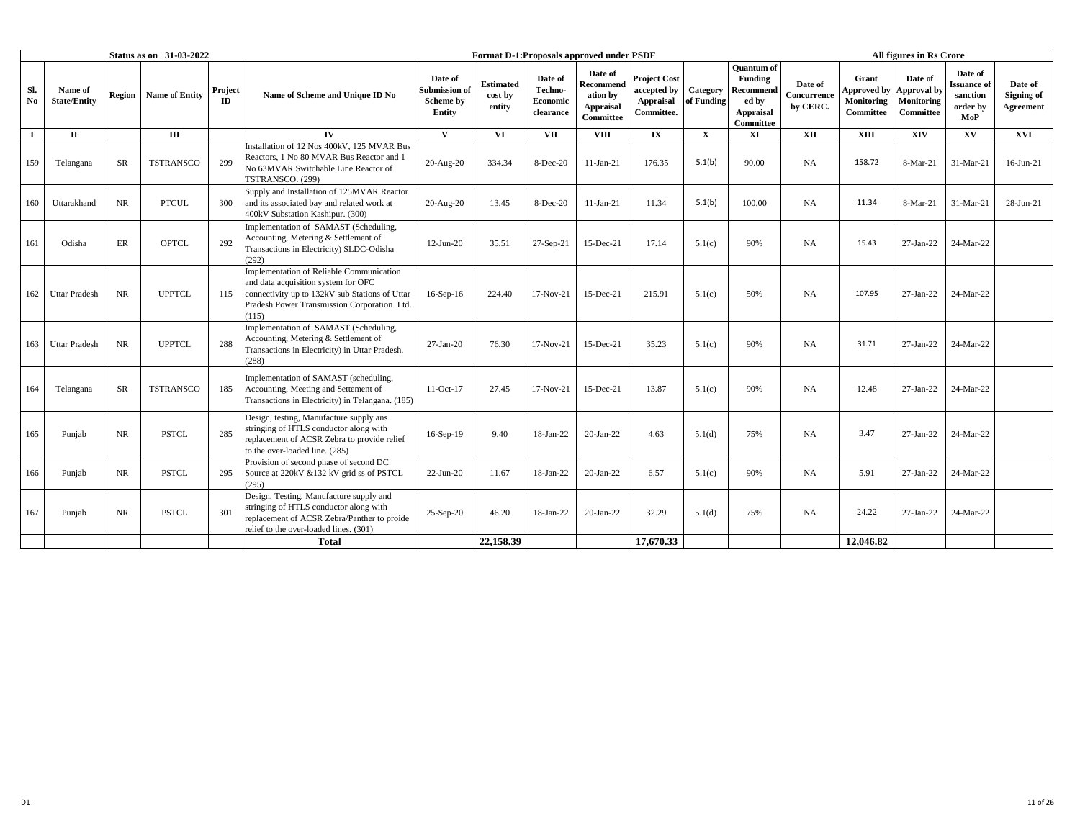|             |                                |           | <b>Status as on 31-03-2022</b> |               |                                                                                                                                                                                           |                                                |                                       |                                             | Format D-1: Proposals approved under PSDF                         |                                                               |                        |                                                                              |                                    |                                                               | All figures in Rs Crore                           |                                                              |                                    |
|-------------|--------------------------------|-----------|--------------------------------|---------------|-------------------------------------------------------------------------------------------------------------------------------------------------------------------------------------------|------------------------------------------------|---------------------------------------|---------------------------------------------|-------------------------------------------------------------------|---------------------------------------------------------------|------------------------|------------------------------------------------------------------------------|------------------------------------|---------------------------------------------------------------|---------------------------------------------------|--------------------------------------------------------------|------------------------------------|
| Sl.<br>No   | Name of<br><b>State/Entity</b> | Region    | <b>Name of Entity</b>          | Project<br>ID | Name of Scheme and Unique ID No                                                                                                                                                           | Date of<br>Submission o<br>Scheme by<br>Entity | <b>Estimated</b><br>cost by<br>entity | Date of<br>Techno-<br>Economic<br>clearance | Date of<br>Recommend<br>ation by<br><b>Appraisal</b><br>Committee | <b>Project Cost</b><br>accepted by<br>Appraisal<br>Committee. | Category<br>of Funding | <b>Ouantum</b> of<br>Funding<br>Recommend<br>ed by<br>Appraisal<br>Committee | Date of<br>Concurrence<br>by CERC. | Grant<br><b>Approved by</b><br><b>Monitoring</b><br>Committee | Date of<br>Approval by<br>Monitoring<br>Committee | Date of<br><b>Issuance</b> of<br>sanction<br>order by<br>MoP | Date of<br>Signing of<br>Agreement |
| $\mathbf I$ | $\Pi$                          |           | $\mathbf{H}$                   |               | IV                                                                                                                                                                                        | $\mathbf{V}$                                   | VI.                                   | <b>VII</b>                                  | <b>VIII</b>                                                       | $\mathbf{I} \mathbf{X}$                                       | $\mathbf{x}$           | XI                                                                           | <b>XII</b>                         | <b>XIII</b>                                                   | XIV                                               | XV                                                           | XVI                                |
| 159         | Telangana                      | <b>SR</b> | <b>TSTRANSCO</b>               | 299           | Installation of 12 Nos 400kV, 125 MVAR Bus<br>Reactors, 1 No 80 MVAR Bus Reactor and 1<br>No 63MVAR Switchable Line Reactor of<br>TSTRANSCO. (299)                                        | 20-Aug-20                                      | 334.34                                | 8-Dec-20                                    | $11-Jan-21$                                                       | 176.35                                                        | 5.1(b)                 | 90.00                                                                        | <b>NA</b>                          | 158.72                                                        | 8-Mar-21                                          | 31-Mar-21                                                    | $16$ -Jun- $21$                    |
| 160         | Uttarakhand                    | <b>NR</b> | <b>PTCUL</b>                   | 300           | Supply and Installation of 125MVAR Reactor<br>and its associated bay and related work at<br>400kV Substation Kashipur. (300)                                                              | 20-Aug-20                                      | 13.45                                 | 8-Dec-20                                    | $11-Jan-21$                                                       | 11.34                                                         | 5.1(b)                 | 100.00                                                                       | <b>NA</b>                          | 11.34                                                         | 8-Mar-21                                          | 31-Mar-21                                                    | 28-Jun-21                          |
| 161         | Odisha                         | ER        | <b>OPTCL</b>                   | 292           | Implementation of SAMAST (Scheduling,<br>Accounting, Metering & Settlement of<br>Transactions in Electricity) SLDC-Odisha<br>(292)                                                        | $12-Jun-20$                                    | 35.51                                 | 27-Sep-21                                   | 15-Dec-21                                                         | 17.14                                                         | 5.1(c)                 | 90%                                                                          | <b>NA</b>                          | 15.43                                                         | 27-Jan-22                                         | 24-Mar-22                                                    |                                    |
| 162         | <b>Uttar Pradesh</b>           | <b>NR</b> | <b>UPPTCL</b>                  | 115           | Implementation of Reliable Communication<br>and data acquisition system for OFC<br>connectivity up to 132kV sub Stations of Uttar<br>Pradesh Power Transmission Corporation Ltd.<br>(115) | $16-Sep-16$                                    | 224.40                                | 17-Nov-21                                   | 15-Dec-21                                                         | 215.91                                                        | 5.1(c)                 | 50%                                                                          | <b>NA</b>                          | 107.95                                                        | 27-Jan-22                                         | 24-Mar-22                                                    |                                    |
| 163         | <b>Uttar Pradesh</b>           | <b>NR</b> | <b>UPPTCL</b>                  | 288           | Implementation of SAMAST (Scheduling,<br>Accounting, Metering & Settlement of<br>Transactions in Electricity) in Uttar Pradesh.<br>(288)                                                  | $27-Ian-20$                                    | 76.30                                 | 17-Nov-21                                   | 15-Dec-21                                                         | 35.23                                                         | 5.1(c)                 | 90%                                                                          | <b>NA</b>                          | 31.71                                                         | 27-Jan-22                                         | 24-Mar-22                                                    |                                    |
| 164         | Telangana                      | <b>SR</b> | <b>TSTRANSCO</b>               | 185           | Implementation of SAMAST (scheduling,<br>Accounting, Meeting and Settement of<br>Transactions in Electricity) in Telangana. (185)                                                         | $11-Oct-17$                                    | 27.45                                 | $17-Nov-21$                                 | 15-Dec-21                                                         | 13.87                                                         | 5.1(c)                 | 90%                                                                          | <b>NA</b>                          | 12.48                                                         | 27-Jan-22                                         | 24-Mar-22                                                    |                                    |
| 165         | Punjab                         | NR        | <b>PSTCL</b>                   | 285           | Design, testing, Manufacture supply ans<br>stringing of HTLS conductor along with<br>replacement of ACSR Zebra to provide relief<br>to the over-loaded line. (285)                        | 16-Sep-19                                      | 9.40                                  | 18-Jan-22                                   | $20-Ian-22$                                                       | 4.63                                                          | 5.1(d)                 | 75%                                                                          | <b>NA</b>                          | 3.47                                                          | 27-Jan-22                                         | 24-Mar-22                                                    |                                    |
| 166         | Punjab                         | NR        | <b>PSTCL</b>                   | 295           | Provision of second phase of second DC<br>Source at 220kV &132 kV grid ss of PSTCL<br>(295)                                                                                               | $22-Jun-20$                                    | 11.67                                 | 18-Jan-22                                   | $20-Ian-22$                                                       | 6.57                                                          | 5.1(c)                 | 90%                                                                          | <b>NA</b>                          | 5.91                                                          | 27-Jan-22                                         | 24-Mar-22                                                    |                                    |
| 167         | Punjab                         | <b>NR</b> | <b>PSTCL</b>                   | 301           | Design, Testing, Manufacture supply and<br>stringing of HTLS conductor along with<br>replacement of ACSR Zebra/Panther to proide<br>relief to the over-loaded lines. (301)                | 25-Sep-20                                      | 46.20                                 | 18-Jan-22                                   | $20-Ian-22$                                                       | 32.29                                                         | 5.1(d)                 | 75%                                                                          | <b>NA</b>                          | 24.22                                                         | 27-Jan-22                                         | 24-Mar-22                                                    |                                    |
|             |                                |           |                                |               | <b>Total</b>                                                                                                                                                                              |                                                | 22.158.39                             |                                             |                                                                   | 17.670.33                                                     |                        |                                                                              |                                    | 12.046.82                                                     |                                                   |                                                              |                                    |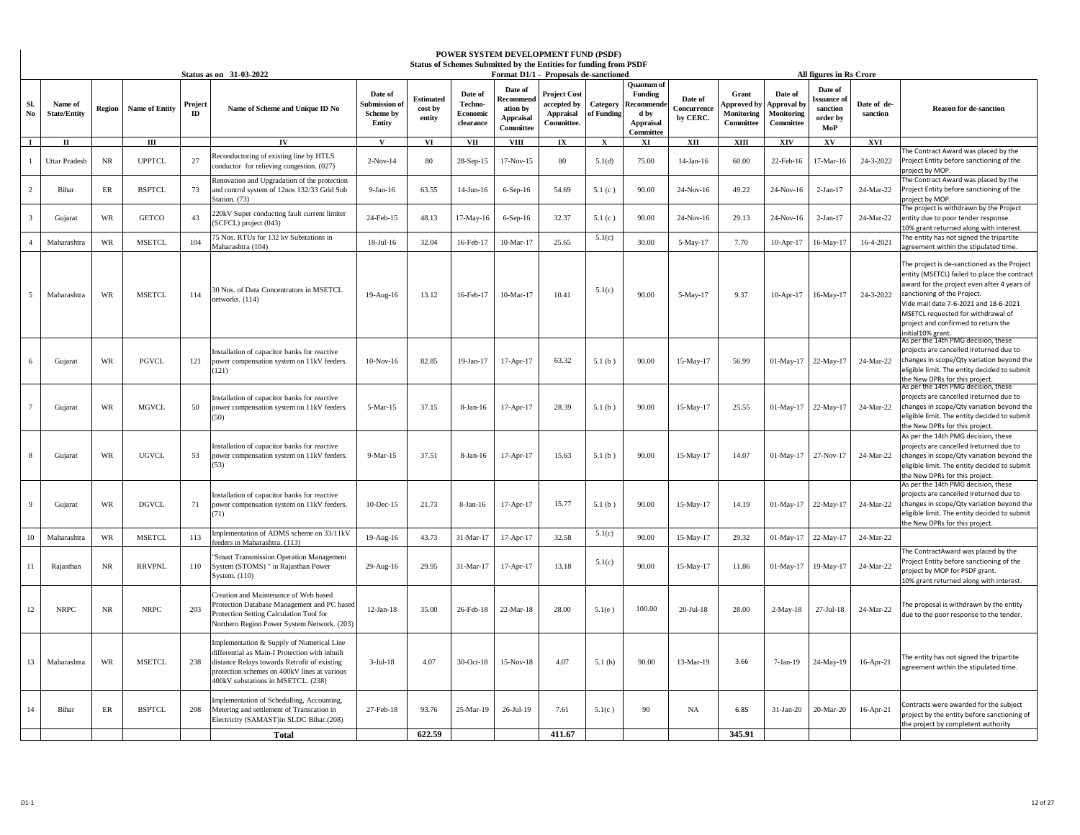|                |                                |           |                       |              |                                                                                                                                                                                                                                  |                                                 |                                |                                             |                                                                 | POWER SYSTEM DEVELOPMENT FUND (PSDF)<br>Status of Schemes Submitted by the Entities for funding from PSDF |                        |                                                                                   |                                    |                                                        |                                                  |                                                                                 |                         |                                                                                                                                                                                                                                                                                                                     |
|----------------|--------------------------------|-----------|-----------------------|--------------|----------------------------------------------------------------------------------------------------------------------------------------------------------------------------------------------------------------------------------|-------------------------------------------------|--------------------------------|---------------------------------------------|-----------------------------------------------------------------|-----------------------------------------------------------------------------------------------------------|------------------------|-----------------------------------------------------------------------------------|------------------------------------|--------------------------------------------------------|--------------------------------------------------|---------------------------------------------------------------------------------|-------------------------|---------------------------------------------------------------------------------------------------------------------------------------------------------------------------------------------------------------------------------------------------------------------------------------------------------------------|
| SI.<br>No      | Name of<br><b>State/Entity</b> | Region    | <b>Name of Entity</b> | Project<br>m | Status as on 31-03-2022<br>Name of Scheme and Unique ID No                                                                                                                                                                       | Date of<br>submission of<br>Scheme by<br>Entity | Estimated<br>cost by<br>entity | Date of<br>Techno-<br>Economic<br>clearance | Date of<br>ecommen<br>ation by<br><b>Appraisal</b><br>Committee | Format D1/1 - Proposals de-sanctioned<br><b>Project Cost</b><br>accepted by<br>Appraisal<br>Committee.    | Category<br>of Funding | Ouantum o<br><b>Funding</b><br>Recommend<br>d by<br><b>Appraisal</b><br>Committee | Date of<br>Concurrence<br>by CERC. | Grant<br><b>Approved</b> by<br>Monitoring<br>Committee | Date of<br>pproval by<br>Monitoring<br>Committee | All figures in Rs Crore<br>Date of<br>ssuance of<br>sanction<br>order by<br>MoP | Date of de-<br>sanction | <b>Reason for de-sanction</b>                                                                                                                                                                                                                                                                                       |
| $\mathbf{I}$   | $\mathbf{I}$                   |           | Ш                     |              | IV                                                                                                                                                                                                                               | v                                               | VI                             | VII                                         | <b>VIII</b>                                                     | IX                                                                                                        | X                      | XI                                                                                | XII                                | XIII                                                   | XIV                                              | XV                                                                              | XVI                     | he Contract Award was placed by the                                                                                                                                                                                                                                                                                 |
|                | <b>Uttar Pradesh</b>           | $\rm NR$  | <b>UPPTCL</b>         | 27           | Reconductoring of existing line by HTLS<br>conductor for relieving congestion. (027)                                                                                                                                             | $2-Nov-14$                                      | 80                             | 28-Sep-15                                   | 17-Nov-15                                                       | 80                                                                                                        | 5.1(d)                 | 75.00                                                                             | $14$ -Jan- $16$                    | 60.00                                                  | 22-Feb-16                                        | 17-Mar-16                                                                       | 24-3-2022               | Project Entity before sanctioning of the<br>project by MOP.                                                                                                                                                                                                                                                         |
| $\overline{2}$ | Bihar                          | ER        | <b>BSPTCL</b>         | 73           | Renovation and Upgradation of the protection<br>and control system of 12nos 132/33 Grid Sub<br>Station. (73)                                                                                                                     | 9-Jan-16                                        | 63.55                          | 14-Jun-16                                   | $6-Sep-16$                                                      | 54.69                                                                                                     | 5.1(c)                 | 90.00                                                                             | 24-Nov-16                          | 49.22                                                  | 24-Nov-16                                        | $2-Ian-17$                                                                      | 24-Mar-22               | The Contract Award was placed by the<br>Project Entity before sanctioning of the<br>project by MOP.                                                                                                                                                                                                                 |
|                | Gujarat                        | WR        | <b>GETCO</b>          | 43           | 220kV Super conducting fault current limiter<br>(SCFCL) project (043)                                                                                                                                                            | 24-Feb-15                                       | 48.13                          | 17-May-16                                   | $6-Sep-16$                                                      | 32.37                                                                                                     | 5.1(c)                 | 90.00                                                                             | 24-Nov-16                          | 29.13                                                  | 24-Nov-16                                        | $2-Ian-17$                                                                      | 24-Mar-22               | The project is withdrawn by the Project<br>entity due to poor tender response.<br>10% grant returned along with interest.                                                                                                                                                                                           |
| $\Delta$       | Maharashtra                    | WR        | <b>MSETCL</b>         | 104          | 5 Nos. RTUs for 132 kv Substations in<br>Maharashtra (104)                                                                                                                                                                       | 18-Jul-16                                       | 32.04                          | 16-Feb-17                                   | 10-Mar-17                                                       | 25.65                                                                                                     | 5.1(c)                 | 30.00                                                                             | 5-May-17                           | 7.70                                                   | 10-Apr-17                                        | 16-May-17                                                                       | 16-4-2021               | The entity has not signed the tripartite<br>greement within the stipulated time.                                                                                                                                                                                                                                    |
| 5              | Maharashtra                    | WR        | <b>MSETCL</b>         | 114          | 10 Nos. of Data Concentrators in MSETCL<br>networks. (114)                                                                                                                                                                       | 19-Aug-16                                       | 13.12                          | 16-Feb-17                                   | 10-Mar-17                                                       | 10.41                                                                                                     | 5.1(c)                 | 90.00                                                                             | 5-May-17                           | 9.37                                                   | $10-Apr-17$                                      | 16-May-17                                                                       | 24-3-2022               | The project is de-sanctioned as the Project<br>entity (MSETCL) failed to place the contract<br>award for the project even after 4 years of<br>sanctioning of the Project.<br>Vide mail date 7-6-2021 and 18-6-2021<br>MSETCL requested for withdrawal of<br>project and confirmed to return the<br>nitial10% grant. |
| 6              | Gujarat                        | WR        | PGVCL                 | 121          | Installation of capacitor banks for reactive<br>power compensation system on 11kV feeders.<br>(121)                                                                                                                              | $10-Nov-16$                                     | 82.85                          | 19-Jan-17                                   | 17-Apr-17                                                       | 63.32                                                                                                     | 5.1(b)                 | 90.00                                                                             | 15-May-17                          | 56.99                                                  | 01-May-17                                        | 22-May-17                                                                       | 24-Mar-22               | \s per the 14th PMG decision, these<br>projects are cancelled Ireturned due to<br>changes in scope/Qty variation beyond the<br>eligible limit. The entity decided to submit<br>the New DPRs for this project.                                                                                                       |
|                | Gujarat                        | WR        | <b>MGVCL</b>          | 50           | Installation of capacitor banks for reactive<br>power compensation system on 11kV feeders.<br>(50)                                                                                                                               | 5-Mar-15                                        | 37.15                          | 8-Jan-16                                    | 17-Apr-17                                                       | 28.39                                                                                                     | 5.1(b)                 | 90.00                                                                             | 15-May-17                          | 25.55                                                  | 01-May-17                                        | 22-May-17                                                                       | 24-Mar-22               | As per the 14th PMG decision, these<br>projects are cancelled Ireturned due to<br>changes in scope/Qty variation beyond the<br>eligible limit. The entity decided to submit<br>the New DPRs for this project.                                                                                                       |
|                | Gujarat                        | WR        | <b>UGVCL</b>          | 53           | Installation of capacitor banks for reactive<br>power compensation system on 11kV feeders.<br>(53)                                                                                                                               | 9-Mar-15                                        | 37.51                          | 8-Jan-16                                    | 17-Apr-17                                                       | 15.63                                                                                                     | 5.1(b)                 | 90.00                                                                             | 15-May-17                          | 14.07                                                  | 01-May-17                                        | 27-Nov-17                                                                       | 24-Mar-22               | As per the 14th PMG decision, these<br>projects are cancelled Ireturned due to<br>changes in scope/Qty variation beyond the<br>eligible limit. The entity decided to submit<br>the New DPRs for this project.                                                                                                       |
|                | Gujarat                        | WR        | <b>DGVCL</b>          | 71           | Installation of capacitor banks for reactive<br>power compensation system on 11kV feeders.<br>71)                                                                                                                                | $10$ -Dec- $15$                                 | 21.73                          | 8-Jan-16                                    | 17-Apr-17                                                       | 15.77                                                                                                     | 5.1(b)                 | 90.00                                                                             | 15-May-17                          | 14.19                                                  | 01-May-17                                        | 22-May-17                                                                       | 24-Mar-22               | As per the 14th PMG decision, these<br>projects are cancelled Ireturned due to<br>changes in scope/Qty variation beyond the<br>eligible limit. The entity decided to submit<br>the New DPRs for this project.                                                                                                       |
| 10             | Maharashtra                    | <b>WR</b> | <b>MSETCL</b>         | 113          | mplementation of ADMS scheme on 33/11kV<br>feeders in Maharashtra. (113)                                                                                                                                                         | 19-Aug-16                                       | 43.73                          | 31-Mar-17                                   | 17-Apr-17                                                       | 32.58                                                                                                     | 5.1(c)                 | 90.00                                                                             | 15-May-17                          | 29.32                                                  | 01-May-17                                        | 22-May-17                                                                       | 24-Mar-22               |                                                                                                                                                                                                                                                                                                                     |
| 11             | Rajasthan                      | NR        | <b>RRVPNL</b>         | 110          | <b>Smart Transmission Operation Management</b><br>System (STOMS) " in Rajasthan Power<br>System. (110)                                                                                                                           | 29-Aug-16                                       | 29.95                          | 31-Mar-17                                   | 17-Apr-17                                                       | 13.18                                                                                                     | 5.1(c)                 | 90.00                                                                             | 15-May-17                          | 11.86                                                  | 01-May-17                                        | 19-May-17                                                                       | 24-Mar-22               | The ContractAward was placed by the<br>Project Entity before sanctioning of the<br>project by MOP for PSDF grant.<br>10% grant returned along with interest.                                                                                                                                                        |
| 12             | <b>NRPC</b>                    | NR        | <b>NRPC</b>           | 203          | Creation and Maintenance of Web based<br>Protection Database Management and PC based<br>Protection Setting Calculation Tool for<br>Northern Region Power System Network. (203)                                                   | $12-Jan-18$                                     | 35.00                          | 26-Feb-18                                   | 22-Mar-18                                                       | 28.00                                                                                                     | 5.1(e)                 | 100.00                                                                            | $20$ -Jul-18                       | 28.00                                                  | $2-May-18$                                       | 27-Jul-18                                                                       | 24-Mar-22               | The proposal is withdrawn by the entity<br>due to the poor response to the tender.                                                                                                                                                                                                                                  |
| 13             | Maharashtra                    | WR        | <b>MSETCL</b>         | 238          | mplementation & Supply of Numerical Line<br>differential as Main-I Protection with inbuilt<br>distance Relays towards Retrofit of existing<br>protection schemes on 400kV lines at various<br>400kV substations in MSETCL. (238) | $3-Jul-18$                                      | 4.07                           | 30-Oct-18                                   | 15-Nov-18                                                       | 4.07                                                                                                      | 5.1(b)                 | 90.00                                                                             | 13-Mar-19                          | 3.66                                                   | 7-Jan-19                                         | 24-May-19                                                                       | $16$ -Apr-21            | The entity has not signed the tripartite<br>agreement within the stipulated time.                                                                                                                                                                                                                                   |
| 14             | Bihar                          | ER        | <b>BSPTCL</b>         | 208          | mplementation of Schedulling, Accounting,<br>Metering and settlement of Transcation in<br>Electricity (SAMAST)in SLDC Bihar.(208)                                                                                                | 27-Feb-18                                       | 93.76                          | 25-Mar-19                                   | 26-Jul-19                                                       | 7.61                                                                                                      | 5.1(c)                 | 90                                                                                | NA                                 | 6.85                                                   | $31-Ian-20$                                      | 20-Mar-20                                                                       | $16$ -Apr-21            | Contracts were awarded for the subject<br>project by the entity before sanctioning of<br>the project by completent authority                                                                                                                                                                                        |
|                |                                |           |                       |              | <b>Total</b>                                                                                                                                                                                                                     |                                                 | 622.59                         |                                             |                                                                 | 411.67                                                                                                    |                        |                                                                                   |                                    | 345.91                                                 |                                                  |                                                                                 |                         |                                                                                                                                                                                                                                                                                                                     |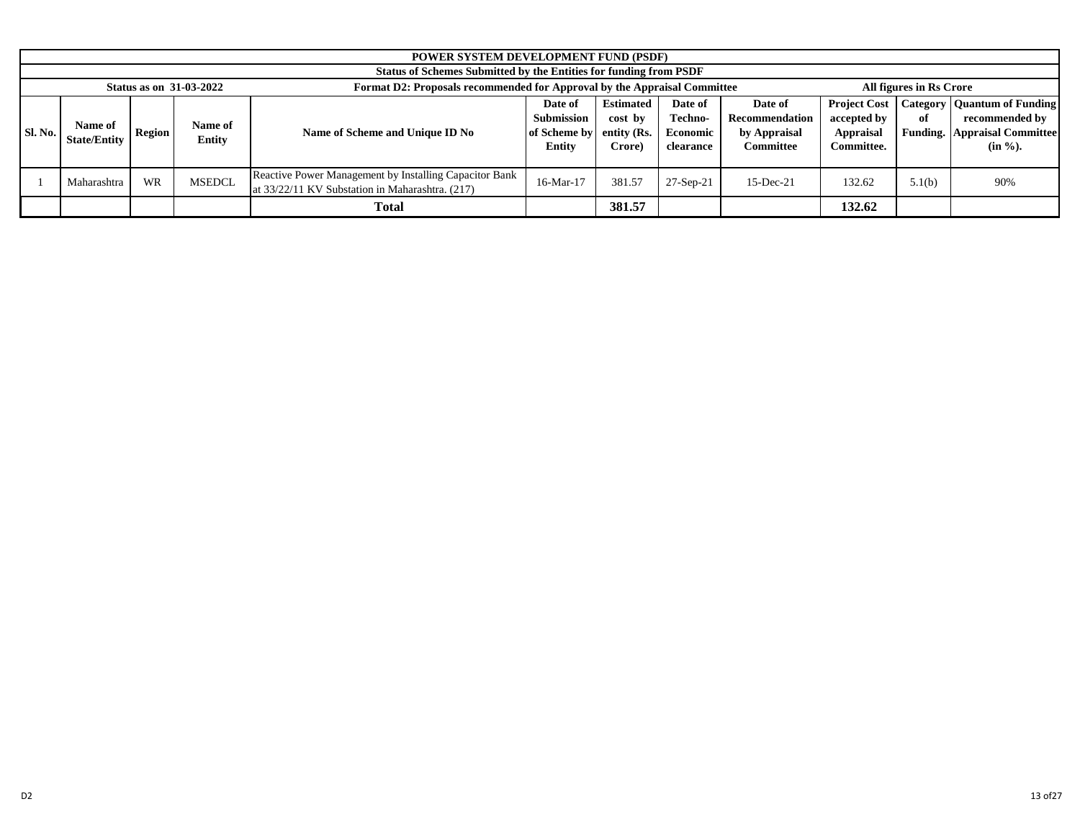|                                                                                                                                                                                                                                                                                                                                                                                                                                                         | <b>POWER SYSTEM DEVELOPMENT FUND (PSDF)</b>                              |  |                                |                                                                                                           |              |                                                                                                             |             |              |        |                         |     |
|---------------------------------------------------------------------------------------------------------------------------------------------------------------------------------------------------------------------------------------------------------------------------------------------------------------------------------------------------------------------------------------------------------------------------------------------------------|--------------------------------------------------------------------------|--|--------------------------------|-----------------------------------------------------------------------------------------------------------|--------------|-------------------------------------------------------------------------------------------------------------|-------------|--------------|--------|-------------------------|-----|
|                                                                                                                                                                                                                                                                                                                                                                                                                                                         | <b>Status of Schemes Submitted by the Entities for funding from PSDF</b> |  |                                |                                                                                                           |              |                                                                                                             |             |              |        |                         |     |
|                                                                                                                                                                                                                                                                                                                                                                                                                                                         |                                                                          |  | <b>Status as on 31-03-2022</b> | Format D2: Proposals recommended for Approval by the Appraisal Committee                                  |              |                                                                                                             |             |              |        | All figures in Rs Crore |     |
| <b>Estimated</b><br><b>Project Cost</b><br>. Category<br>Date of<br>Date of<br>Date of<br><b>Submission</b><br>Techno-<br>accepted by<br>Recommendation<br>cost by<br>of<br>Name of<br>Name of<br><b>Sl. No.</b><br>Name of Scheme and Unique ID No<br>by Appraisal<br>Economic<br>Appraisal<br>Region<br>of Scheme by<br>entity (Rs.<br><b>Entity</b><br><b>State/Entity</b><br><b>Entity</b><br><b>Committee</b><br>Committee.<br>Crore)<br>clearance |                                                                          |  |                                |                                                                                                           |              | <b>Quantum of Funding</b><br>recommended by<br><b>Funding.</b> Appraisal Committee<br>$(in \mathcal{V}_0).$ |             |              |        |                         |     |
| <b>MSEDCL</b><br><b>WR</b><br>Maharashtra                                                                                                                                                                                                                                                                                                                                                                                                               |                                                                          |  |                                | Reactive Power Management by Installing Capacitor Bank<br>at 33/22/11 KV Substation in Maharashtra. (217) | $16$ -Mar-17 | 381.57                                                                                                      | $27-Sep-21$ | $15$ -Dec-21 | 132.62 | 5.1(b)                  | 90% |
|                                                                                                                                                                                                                                                                                                                                                                                                                                                         |                                                                          |  |                                | <b>Total</b>                                                                                              |              | 381.57                                                                                                      |             |              | 132.62 |                         |     |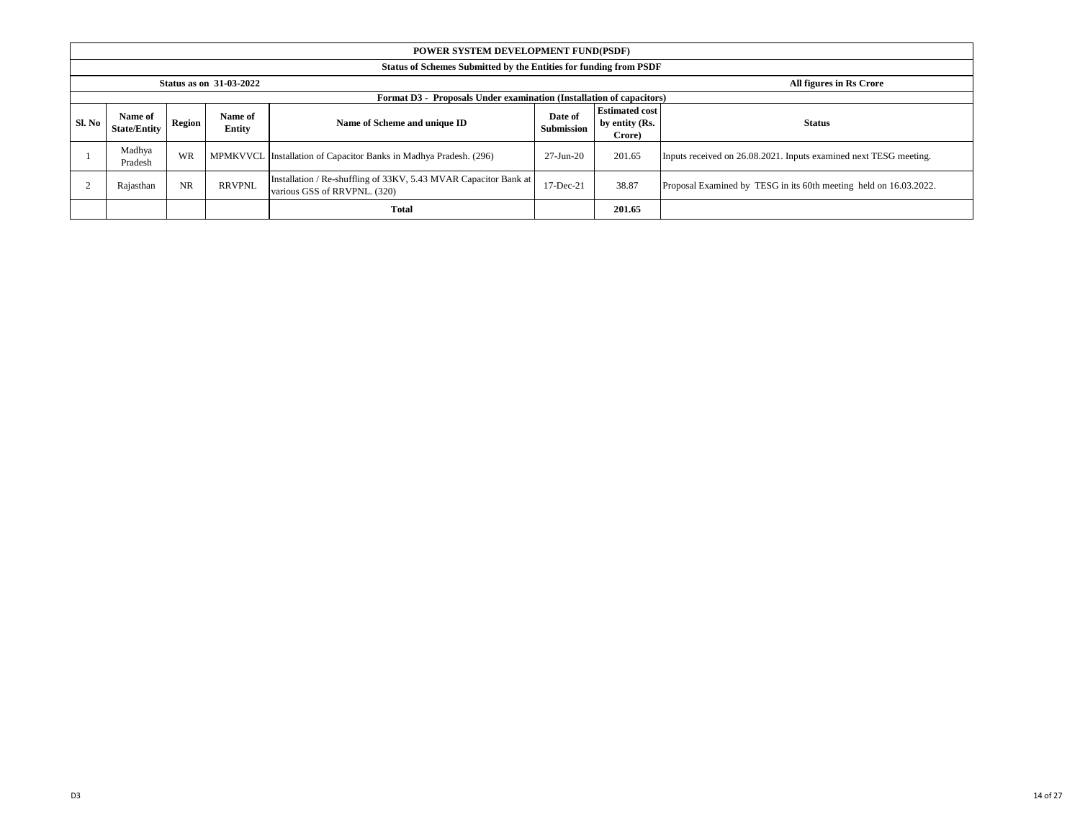|        | POWER SYSTEM DEVELOPMENT FUND(PSDF)                                                                                                                                                                 |           |               |                                                                                                  |                                                                   |        |                                                                   |  |  |  |  |
|--------|-----------------------------------------------------------------------------------------------------------------------------------------------------------------------------------------------------|-----------|---------------|--------------------------------------------------------------------------------------------------|-------------------------------------------------------------------|--------|-------------------------------------------------------------------|--|--|--|--|
|        | Status of Schemes Submitted by the Entities for funding from PSDF                                                                                                                                   |           |               |                                                                                                  |                                                                   |        |                                                                   |  |  |  |  |
|        | <b>Status as on 31-03-2022</b><br>All figures in Rs Crore                                                                                                                                           |           |               |                                                                                                  |                                                                   |        |                                                                   |  |  |  |  |
|        |                                                                                                                                                                                                     |           |               | Format D3 - Proposals Under examination (Installation of capacitors)                             |                                                                   |        |                                                                   |  |  |  |  |
| Sl. No | <b>Estimated cost</b><br>Name of<br>Date of<br>Name of<br>Region<br>Name of Scheme and unique ID<br>by entity (Rs.<br><b>Status</b><br><b>Submission</b><br><b>State/Entity</b><br>Entity<br>Crore) |           |               |                                                                                                  |                                                                   |        |                                                                   |  |  |  |  |
|        | Madhya<br>Pradesh                                                                                                                                                                                   | WR        |               | MPMKVVCL Installation of Capacitor Banks in Madhya Pradesh. (296)                                | $27 - Jun-20$                                                     | 201.65 | Inputs received on 26.08.2021. Inputs examined next TESG meeting. |  |  |  |  |
|        | Rajasthan                                                                                                                                                                                           | <b>NR</b> | <b>RRVPNL</b> | Installation / Re-shuffling of 33KV, 5.43 MVAR Capacitor Bank at<br>various GSS of RRVPNL. (320) | Proposal Examined by TESG in its 60th meeting held on 16.03.2022. |        |                                                                   |  |  |  |  |
|        |                                                                                                                                                                                                     |           |               | <b>Total</b>                                                                                     |                                                                   | 201.65 |                                                                   |  |  |  |  |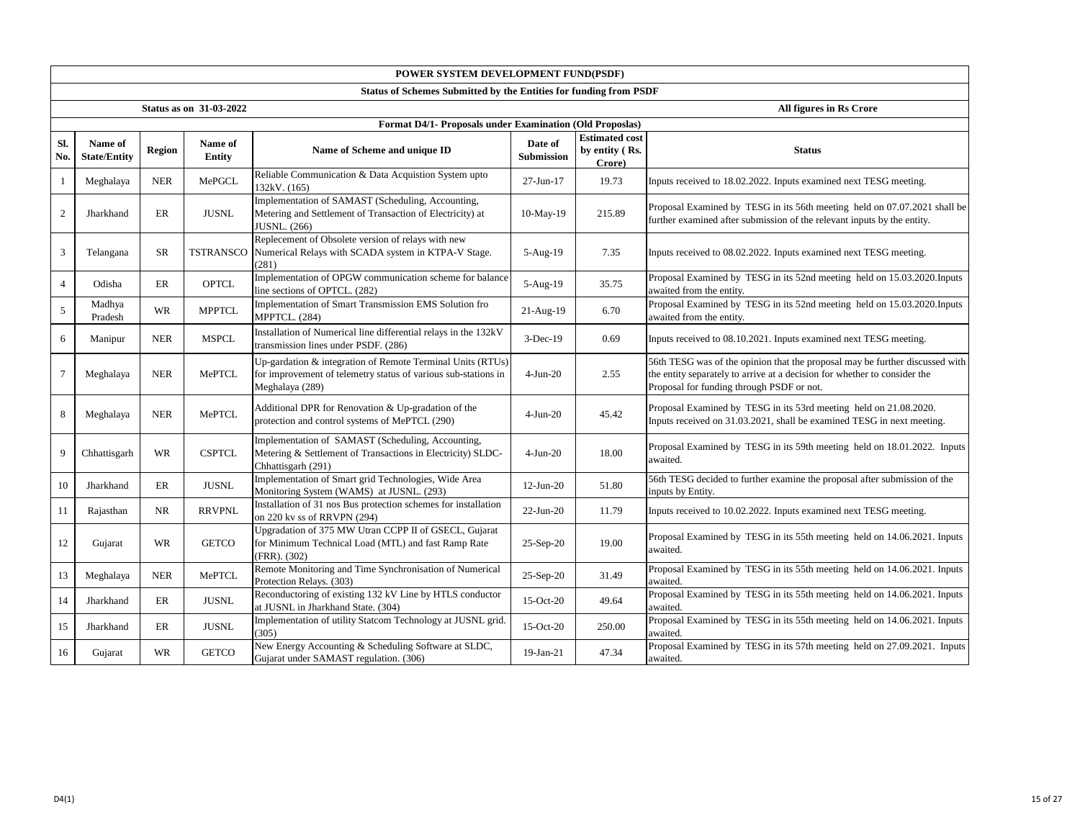|                | POWER SYSTEM DEVELOPMENT FUND(PSDF)                               |            |                                |                                                                                                                                                 |                       |                                                   |                                                                                                                                                                                                        |  |  |  |  |
|----------------|-------------------------------------------------------------------|------------|--------------------------------|-------------------------------------------------------------------------------------------------------------------------------------------------|-----------------------|---------------------------------------------------|--------------------------------------------------------------------------------------------------------------------------------------------------------------------------------------------------------|--|--|--|--|
|                | Status of Schemes Submitted by the Entities for funding from PSDF |            |                                |                                                                                                                                                 |                       |                                                   |                                                                                                                                                                                                        |  |  |  |  |
|                |                                                                   |            | <b>Status as on 31-03-2022</b> |                                                                                                                                                 |                       |                                                   | All figures in Rs Crore                                                                                                                                                                                |  |  |  |  |
|                |                                                                   |            |                                | Format D4/1- Proposals under Examination (Old Proposlas)                                                                                        |                       |                                                   |                                                                                                                                                                                                        |  |  |  |  |
| Sl.<br>No.     | Name of<br><b>State/Entity</b>                                    | Region     | Name of<br><b>Entity</b>       | Name of Scheme and unique ID                                                                                                                    | Date of<br>Submission | <b>Estimated cost</b><br>by entity (Rs.<br>Crore) | <b>Status</b>                                                                                                                                                                                          |  |  |  |  |
| 1              | Meghalaya                                                         | <b>NER</b> | MePGCL                         | Reliable Communication & Data Acquistion System upto<br>132kV. (165)                                                                            | 27-Jun-17             | 19.73                                             | Inputs received to 18.02.2022. Inputs examined next TESG meeting.                                                                                                                                      |  |  |  |  |
| 2              | Jharkhand                                                         | ER         | <b>JUSNL</b>                   | Implementation of SAMAST (Scheduling, Accounting,<br>Metering and Settlement of Transaction of Electricity) at<br>JUSNL. (266)                  | 10-May-19             | 215.89                                            | Proposal Examined by TESG in its 56th meeting held on 07.07.2021 shall be<br>further examined after submission of the relevant inputs by the entity.                                                   |  |  |  |  |
| 3              | Telangana                                                         | <b>SR</b>  | <b>TSTRANSCO</b>               | Replecement of Obsolete version of relays with new<br>Numerical Relays with SCADA system in KTPA-V Stage.<br>(281)                              | 5-Aug-19              | 7.35                                              | Inputs received to 08.02.2022. Inputs examined next TESG meeting.                                                                                                                                      |  |  |  |  |
| $\overline{4}$ | Odisha                                                            | ER         | <b>OPTCL</b>                   | Implementation of OPGW communication scheme for balance<br>line sections of OPTCL. (282)                                                        | 5-Aug-19              | 35.75                                             | Proposal Examined by TESG in its 52nd meeting held on 15.03.2020. Inputs<br>awaited from the entity.                                                                                                   |  |  |  |  |
| 5              | Madhya<br>Pradesh                                                 | <b>WR</b>  | <b>MPPTCL</b>                  | Implementation of Smart Transmission EMS Solution fro<br>MPPTCL. (284)                                                                          | 21-Aug-19             | 6.70                                              | Proposal Examined by TESG in its 52nd meeting held on 15.03.2020. Inputs<br>awaited from the entity.                                                                                                   |  |  |  |  |
| 6              | Manipur                                                           | <b>NER</b> | <b>MSPCL</b>                   | Installation of Numerical line differential relays in the 132kV<br>transmission lines under PSDF. (286)                                         | $3-Dec-19$            | 0.69                                              | Inputs received to 08.10.2021. Inputs examined next TESG meeting.                                                                                                                                      |  |  |  |  |
| 7              | Meghalaya                                                         | <b>NER</b> | MePTCL                         | Up-gardation & integration of Remote Terminal Units (RTUs)<br>for improvement of telemetry status of various sub-stations in<br>Meghalaya (289) | $4-Jun-20$            | 2.55                                              | 56th TESG was of the opinion that the proposal may be further discussed with<br>the entity separately to arrive at a decision for whether to consider the<br>Proposal for funding through PSDF or not. |  |  |  |  |
| 8              | Meghalaya                                                         | <b>NER</b> | MePTCL                         | Additional DPR for Renovation & Up-gradation of the<br>protection and control systems of MePTCL (290)                                           | $4-Jun-20$            | 45.42                                             | Proposal Examined by TESG in its 53rd meeting held on 21.08.2020.<br>Inputs received on 31.03.2021, shall be examined TESG in next meeting.                                                            |  |  |  |  |
| 9              | Chhattisgarh                                                      | WR         | <b>CSPTCL</b>                  | Implementation of SAMAST (Scheduling, Accounting,<br>Metering & Settlement of Transactions in Electricity) SLDC-<br>Chhattisgarh (291)          | $4-Jun-20$            | 18.00                                             | Proposal Examined by TESG in its 59th meeting held on 18.01.2022. Inputs<br>awaited.                                                                                                                   |  |  |  |  |
| 10             | Jharkhand                                                         | ER         | <b>JUSNL</b>                   | Implementation of Smart grid Technologies, Wide Area<br>Monitoring System (WAMS) at JUSNL. (293)                                                | $12-Jun-20$           | 51.80                                             | 56th TESG decided to further examine the proposal after submission of the<br>inputs by Entity.                                                                                                         |  |  |  |  |
| 11             | Rajasthan                                                         | NR         | <b>RRVPNL</b>                  | Installation of 31 nos Bus protection schemes for installation<br>on 220 kv ss of RRVPN (294)                                                   | $22-Jun-20$           | 11.79                                             | Inputs received to 10.02.2022. Inputs examined next TESG meeting.                                                                                                                                      |  |  |  |  |
| 12             | Gujarat                                                           | <b>WR</b>  | <b>GETCO</b>                   | Upgradation of 375 MW Utran CCPP II of GSECL, Gujarat<br>for Minimum Technical Load (MTL) and fast Ramp Rate<br>(FRR). (302)                    | 25-Sep-20             | 19.00                                             | Proposal Examined by TESG in its 55th meeting held on 14.06.2021. Inputs<br>awaited.                                                                                                                   |  |  |  |  |
| 13             | Meghalaya                                                         | <b>NER</b> | MePTCL                         | Remote Monitoring and Time Synchronisation of Numerical<br>Protection Relays. (303)                                                             | 25-Sep-20             | 31.49                                             | Proposal Examined by TESG in its 55th meeting held on 14.06.2021. Inputs<br>awaited.                                                                                                                   |  |  |  |  |
| 14             | Jharkhand                                                         | ER         | <b>JUSNL</b>                   | Reconductoring of existing 132 kV Line by HTLS conductor<br>at JUSNL in Jharkhand State. (304)                                                  | 15-Oct-20             | 49.64                                             | Proposal Examined by TESG in its 55th meeting held on 14.06.2021. Inputs<br>awaited.                                                                                                                   |  |  |  |  |
| 15             | Jharkhand                                                         | ER         | <b>JUSNL</b>                   | Implementation of utility Statcom Technology at JUSNL grid.<br>(305)                                                                            | 15-Oct-20             | 250.00                                            | Proposal Examined by TESG in its 55th meeting held on 14.06.2021. Inputs<br>awaited.                                                                                                                   |  |  |  |  |
| 16             | Gujarat                                                           | WR         | <b>GETCO</b>                   | New Energy Accounting & Scheduling Software at SLDC,<br>Gujarat under SAMAST regulation. (306)                                                  | 19-Jan-21             | 47.34                                             | Proposal Examined by TESG in its 57th meeting held on 27.09.2021. Inputs<br>awaited.                                                                                                                   |  |  |  |  |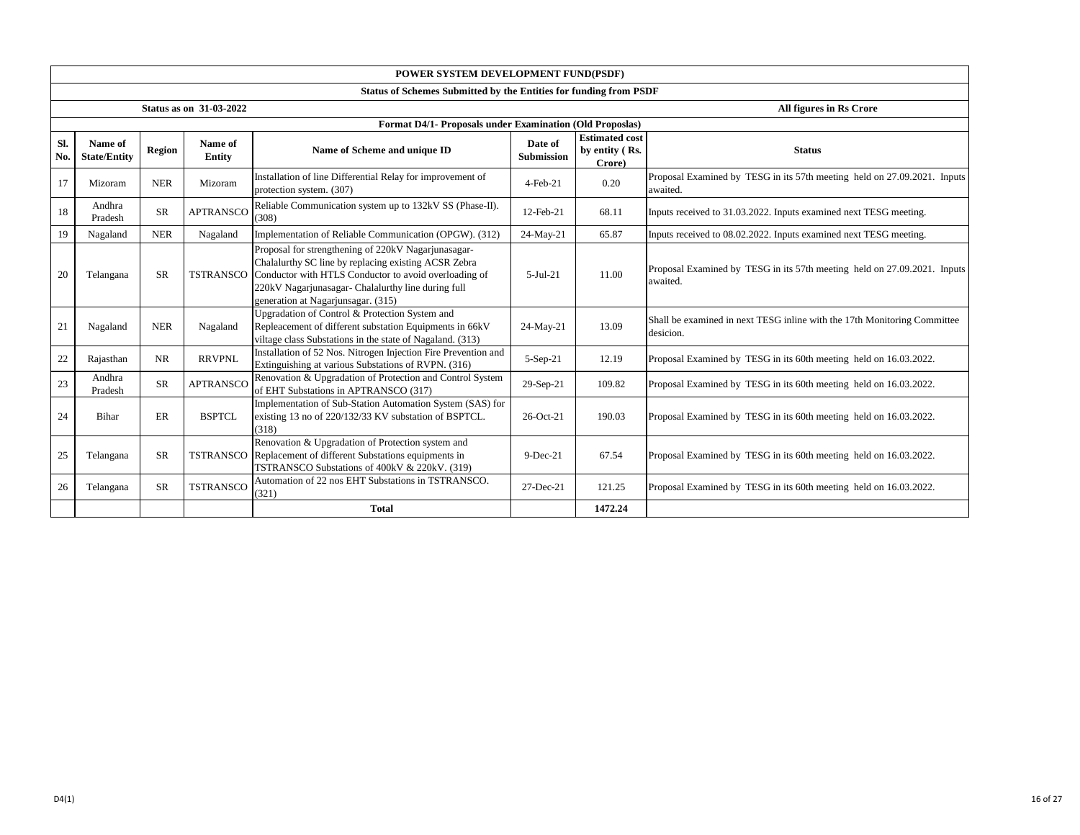|            |                                                           |            |                   | POWER SYSTEM DEVELOPMENT FUND(PSDF)                                                                                                                                                                                                                                        |                              |                                                   |                                                                                       |  |  |  |  |
|------------|-----------------------------------------------------------|------------|-------------------|----------------------------------------------------------------------------------------------------------------------------------------------------------------------------------------------------------------------------------------------------------------------------|------------------------------|---------------------------------------------------|---------------------------------------------------------------------------------------|--|--|--|--|
|            |                                                           |            |                   | Status of Schemes Submitted by the Entities for funding from PSDF                                                                                                                                                                                                          |                              |                                                   |                                                                                       |  |  |  |  |
|            | <b>Status as on 31-03-2022</b><br>All figures in Rs Crore |            |                   |                                                                                                                                                                                                                                                                            |                              |                                                   |                                                                                       |  |  |  |  |
|            |                                                           |            |                   | Format D4/1- Proposals under Examination (Old Proposlas)                                                                                                                                                                                                                   |                              |                                                   |                                                                                       |  |  |  |  |
| Sl.<br>No. | Name of<br><b>State/Entity</b>                            | Region     | Name of<br>Entity | Name of Scheme and unique ID                                                                                                                                                                                                                                               | Date of<br><b>Submission</b> | <b>Estimated cost</b><br>by entity (Rs.<br>Crore) | <b>Status</b>                                                                         |  |  |  |  |
| 17         | Mizoram                                                   | <b>NER</b> | Mizoram           | Installation of line Differential Relay for improvement of<br>protection system. (307)                                                                                                                                                                                     | $4$ -Feb- $21$               | 0.20                                              | Proposal Examined by TESG in its 57th meeting held on 27.09.2021. Inputs<br>awaited.  |  |  |  |  |
| 18         | Andhra<br>Pradesh                                         | <b>SR</b>  | <b>APTRANSCO</b>  | Reliable Communication system up to 132kV SS (Phase-II).<br>(308)                                                                                                                                                                                                          | 12-Feb-21                    | 68.11                                             | Inputs received to 31.03.2022. Inputs examined next TESG meeting.                     |  |  |  |  |
| 19         | Nagaland                                                  | <b>NER</b> | Nagaland          | Implementation of Reliable Communication (OPGW). (312)                                                                                                                                                                                                                     | 24-May-21                    | 65.87                                             | Inputs received to 08.02.2022. Inputs examined next TESG meeting.                     |  |  |  |  |
| 20         | Telangana                                                 | <b>SR</b>  |                   | Proposal for strengthening of 220kV Nagarjunasagar-<br>Chalalurthy SC line by replacing existing ACSR Zebra<br>TSTRANSCO Conductor with HTLS Conductor to avoid overloading of<br>220kV Nagarjunasagar- Chalalurthy line during full<br>generation at Nagarjunsagar. (315) | $5-Jul-21$                   | 11.00                                             | Proposal Examined by TESG in its 57th meeting held on 27.09.2021. Inputs<br>awaited.  |  |  |  |  |
| 21         | Nagaland                                                  | <b>NER</b> | Nagaland          | Upgradation of Control & Protection System and<br>Repleacement of different substation Equipments in 66kV<br>viltage class Substations in the state of Nagaland. (313)                                                                                                     | 24-May-21                    | 13.09                                             | Shall be examined in next TESG inline with the 17th Monitoring Committee<br>desicion. |  |  |  |  |
| 22         | Rajasthan                                                 | NR         | <b>RRVPNL</b>     | Installation of 52 Nos. Nitrogen Injection Fire Prevention and<br>Extinguishing at various Substations of RVPN. (316)                                                                                                                                                      | $5-Sep-21$                   | 12.19                                             | Proposal Examined by TESG in its 60th meeting held on 16.03.2022.                     |  |  |  |  |
| 23         | Andhra<br>Pradesh                                         | <b>SR</b>  | <b>APTRANSCO</b>  | Renovation & Upgradation of Protection and Control System<br>of EHT Substations in APTRANSCO (317)                                                                                                                                                                         | 29-Sep-21                    | 109.82                                            | Proposal Examined by TESG in its 60th meeting held on 16.03.2022.                     |  |  |  |  |
| 24         | Bihar                                                     | ER         | <b>BSPTCL</b>     | Implementation of Sub-Station Automation System (SAS) for<br>existing 13 no of 220/132/33 KV substation of BSPTCL.<br>(318)                                                                                                                                                | 26-Oct-21                    | 190.03                                            | Proposal Examined by TESG in its 60th meeting held on 16.03.2022.                     |  |  |  |  |
| 25         | Telangana                                                 | <b>SR</b>  | <b>TSTRANSCO</b>  | Renovation & Upgradation of Protection system and<br>Replacement of different Substations equipments in<br>TSTRANSCO Substations of 400kV & 220kV. (319)                                                                                                                   | $9-Dec-21$                   | 67.54                                             | Proposal Examined by TESG in its 60th meeting held on 16.03.2022.                     |  |  |  |  |
| 26         | Telangana                                                 | <b>SR</b>  | <b>TSTRANSCO</b>  | Automation of 22 nos EHT Substations in TSTRANSCO.<br>(321)                                                                                                                                                                                                                | 27-Dec-21                    | 121.25                                            | Proposal Examined by TESG in its 60th meeting held on 16.03.2022.                     |  |  |  |  |
|            |                                                           |            |                   | <b>Total</b>                                                                                                                                                                                                                                                               |                              | 1472.24                                           |                                                                                       |  |  |  |  |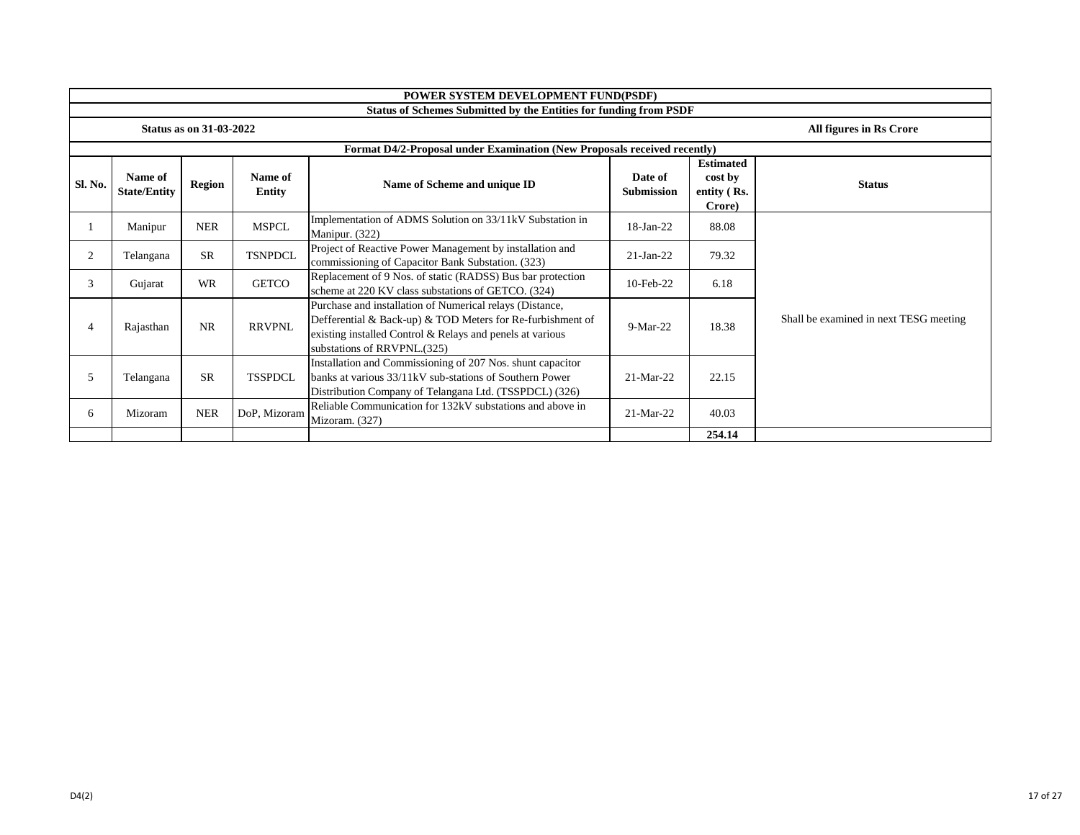|         | POWER SYSTEM DEVELOPMENT FUND(PSDF)                       |            |                          |                                                                                                                                                                                                                    |                              |                                                      |                                        |  |  |
|---------|-----------------------------------------------------------|------------|--------------------------|--------------------------------------------------------------------------------------------------------------------------------------------------------------------------------------------------------------------|------------------------------|------------------------------------------------------|----------------------------------------|--|--|
|         |                                                           |            |                          | <b>Status of Schemes Submitted by the Entities for funding from PSDF</b>                                                                                                                                           |                              |                                                      |                                        |  |  |
|         | <b>Status as on 31-03-2022</b><br>All figures in Rs Crore |            |                          |                                                                                                                                                                                                                    |                              |                                                      |                                        |  |  |
|         |                                                           |            |                          | Format D4/2-Proposal under Examination (New Proposals received recently)                                                                                                                                           |                              |                                                      |                                        |  |  |
| Sl. No. | Name of<br><b>State/Entity</b>                            | Region     | Name of<br><b>Entity</b> | Name of Scheme and unique ID                                                                                                                                                                                       | Date of<br><b>Submission</b> | <b>Estimated</b><br>cost by<br>entity (Rs.<br>Crore) | <b>Status</b>                          |  |  |
|         | Manipur                                                   | <b>NER</b> | <b>MSPCL</b>             | Implementation of ADMS Solution on 33/11kV Substation in<br>Manipur. (322)                                                                                                                                         | 18-Jan-22                    | 88.08                                                |                                        |  |  |
| 2       | Telangana                                                 | <b>SR</b>  | <b>TSNPDCL</b>           | Project of Reactive Power Management by installation and<br>commissioning of Capacitor Bank Substation. (323)                                                                                                      | $21-Jan-22$                  | 79.32                                                |                                        |  |  |
| 3       | Gujarat                                                   | <b>WR</b>  | <b>GETCO</b>             | Replacement of 9 Nos. of static (RADSS) Bus bar protection<br>scheme at 220 KV class substations of GETCO. (324)                                                                                                   | 10-Feb-22                    | 6.18                                                 |                                        |  |  |
| 4       | Rajasthan                                                 | <b>NR</b>  | <b>RRVPNL</b>            | Purchase and installation of Numerical relays (Distance,<br>Defferential & Back-up) & TOD Meters for Re-furbishment of<br>existing installed Control & Relays and penels at various<br>substations of RRVPNL.(325) | $9-Mar-22$                   | 18.38                                                | Shall be examined in next TESG meeting |  |  |
| 5       | Telangana                                                 | <b>SR</b>  | <b>TSSPDCL</b>           | Installation and Commissioning of 207 Nos. shunt capacitor<br>banks at various 33/11kV sub-stations of Southern Power<br>Distribution Company of Telangana Ltd. (TSSPDCL) (326)                                    | 21-Mar-22                    | 22.15                                                |                                        |  |  |
| 6.      | Mizoram                                                   | <b>NER</b> | DoP, Mizoram             | Reliable Communication for 132kV substations and above in<br>Mizoram. (327)                                                                                                                                        | 21-Mar-22                    | 40.03                                                |                                        |  |  |
|         |                                                           |            |                          |                                                                                                                                                                                                                    |                              | 254.14                                               |                                        |  |  |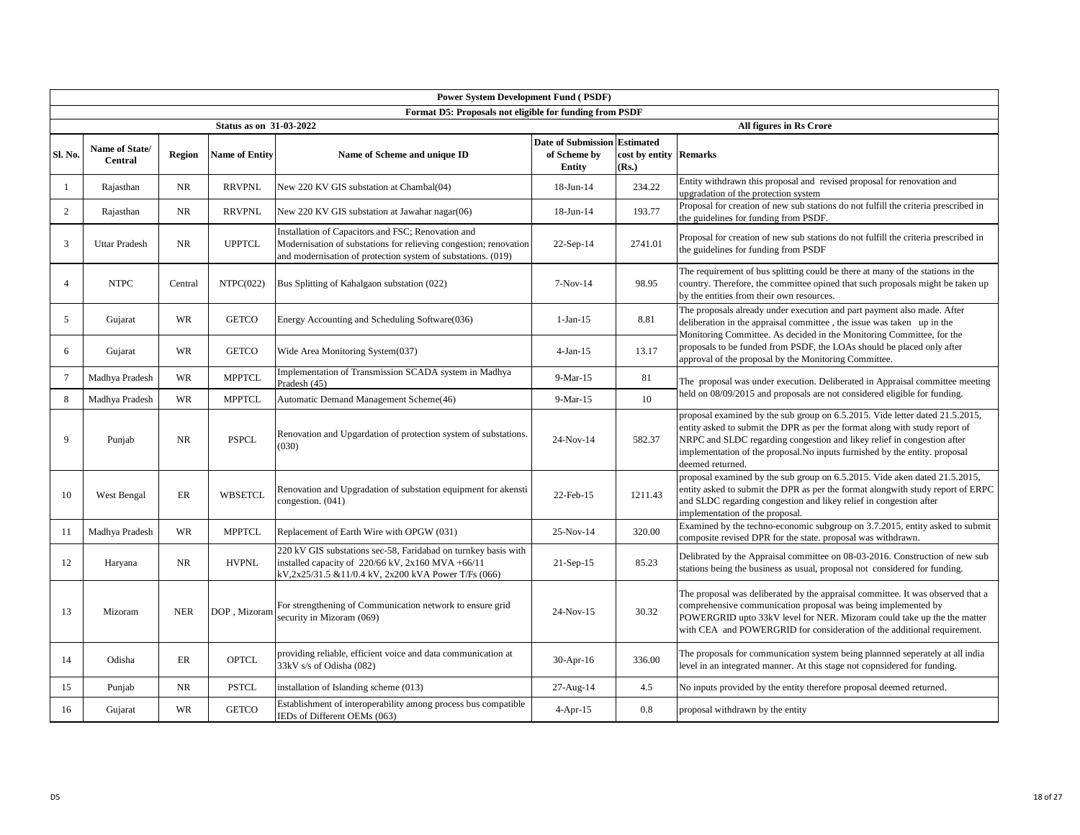|                 | <b>Power System Development Fund (PSDF)</b> |               |                                |                                                                                                                                                                                         |                                     |                                 |                                                                                                                                                                                                                                                                                                                                           |  |  |  |  |
|-----------------|---------------------------------------------|---------------|--------------------------------|-----------------------------------------------------------------------------------------------------------------------------------------------------------------------------------------|-------------------------------------|---------------------------------|-------------------------------------------------------------------------------------------------------------------------------------------------------------------------------------------------------------------------------------------------------------------------------------------------------------------------------------------|--|--|--|--|
|                 |                                             |               |                                | Format D5: Proposals not eligible for funding from PSDF                                                                                                                                 |                                     |                                 |                                                                                                                                                                                                                                                                                                                                           |  |  |  |  |
|                 |                                             |               | <b>Status as on 31-03-2022</b> |                                                                                                                                                                                         | <b>Date of Submission Estimated</b> |                                 | All figures in Rs Crore                                                                                                                                                                                                                                                                                                                   |  |  |  |  |
| Sl. No.         | Name of State/<br><b>Central</b>            | <b>Region</b> | <b>Name of Entity</b>          | Name of Scheme and unique ID                                                                                                                                                            | of Scheme by<br>Entity              | cost by entity Remarks<br>(Rs.) |                                                                                                                                                                                                                                                                                                                                           |  |  |  |  |
| -1              | Rajasthan                                   | <b>NR</b>     | <b>RRVPNL</b>                  | New 220 KV GIS substation at Chambal(04)                                                                                                                                                | 18-Jun-14                           | 234.22                          | Entity withdrawn this proposal and revised proposal for renovation and<br>upgradation of the protection system                                                                                                                                                                                                                            |  |  |  |  |
| 2               | Rajasthan                                   | NR            | <b>RRVPNL</b>                  | New 220 KV GIS substation at Jawahar nagar(06)                                                                                                                                          | 18-Jun-14                           | 193.77                          | Proposal for creation of new sub stations do not fulfill the criteria prescribed in<br>the guidelines for funding from PSDF.                                                                                                                                                                                                              |  |  |  |  |
| 3               | <b>Uttar Pradesh</b>                        | NR            | <b>UPPTCL</b>                  | Installation of Capacitors and FSC; Renovation and<br>Modernisation of substations for relieving congestion; renovation<br>and modernisation of protection system of substations. (019) | $22-Sep-14$                         | 2741.01                         | Proposal for creation of new sub stations do not fulfill the criteria prescribed in<br>the guidelines for funding from PSDF                                                                                                                                                                                                               |  |  |  |  |
| $\overline{4}$  | <b>NTPC</b>                                 | Central       | NTPC(022)                      | Bus Splitting of Kahalgaon substation (022)                                                                                                                                             | $7-Nov-14$                          | 98.95                           | The requirement of bus splitting could be there at many of the stations in the<br>country. Therefore, the committee opined that such proposals might be taken up<br>by the entities from their own resources.                                                                                                                             |  |  |  |  |
| 5               | Gujarat                                     | <b>WR</b>     | <b>GETCO</b>                   | Energy Accounting and Scheduling Software(036)                                                                                                                                          | $1-Jan-15$                          | 8.81                            | The proposals already under execution and part payment also made. After<br>deliberation in the appraisal committee, the issue was taken up in the                                                                                                                                                                                         |  |  |  |  |
| 6               | Gujarat                                     | <b>WR</b>     | <b>GETCO</b>                   | Wide Area Monitoring System(037)                                                                                                                                                        | $4-Jan-15$                          | 13.17                           | Monitoring Committee. As decided in the Monitoring Committee, for the<br>proposals to be funded from PSDF, the LOAs should be placed only after<br>approval of the proposal by the Monitoring Committee.                                                                                                                                  |  |  |  |  |
| $7\phantom{.0}$ | Madhya Pradesh                              | <b>WR</b>     | <b>MPPTCL</b>                  | Implementation of Transmission SCADA system in Madhya<br>Pradesh (45)                                                                                                                   | 9-Mar-15                            | 81                              | The proposal was under execution. Deliberated in Appraisal committee meeting                                                                                                                                                                                                                                                              |  |  |  |  |
| 8               | Madhya Pradesh                              | <b>WR</b>     | <b>MPPTCL</b>                  | Automatic Demand Management Scheme(46)                                                                                                                                                  | 9-Mar-15                            | 10                              | held on 08/09/2015 and proposals are not considered eligible for funding.                                                                                                                                                                                                                                                                 |  |  |  |  |
| 9               | Punjab                                      | NR            | <b>PSPCL</b>                   | Renovation and Upgardation of protection system of substations.<br>(030)                                                                                                                | 24-Nov-14                           | 582.37                          | proposal examined by the sub group on 6.5.2015. Vide letter dated 21.5.2015,<br>entity asked to submit the DPR as per the format along with study report of<br>NRPC and SLDC regarding congestion and likey relief in congestion after<br>implementation of the proposal. No inputs furnished by the entity. proposal<br>deemed returned. |  |  |  |  |
| 10              | West Bengal                                 | ER            | <b>WBSETCL</b>                 | Renovation and Upgradation of substation equipment for akensti<br>congestion. $(041)$                                                                                                   | 22-Feb-15                           | 1211.43                         | proposal examined by the sub group on 6.5.2015. Vide aken dated 21.5.2015,<br>entity asked to submit the DPR as per the format alongwith study report of ERPC<br>and SLDC regarding congestion and likey relief in congestion after<br>implementation of the proposal.                                                                    |  |  |  |  |
| 11              | Madhya Pradesh                              | WR            | <b>MPPTCL</b>                  | Replacement of Earth Wire with OPGW (031)                                                                                                                                               | 25-Nov-14                           | 320.00                          | Examined by the techno-economic subgroup on 3.7.2015, entity asked to submit<br>composite revised DPR for the state. proposal was withdrawn.                                                                                                                                                                                              |  |  |  |  |
| 12              | Haryana                                     | NR            | <b>HVPNL</b>                   | 220 kV GIS substations sec-58, Faridabad on turnkey basis with<br>installed capacity of $220/66$ kV, $2x160$ MVA +66/11<br>kV,2x25/31.5 &11/0.4 kV, 2x200 kVA Power T/Fs (066)          | $21-Sep-15$                         | 85.23                           | Delibrated by the Appraisal committee on 08-03-2016. Construction of new sub<br>stations being the business as usual, proposal not considered for funding.                                                                                                                                                                                |  |  |  |  |
| 13              | Mizoram                                     | <b>NER</b>    | DOP, Mizoran                   | For strengthening of Communication network to ensure grid<br>security in Mizoram (069)                                                                                                  | $24-Nov-15$                         | 30.32                           | The proposal was deliberated by the appraisal committee. It was observed that a<br>comprehensive communication proposal was being implemented by<br>POWERGRID upto 33kV level for NER. Mizoram could take up the the matter<br>with CEA and POWERGRID for consideration of the additional requirement.                                    |  |  |  |  |
| 14              | Odisha                                      | ER            | <b>OPTCL</b>                   | providing reliable, efficient voice and data communication at<br>33kV s/s of Odisha (082)                                                                                               | $30-Apr-16$                         | 336.00                          | The proposals for communication system being plannned seperately at all india<br>level in an integrated manner. At this stage not copnsidered for funding.                                                                                                                                                                                |  |  |  |  |
| 15              | Punjab                                      | <b>NR</b>     | <b>PSTCL</b>                   | installation of Islanding scheme (013)                                                                                                                                                  | 27-Aug-14                           | 4.5                             | No inputs provided by the entity therefore proposal deemed returned.                                                                                                                                                                                                                                                                      |  |  |  |  |
| 16              | Gujarat                                     | <b>WR</b>     | <b>GETCO</b>                   | Establishment of interoperability among process bus compatible<br>IEDs of Different OEMs (063)                                                                                          | $4$ -Apr-15                         | 0.8                             | proposal withdrawn by the entity                                                                                                                                                                                                                                                                                                          |  |  |  |  |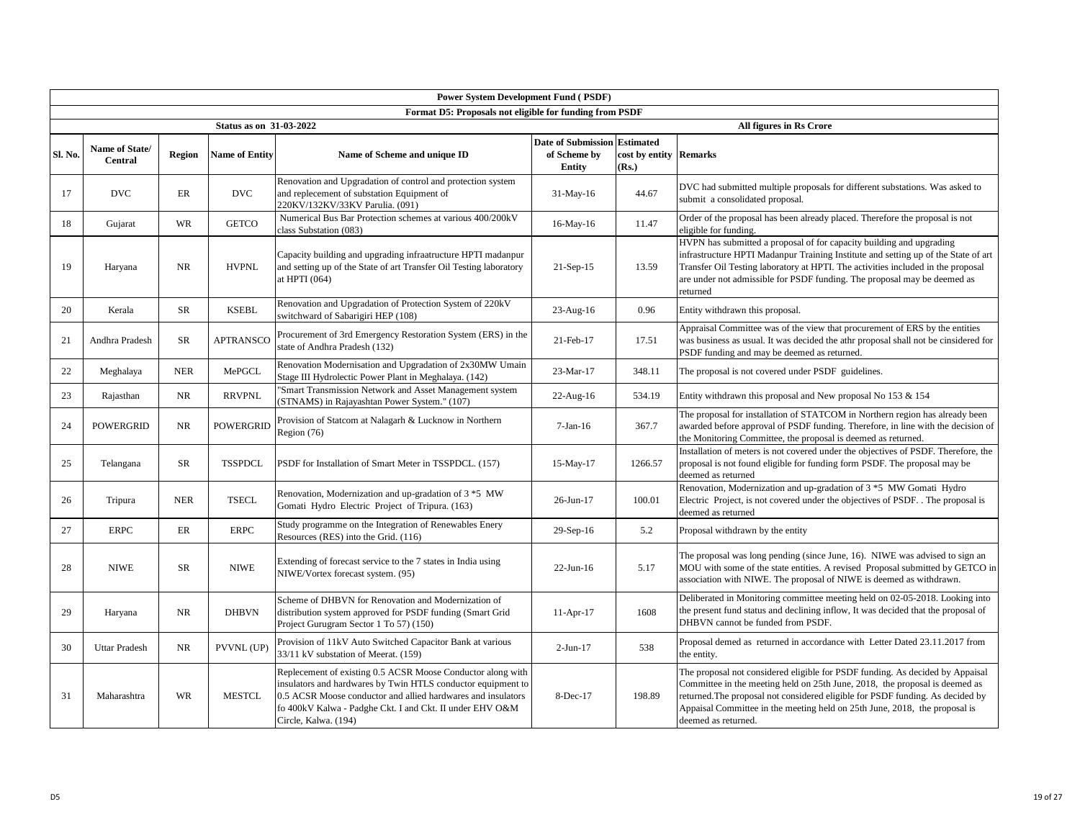|         |                                  |               |                         | <b>Power System Development Fund (PSDF)</b>                                                                                                                                                                                                                                     |                                                            |                                                     |                                                                                                                                                                                                                                                                                                                                                     |
|---------|----------------------------------|---------------|-------------------------|---------------------------------------------------------------------------------------------------------------------------------------------------------------------------------------------------------------------------------------------------------------------------------|------------------------------------------------------------|-----------------------------------------------------|-----------------------------------------------------------------------------------------------------------------------------------------------------------------------------------------------------------------------------------------------------------------------------------------------------------------------------------------------------|
|         |                                  |               |                         | Format D5: Proposals not eligible for funding from PSDF                                                                                                                                                                                                                         |                                                            |                                                     |                                                                                                                                                                                                                                                                                                                                                     |
|         |                                  |               | Status as on 31-03-2022 |                                                                                                                                                                                                                                                                                 |                                                            |                                                     | All figures in Rs Crore                                                                                                                                                                                                                                                                                                                             |
| Sl. No. | Name of State/<br><b>Central</b> | <b>Region</b> | <b>Name of Entity</b>   | Name of Scheme and unique ID                                                                                                                                                                                                                                                    | <b>Date of Submission</b><br>of Scheme by<br><b>Entity</b> | <b>Estimated</b><br>cost by entity Remarks<br>(Rs.) |                                                                                                                                                                                                                                                                                                                                                     |
| 17      | <b>DVC</b>                       | ER            | <b>DVC</b>              | Renovation and Upgradation of control and protection system<br>and replecement of substation Equipment of<br>220KV/132KV/33KV Parulia. (091)                                                                                                                                    | $31-May-16$                                                | 44.67                                               | DVC had submitted multiple proposals for different substations. Was asked to<br>submit a consolidated proposal.                                                                                                                                                                                                                                     |
| 18      | Gujarat                          | <b>WR</b>     | <b>GETCO</b>            | Numerical Bus Bar Protection schemes at various 400/200kV<br>class Substation (083)                                                                                                                                                                                             | 16-May-16                                                  | 11.47                                               | Order of the proposal has been already placed. Therefore the proposal is not<br>eligible for funding.                                                                                                                                                                                                                                               |
| 19      | Haryana                          | <b>NR</b>     | <b>HVPNL</b>            | Capacity building and upgrading infraatructure HPTI madanpur<br>and setting up of the State of art Transfer Oil Testing laboratory<br>at HPTI (064)                                                                                                                             | $21-Sep-15$                                                | 13.59                                               | HVPN has submitted a proposal of for capacity building and upgrading<br>infrastructure HPTI Madanpur Training Institute and setting up of the State of art<br>Transfer Oil Testing laboratory at HPTI. The activities included in the proposal<br>are under not admissible for PSDF funding. The proposal may be deemed as<br>returned              |
| 20      | Kerala                           | <b>SR</b>     | <b>KSEBL</b>            | Renovation and Upgradation of Protection System of 220kV<br>switchward of Sabarigiri HEP (108)                                                                                                                                                                                  | 23-Aug-16                                                  | 0.96                                                | Entity withdrawn this proposal.                                                                                                                                                                                                                                                                                                                     |
| 21      | Andhra Pradesh                   | SR            | <b>APTRANSCO</b>        | Procurement of 3rd Emergency Restoration System (ERS) in the<br>state of Andhra Pradesh (132)                                                                                                                                                                                   | 21-Feb-17                                                  | 17.51                                               | Appraisal Committee was of the view that procurement of ERS by the entities<br>was business as usual. It was decided the athr proposal shall not be cinsidered for<br>PSDF funding and may be deemed as returned.                                                                                                                                   |
| 22      | Meghalaya                        | <b>NER</b>    | MePGCL                  | Renovation Modernisation and Upgradation of 2x30MW Umain<br>Stage III Hydrolectic Power Plant in Meghalaya. (142)                                                                                                                                                               | 23-Mar-17                                                  | 348.11                                              | The proposal is not covered under PSDF guidelines.                                                                                                                                                                                                                                                                                                  |
| 23      | Rajasthan                        | <b>NR</b>     | <b>RRVPNL</b>           | "Smart Transmission Network and Asset Management system<br>(STNAMS) in Rajayashtan Power System." (107)                                                                                                                                                                         | $22$ -Aug-16                                               | 534.19                                              | Entity withdrawn this proposal and New proposal No $153 & 154$                                                                                                                                                                                                                                                                                      |
| 24      | <b>POWERGRID</b>                 | <b>NR</b>     | <b>POWERGRID</b>        | Provision of Statcom at Nalagarh & Lucknow in Northern<br>Region (76)                                                                                                                                                                                                           | $7-Jan-16$                                                 | 367.7                                               | The proposal for installation of STATCOM in Northern region has already been<br>awarded before approval of PSDF funding. Therefore, in line with the decision of<br>the Monitoring Committee, the proposal is deemed as returned.                                                                                                                   |
| 25      | Telangana                        | SR            | <b>TSSPDCL</b>          | PSDF for Installation of Smart Meter in TSSPDCL. (157)                                                                                                                                                                                                                          | 15-May-17                                                  | 1266.57                                             | Installation of meters is not covered under the objectives of PSDF. Therefore, the<br>proposal is not found eligible for funding form PSDF. The proposal may be<br>deemed as returned                                                                                                                                                               |
| 26      | Tripura                          | <b>NER</b>    | <b>TSECL</b>            | Renovation, Modernization and up-gradation of 3 *5 MW<br>Gomati Hydro Electric Project of Tripura. (163)                                                                                                                                                                        | 26-Jun-17                                                  | 100.01                                              | Renovation, Modernization and up-gradation of 3 *5 MW Gomati Hydro<br>Electric Project, is not covered under the objectives of PSDF. The proposal is<br>deemed as returned                                                                                                                                                                          |
| 27      | <b>ERPC</b>                      | ER            | <b>ERPC</b>             | Study programme on the Integration of Renewables Enery<br>Resources (RES) into the Grid. (116)                                                                                                                                                                                  | 29-Sep-16                                                  | 5.2                                                 | Proposal withdrawn by the entity                                                                                                                                                                                                                                                                                                                    |
| 28      | <b>NIWE</b>                      | SR            | <b>NIWE</b>             | Extending of forecast service to the 7 states in India using<br>NIWE/Vortex forecast system. (95)                                                                                                                                                                               | $22-Jun-16$                                                | 5.17                                                | The proposal was long pending (since June, 16). NIWE was advised to sign an<br>MOU with some of the state entities. A revised Proposal submitted by GETCO in<br>association with NIWE. The proposal of NIWE is deemed as withdrawn.                                                                                                                 |
| 29      | Haryana                          | NR            | <b>DHBVN</b>            | Scheme of DHBVN for Renovation and Modernization of<br>distribution system approved for PSDF funding (Smart Grid<br>Project Gurugram Sector 1 To 57) (150)                                                                                                                      | $11-Apr-17$                                                | 1608                                                | Deliberated in Monitoring committee meeting held on 02-05-2018. Looking into<br>the present fund status and declining inflow, It was decided that the proposal of<br>DHBVN cannot be funded from PSDF.                                                                                                                                              |
| 30      | <b>Uttar Pradesh</b>             | <b>NR</b>     | PVVNL (UP)              | Provision of 11kV Auto Switched Capacitor Bank at various<br>33/11 kV substation of Meerat. (159)                                                                                                                                                                               | $2-Jun-17$                                                 | 538                                                 | Proposal demed as returned in accordance with Letter Dated 23.11.2017 from<br>the entity.                                                                                                                                                                                                                                                           |
| 31      | Maharashtra                      | WR            | <b>MESTCL</b>           | Replecement of existing 0.5 ACSR Moose Conductor along with<br>insulators and hardwares by Twin HTLS conductor equipment to<br>0.5 ACSR Moose conductor and allied hardwares and insulators<br>fo 400kV Kalwa - Padghe Ckt. I and Ckt. II under EHV O&M<br>Circle, Kalwa. (194) | 8-Dec-17                                                   | 198.89                                              | The proposal not considered eligible for PSDF funding. As decided by Appaisal<br>Committee in the meeting held on 25th June, 2018, the proposal is deemed as<br>returned. The proposal not considered eligible for PSDF funding. As decided by<br>Appaisal Committee in the meeting held on 25th June, 2018, the proposal is<br>deemed as returned. |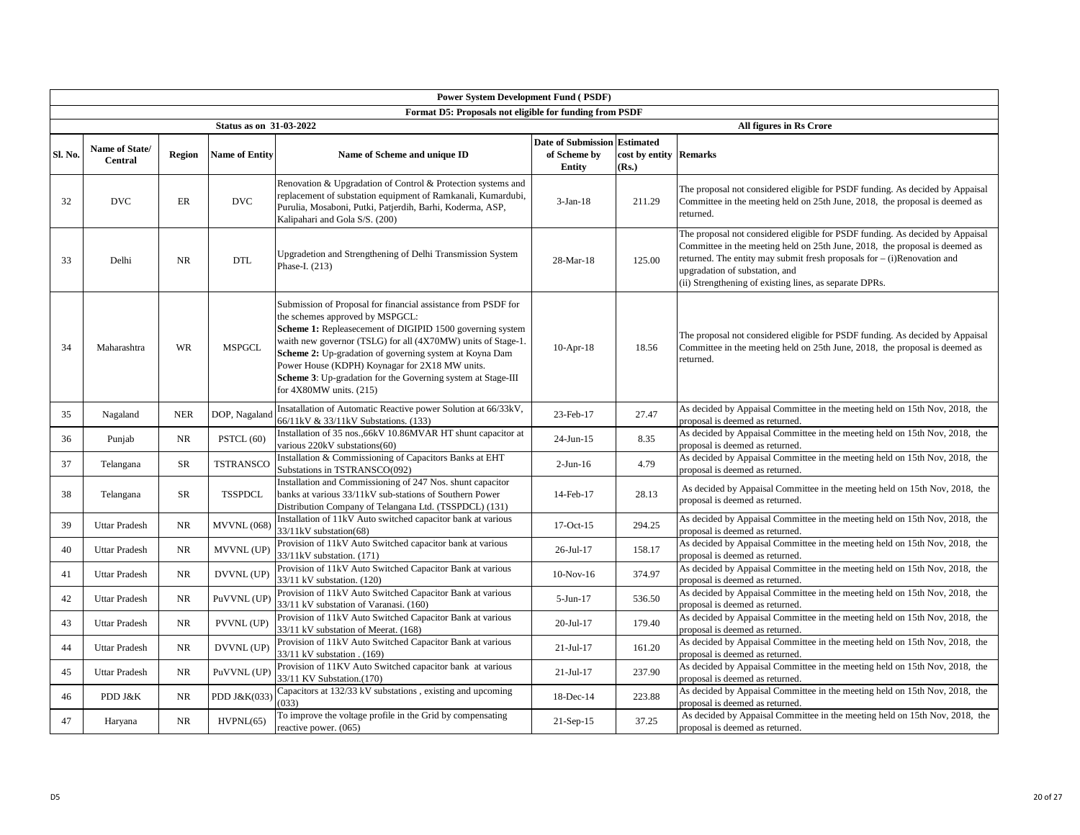|         | <b>Power System Development Fund (PSDF)</b> |            |                         |                                                                                                                                                                                                                                                                                                                                                                                                                                           |                                                                      |                                 |                                                                                                                                                                                                                                                                                                                                         |  |  |  |  |  |
|---------|---------------------------------------------|------------|-------------------------|-------------------------------------------------------------------------------------------------------------------------------------------------------------------------------------------------------------------------------------------------------------------------------------------------------------------------------------------------------------------------------------------------------------------------------------------|----------------------------------------------------------------------|---------------------------------|-----------------------------------------------------------------------------------------------------------------------------------------------------------------------------------------------------------------------------------------------------------------------------------------------------------------------------------------|--|--|--|--|--|
|         |                                             |            |                         | Format D5: Proposals not eligible for funding from PSDF                                                                                                                                                                                                                                                                                                                                                                                   |                                                                      |                                 |                                                                                                                                                                                                                                                                                                                                         |  |  |  |  |  |
|         |                                             |            | Status as on 31-03-2022 |                                                                                                                                                                                                                                                                                                                                                                                                                                           |                                                                      |                                 | All figures in Rs Crore                                                                                                                                                                                                                                                                                                                 |  |  |  |  |  |
| Sl. No. | Name of State/<br><b>Central</b>            | Region     | <b>Name of Entity</b>   | Name of Scheme and unique ID                                                                                                                                                                                                                                                                                                                                                                                                              | <b>Date of Submission Estimated</b><br>of Scheme by<br><b>Entity</b> | cost by entity Remarks<br>(Rs.) |                                                                                                                                                                                                                                                                                                                                         |  |  |  |  |  |
| 32      | <b>DVC</b>                                  | ER         | <b>DVC</b>              | Renovation & Upgradation of Control & Protection systems and<br>replacement of substation equipment of Ramkanali, Kumardubi,<br>Purulia, Mosaboni, Putki, Patjerdih, Barhi, Koderma, ASP,<br>Kalipahari and Gola S/S. (200)                                                                                                                                                                                                               | $3-Jan-18$                                                           | 211.29                          | The proposal not considered eligible for PSDF funding. As decided by Appaisal<br>Committee in the meeting held on 25th June, 2018, the proposal is deemed as<br>returned.                                                                                                                                                               |  |  |  |  |  |
| 33      | Delhi                                       | <b>NR</b>  | <b>DTL</b>              | Upgradetion and Strengthening of Delhi Transmission System<br>Phase-I. (213)                                                                                                                                                                                                                                                                                                                                                              | 28-Mar-18                                                            | 125.00                          | The proposal not considered eligible for PSDF funding. As decided by Appaisal<br>Committee in the meeting held on 25th June, 2018, the proposal is deemed as<br>returned. The entity may submit fresh proposals for $-$ (i) Renovation and<br>upgradation of substation, and<br>(ii) Strengthening of existing lines, as separate DPRs. |  |  |  |  |  |
| 34      | Maharashtra                                 | <b>WR</b>  | <b>MSPGCL</b>           | Submission of Proposal for financial assistance from PSDF for<br>the schemes approved by MSPGCL:<br>Scheme 1: Repleasecement of DIGIPID 1500 governing system<br>waith new governor (TSLG) for all (4X70MW) units of Stage-1.<br>Scheme 2: Up-gradation of governing system at Koyna Dam<br>Power House (KDPH) Koynagar for 2X18 MW units.<br>Scheme 3: Up-gradation for the Governing system at Stage-III<br>for $4X80MW$ units. $(215)$ | $10-Apr-18$                                                          | 18.56                           | The proposal not considered eligible for PSDF funding. As decided by Appaisal<br>Committee in the meeting held on 25th June, 2018, the proposal is deemed as<br>returned.                                                                                                                                                               |  |  |  |  |  |
| 35      | Nagaland                                    | <b>NER</b> | DOP, Nagaland           | Insatallation of Automatic Reactive power Solution at 66/33kV,<br>66/11kV & 33/11kV Substations. (133)                                                                                                                                                                                                                                                                                                                                    | 23-Feb-17                                                            | 27.47                           | As decided by Appaisal Committee in the meeting held on 15th Nov, 2018, the<br>proposal is deemed as returned.                                                                                                                                                                                                                          |  |  |  |  |  |
| 36      | Punjab                                      | NR         | PSTCL (60)              | Installation of 35 nos.,66kV 10.86MVAR HT shunt capacitor at<br>various 220kV substations(60)                                                                                                                                                                                                                                                                                                                                             | $24$ -Jun-15                                                         | 8.35                            | As decided by Appaisal Committee in the meeting held on 15th Nov, 2018, the<br>proposal is deemed as returned.                                                                                                                                                                                                                          |  |  |  |  |  |
| 37      | Telangana                                   | SR         | <b>TSTRANSCC</b>        | Installation & Commissioning of Capacitors Banks at EHT<br>Substations in TSTRANSCO(092)                                                                                                                                                                                                                                                                                                                                                  | $2-Jun-16$                                                           | 4.79                            | As decided by Appaisal Committee in the meeting held on 15th Nov, 2018, the<br>proposal is deemed as returned.                                                                                                                                                                                                                          |  |  |  |  |  |
| 38      | Telangana                                   | SR         | <b>TSSPDCL</b>          | Installation and Commissioning of 247 Nos. shunt capacitor<br>banks at various 33/11kV sub-stations of Southern Power<br>Distribution Company of Telangana Ltd. (TSSPDCL) (131)                                                                                                                                                                                                                                                           | 14-Feb-17                                                            | 28.13                           | As decided by Appaisal Committee in the meeting held on 15th Nov, 2018, the<br>proposal is deemed as returned.                                                                                                                                                                                                                          |  |  |  |  |  |
| 39      | Uttar Pradesh                               | NR         | <b>MVVNL</b> (068)      | Installation of 11kV Auto switched capacitor bank at various<br>33/11kV substation(68)                                                                                                                                                                                                                                                                                                                                                    | 17-Oct-15                                                            | 294.25                          | As decided by Appaisal Committee in the meeting held on 15th Nov, 2018, the<br>proposal is deemed as returned.                                                                                                                                                                                                                          |  |  |  |  |  |
| 40      | Uttar Pradesh                               | NR         | MVVNL (UP)              | Provision of 11kV Auto Switched capacitor bank at various<br>33/11kV substation. (171)                                                                                                                                                                                                                                                                                                                                                    | 26-Jul-17                                                            | 158.17                          | As decided by Appaisal Committee in the meeting held on 15th Nov, 2018, the<br>proposal is deemed as returned.                                                                                                                                                                                                                          |  |  |  |  |  |
| 41      | <b>Uttar Pradesh</b>                        | NR         | DVVNL (UP)              | Provision of 11kV Auto Switched Capacitor Bank at various<br>33/11 kV substation. (120)                                                                                                                                                                                                                                                                                                                                                   | $10-Nov-16$                                                          | 374.97                          | As decided by Appaisal Committee in the meeting held on 15th Nov, 2018, the<br>proposal is deemed as returned.                                                                                                                                                                                                                          |  |  |  |  |  |
| 42      | <b>Uttar Pradesh</b>                        | <b>NR</b>  | PuVVNL (UP              | Provision of 11kV Auto Switched Capacitor Bank at various<br>33/11 kV substation of Varanasi. (160)                                                                                                                                                                                                                                                                                                                                       | $5-Jun-17$                                                           | 536.50                          | As decided by Appaisal Committee in the meeting held on 15th Nov, 2018, the<br>proposal is deemed as returned.                                                                                                                                                                                                                          |  |  |  |  |  |
| 43      | <b>Uttar Pradesh</b>                        | NR         | PVVNL (UP)              | Provision of 11kV Auto Switched Capacitor Bank at various<br>33/11 kV substation of Meerat. (168)                                                                                                                                                                                                                                                                                                                                         | 20-Jul-17                                                            | 179.40                          | As decided by Appaisal Committee in the meeting held on 15th Nov, 2018, the<br>proposal is deemed as returned.                                                                                                                                                                                                                          |  |  |  |  |  |
| 44      | <b>Uttar Pradesh</b>                        | NR         | DVVNL (UP)              | Provision of 11kV Auto Switched Capacitor Bank at various<br>33/11 kV substation . (169)                                                                                                                                                                                                                                                                                                                                                  | $21-Jul-17$                                                          | 161.20                          | As decided by Appaisal Committee in the meeting held on 15th Nov, 2018, the<br>proposal is deemed as returned.                                                                                                                                                                                                                          |  |  |  |  |  |
| 45      | <b>Uttar Pradesh</b>                        | NR         | PuVVNL (UP              | Provision of 11KV Auto Switched capacitor bank at various<br>33/11 KV Substation.(170)                                                                                                                                                                                                                                                                                                                                                    | $21-Jul-17$                                                          | 237.90                          | As decided by Appaisal Committee in the meeting held on 15th Nov, 2018, the<br>proposal is deemed as returned.                                                                                                                                                                                                                          |  |  |  |  |  |
| 46      | PDD J&K                                     | NR         | PDD J&K(033             | Capacitors at 132/33 kV substations, existing and upcoming<br>(033)                                                                                                                                                                                                                                                                                                                                                                       | 18-Dec-14                                                            | 223.88                          | As decided by Appaisal Committee in the meeting held on 15th Nov, 2018, the<br>proposal is deemed as returned.                                                                                                                                                                                                                          |  |  |  |  |  |
| 47      | Haryana                                     | NR         | HVPNL(65)               | To improve the voltage profile in the Grid by compensating<br>reactive power. (065)                                                                                                                                                                                                                                                                                                                                                       | $21-Sep-15$                                                          | 37.25                           | As decided by Appaisal Committee in the meeting held on 15th Nov, 2018, the<br>proposal is deemed as returned.                                                                                                                                                                                                                          |  |  |  |  |  |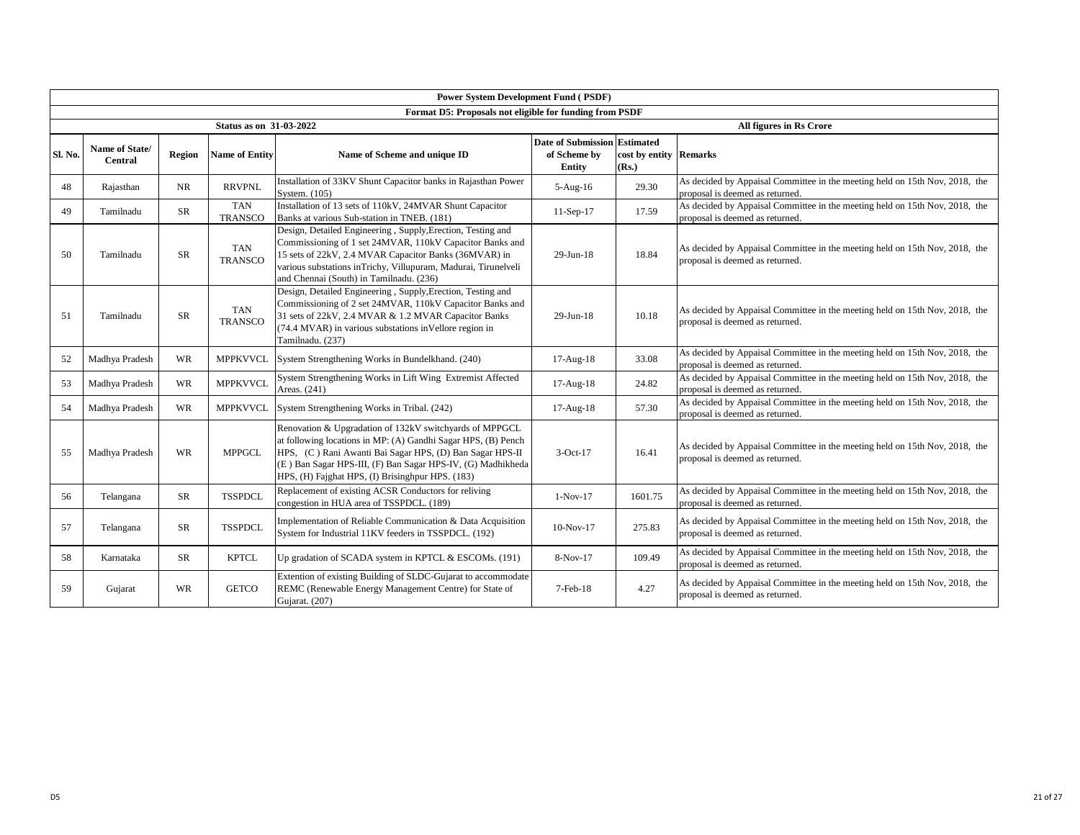|         | <b>Power System Development Fund (PSDF)</b> |           |                                |                                                                                                                                                                                                                                                                                                         |                                                               |                                 |                                                                                                                |  |  |  |  |  |
|---------|---------------------------------------------|-----------|--------------------------------|---------------------------------------------------------------------------------------------------------------------------------------------------------------------------------------------------------------------------------------------------------------------------------------------------------|---------------------------------------------------------------|---------------------------------|----------------------------------------------------------------------------------------------------------------|--|--|--|--|--|
|         |                                             |           |                                | Format D5: Proposals not eligible for funding from PSDF                                                                                                                                                                                                                                                 |                                                               |                                 |                                                                                                                |  |  |  |  |  |
|         |                                             |           | <b>Status as on 31-03-2022</b> |                                                                                                                                                                                                                                                                                                         |                                                               |                                 | All figures in Rs Crore                                                                                        |  |  |  |  |  |
| Sl. No. | <b>Name of State/</b><br><b>Central</b>     | Region    | <b>Name of Entity</b>          | Name of Scheme and unique ID                                                                                                                                                                                                                                                                            | Date of Submission Estimated<br>of Scheme by<br><b>Entity</b> | cost by entity Remarks<br>(Rs.) |                                                                                                                |  |  |  |  |  |
| 48      | Rajasthan                                   | <b>NR</b> | <b>RRVPNL</b>                  | Installation of 33KV Shunt Capacitor banks in Rajasthan Power<br>System. (105)                                                                                                                                                                                                                          | $5-Aug-16$                                                    | 29.30                           | As decided by Appaisal Committee in the meeting held on 15th Nov, 2018, the<br>proposal is deemed as returned. |  |  |  |  |  |
| 49      | Tamilnadu                                   | SR        | <b>TAN</b><br><b>TRANSCO</b>   | Installation of 13 sets of 110kV, 24MVAR Shunt Capacitor<br>Banks at various Sub-station in TNEB. (181)                                                                                                                                                                                                 | $11-Sep-17$                                                   | 17.59                           | As decided by Appaisal Committee in the meeting held on 15th Nov, 2018, the<br>proposal is deemed as returned. |  |  |  |  |  |
| 50      | Tamilnadu                                   | <b>SR</b> | <b>TAN</b><br><b>TRANSCO</b>   | Design, Detailed Engineering, Supply, Erection, Testing and<br>Commissioning of 1 set 24MVAR, 110kV Capacitor Banks and<br>15 sets of 22kV, 2.4 MVAR Capacitor Banks (36MVAR) in<br>various substations inTrichy, Villupuram, Madurai, Tirunelveli<br>and Chennai (South) in Tamilnadu. (236)           | 29-Jun-18                                                     | 18.84                           | As decided by Appaisal Committee in the meeting held on 15th Nov, 2018, the<br>proposal is deemed as returned. |  |  |  |  |  |
| 51      | Tamilnadu                                   | <b>SR</b> | <b>TAN</b><br><b>TRANSCO</b>   | Design, Detailed Engineering, Supply, Erection, Testing and<br>Commissioning of 2 set 24MVAR, 110kV Capacitor Banks and<br>31 sets of 22kV, 2.4 MVAR & 1.2 MVAR Capacitor Banks<br>(74.4 MVAR) in various substations in Vellore region in<br>Tamilnadu. (237)                                          | $29$ -Jun-18                                                  | 10.18                           | As decided by Appaisal Committee in the meeting held on 15th Nov, 2018, the<br>proposal is deemed as returned. |  |  |  |  |  |
| 52      | Madhya Pradesh                              | <b>WR</b> | <b>MPPKVVCL</b>                | System Strengthening Works in Bundelkhand. (240)                                                                                                                                                                                                                                                        | 17-Aug-18                                                     | 33.08                           | As decided by Appaisal Committee in the meeting held on 15th Nov, 2018, the<br>proposal is deemed as returned. |  |  |  |  |  |
| 53      | Madhya Pradesh                              | WR        | <b>MPPKVVCL</b>                | System Strengthening Works in Lift Wing Extremist Affected<br>Areas. (241)                                                                                                                                                                                                                              | 17-Aug-18                                                     | 24.82                           | As decided by Appaisal Committee in the meeting held on 15th Nov, 2018, the<br>proposal is deemed as returned. |  |  |  |  |  |
| 54      | Madhya Pradesh                              | WR        | <b>MPPKVVCL</b>                | System Strengthening Works in Tribal. (242)                                                                                                                                                                                                                                                             | $17-Aug-18$                                                   | 57.30                           | As decided by Appaisal Committee in the meeting held on 15th Nov, 2018, the<br>proposal is deemed as returned. |  |  |  |  |  |
| 55      | Madhya Pradesh                              | <b>WR</b> | <b>MPPGCL</b>                  | Renovation & Upgradation of 132kV switchyards of MPPGCL<br>at following locations in MP: (A) Gandhi Sagar HPS, (B) Pench<br>HPS, (C) Rani Awanti Bai Sagar HPS, (D) Ban Sagar HPS-II<br>(E) Ban Sagar HPS-III, (F) Ban Sagar HPS-IV, (G) Madhikheda<br>HPS, (H) Fajghat HPS, (I) Brisinghpur HPS. (183) | $3-Oct-17$                                                    | 16.41                           | As decided by Appaisal Committee in the meeting held on 15th Nov, 2018, the<br>proposal is deemed as returned. |  |  |  |  |  |
| 56      | Telangana                                   | <b>SR</b> | <b>TSSPDCL</b>                 | Replacement of existing ACSR Conductors for reliving<br>congestion in HUA area of TSSPDCL. (189)                                                                                                                                                                                                        | $1-Nov-17$                                                    | 1601.75                         | As decided by Appaisal Committee in the meeting held on 15th Nov, 2018, the<br>proposal is deemed as returned. |  |  |  |  |  |
| 57      | Telangana                                   | <b>SR</b> | <b>TSSPDCL</b>                 | Implementation of Reliable Communication & Data Acquisition<br>System for Industrial 11KV feeders in TSSPDCL. (192)                                                                                                                                                                                     | $10-Nov-17$                                                   | 275.83                          | As decided by Appaisal Committee in the meeting held on 15th Nov, 2018, the<br>proposal is deemed as returned. |  |  |  |  |  |
| 58      | Karnataka                                   | SR        | <b>KPTCL</b>                   | Up gradation of SCADA system in KPTCL & ESCOMs. (191)                                                                                                                                                                                                                                                   | 8-Nov-17                                                      | 109.49                          | As decided by Appaisal Committee in the meeting held on 15th Nov, 2018, the<br>proposal is deemed as returned. |  |  |  |  |  |
| 59      | Gujarat                                     | <b>WR</b> | <b>GETCO</b>                   | Extention of existing Building of SLDC-Gujarat to accommodate<br>REMC (Renewable Energy Management Centre) for State of<br>Gujarat. (207)                                                                                                                                                               | $7-Feb-18$                                                    | 4.27                            | As decided by Appaisal Committee in the meeting held on 15th Nov, 2018, the<br>proposal is deemed as returned. |  |  |  |  |  |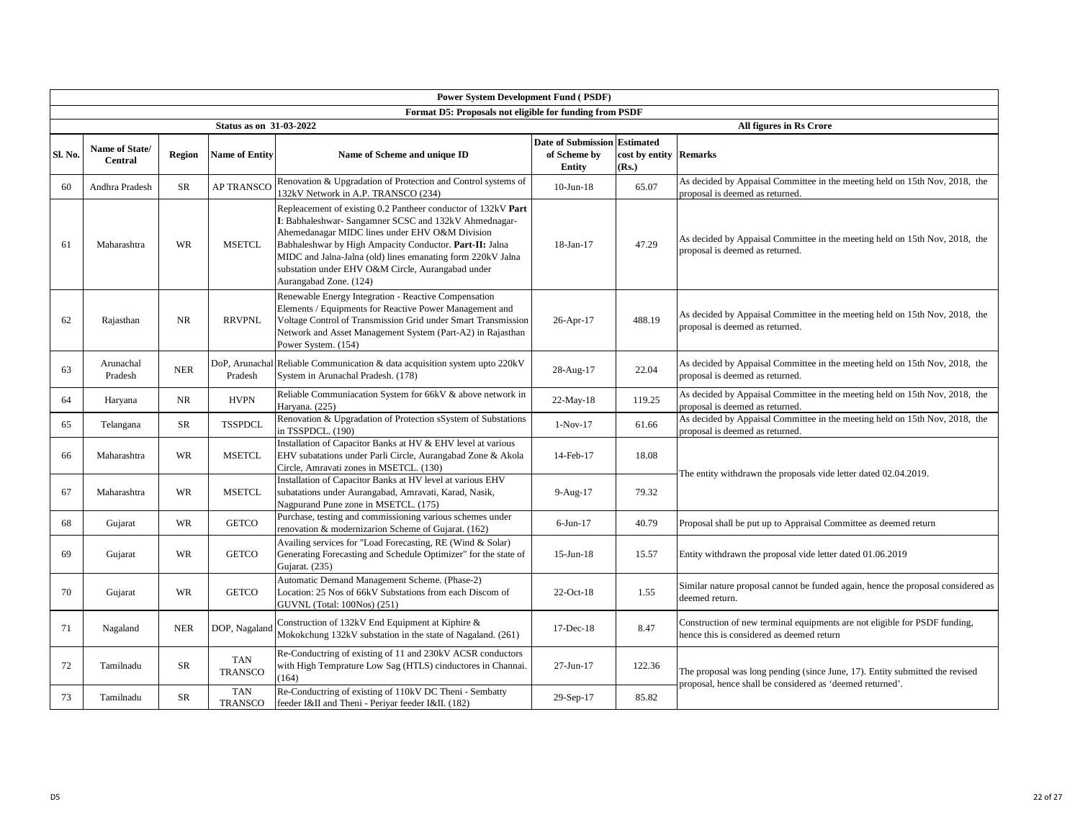|         | <b>Power System Development Fund (PSDF)</b> |               |                                |                                                                                                                                                                                                                                                                                                                                                                                   |                                                               |                                 |                                                                                                                         |  |  |  |  |  |
|---------|---------------------------------------------|---------------|--------------------------------|-----------------------------------------------------------------------------------------------------------------------------------------------------------------------------------------------------------------------------------------------------------------------------------------------------------------------------------------------------------------------------------|---------------------------------------------------------------|---------------------------------|-------------------------------------------------------------------------------------------------------------------------|--|--|--|--|--|
|         |                                             |               |                                | Format D5: Proposals not eligible for funding from PSDF                                                                                                                                                                                                                                                                                                                           |                                                               |                                 |                                                                                                                         |  |  |  |  |  |
|         |                                             |               | <b>Status as on 31-03-2022</b> |                                                                                                                                                                                                                                                                                                                                                                                   |                                                               |                                 | All figures in Rs Crore                                                                                                 |  |  |  |  |  |
| Sl. No. | Name of State/<br><b>Central</b>            | <b>Region</b> | <b>Name of Entity</b>          | Name of Scheme and unique ID                                                                                                                                                                                                                                                                                                                                                      | <b>Date of Submission Estimated</b><br>of Scheme by<br>Entity | cost by entity Remarks<br>(Rs.) |                                                                                                                         |  |  |  |  |  |
| 60      | Andhra Pradesh                              | SR            | <b>AP TRANSCO</b>              | Renovation & Upgradation of Protection and Control systems of<br>132kV Network in A.P. TRANSCO (234)                                                                                                                                                                                                                                                                              | $10$ -Jun- $18$                                               | 65.07                           | As decided by Appaisal Committee in the meeting held on 15th Nov, 2018, the<br>proposal is deemed as returned.          |  |  |  |  |  |
| 61      | Maharashtra                                 | WR            | <b>MSETCL</b>                  | Repleacement of existing 0.2 Pantheer conductor of 132kV Part<br>I: Babhaleshwar- Sangamner SCSC and 132kV Ahmednagar-<br>Ahemedanagar MIDC lines under EHV O&M Division<br>Babhaleshwar by High Ampacity Conductor. Part-II: Jalna<br>MIDC and Jalna-Jalna (old) lines emanating form 220kV Jalna<br>substation under EHV O&M Circle, Aurangabad under<br>Aurangabad Zone. (124) | 18-Jan-17                                                     | 47.29                           | As decided by Appaisal Committee in the meeting held on 15th Nov, 2018, the<br>proposal is deemed as returned.          |  |  |  |  |  |
| 62      | Rajasthan                                   | NR            | <b>RRVPNL</b>                  | Renewable Energy Integration - Reactive Compensation<br>Elements / Equipments for Reactive Power Management and<br>Voltage Control of Transmission Grid under Smart Transmission<br>Network and Asset Management System (Part-A2) in Rajasthan<br>Power System. (154)                                                                                                             | 26-Apr-17                                                     | 488.19                          | As decided by Appaisal Committee in the meeting held on 15th Nov, 2018, the<br>proposal is deemed as returned.          |  |  |  |  |  |
| 63      | Arunachal<br>Pradesh                        | ${\sf NER}$   | Pradesh                        | DoP, Arunachal Reliable Communication & data acquisition system upto 220kV<br>System in Arunachal Pradesh. (178)                                                                                                                                                                                                                                                                  | 28-Aug-17                                                     | 22.04                           | As decided by Appaisal Committee in the meeting held on 15th Nov, 2018, the<br>proposal is deemed as returned.          |  |  |  |  |  |
| 64      | Haryana                                     | <b>NR</b>     | <b>HVPN</b>                    | Reliable Communiacation System for 66kV & above network in<br>Haryana. (225)                                                                                                                                                                                                                                                                                                      | 22-May-18                                                     | 119.25                          | As decided by Appaisal Committee in the meeting held on 15th Nov, 2018, the<br>proposal is deemed as returned.          |  |  |  |  |  |
| 65      | Telangana                                   | SR            | <b>TSSPDCL</b>                 | Renovation & Upgradation of Protection sSystem of Substations<br>in TSSPDCL. (190)                                                                                                                                                                                                                                                                                                | $1-Nov-17$                                                    | 61.66                           | As decided by Appaisal Committee in the meeting held on 15th Nov, 2018, the<br>proposal is deemed as returned.          |  |  |  |  |  |
| 66      | Maharashtra                                 | WR            | <b>MSETCL</b>                  | Installation of Capacitor Banks at HV & EHV level at various<br>EHV subatations under Parli Circle, Aurangabad Zone & Akola<br>Circle, Amravati zones in MSETCL. (130)                                                                                                                                                                                                            | 14-Feb-17                                                     | 18.08                           | The entity withdrawn the proposals vide letter dated 02.04.2019.                                                        |  |  |  |  |  |
| 67      | Maharashtra                                 | <b>WR</b>     | <b>MSETCL</b>                  | Installation of Capacitor Banks at HV level at various EHV<br>subatations under Aurangabad, Amravati, Karad, Nasik,<br>Nagpurand Pune zone in MSETCL. (175)                                                                                                                                                                                                                       | $9-Aug-17$                                                    | 79.32                           |                                                                                                                         |  |  |  |  |  |
| 68      | Gujarat                                     | WR            | <b>GETCO</b>                   | Purchase, testing and commissioning various schemes under<br>renovation & modernizarion Scheme of Gujarat. (162)                                                                                                                                                                                                                                                                  | $6-Jun-17$                                                    | 40.79                           | Proposal shall be put up to Appraisal Committee as deemed return                                                        |  |  |  |  |  |
| 69      | Gujarat                                     | WR            | <b>GETCO</b>                   | Availing services for "Load Forecasting, RE (Wind & Solar)<br>Generating Forecasting and Schedule Optimizer" for the state of<br>Gujarat. (235)                                                                                                                                                                                                                                   | $15$ -Jun- $18$                                               | 15.57                           | Entity withdrawn the proposal vide letter dated 01.06.2019                                                              |  |  |  |  |  |
| 70      | Gujarat                                     | <b>WR</b>     | <b>GETCO</b>                   | Automatic Demand Management Scheme. (Phase-2)<br>Location: 25 Nos of 66kV Substations from each Discom of<br>GUVNL (Total: 100Nos) (251)                                                                                                                                                                                                                                          | $22$ -Oct-18                                                  | 1.55                            | Similar nature proposal cannot be funded again, hence the proposal considered as<br>deemed return.                      |  |  |  |  |  |
| 71      | Nagaland                                    | <b>NER</b>    | DOP, Nagaland                  | Construction of 132kV End Equipment at Kiphire &<br>Mokokchung 132kV substation in the state of Nagaland. (261)                                                                                                                                                                                                                                                                   | 17-Dec-18                                                     | 8.47                            | Construction of new terminal equipments are not eligible for PSDF funding,<br>hence this is considered as deemed return |  |  |  |  |  |
| 72      | Tamilnadu                                   | SR            | <b>TAN</b><br><b>TRANSCO</b>   | Re-Conductring of existing of 11 and 230kV ACSR conductors<br>with High Temprature Low Sag (HTLS) cinductores in Channai.<br>(164)                                                                                                                                                                                                                                                | $27 - Jun - 17$                                               | 122.36                          | The proposal was long pending (since June, 17). Entity submitted the revised                                            |  |  |  |  |  |
| 73      | Tamilnadu                                   | <b>SR</b>     | <b>TAN</b><br><b>TRANSCO</b>   | Re-Conductring of existing of 110kV DC Theni - Sembatty<br>feeder I&II and Theni - Periyar feeder I&II. (182)                                                                                                                                                                                                                                                                     | 29-Sep-17                                                     | 85.82                           | proposal, hence shall be considered as 'deemed returned'.                                                               |  |  |  |  |  |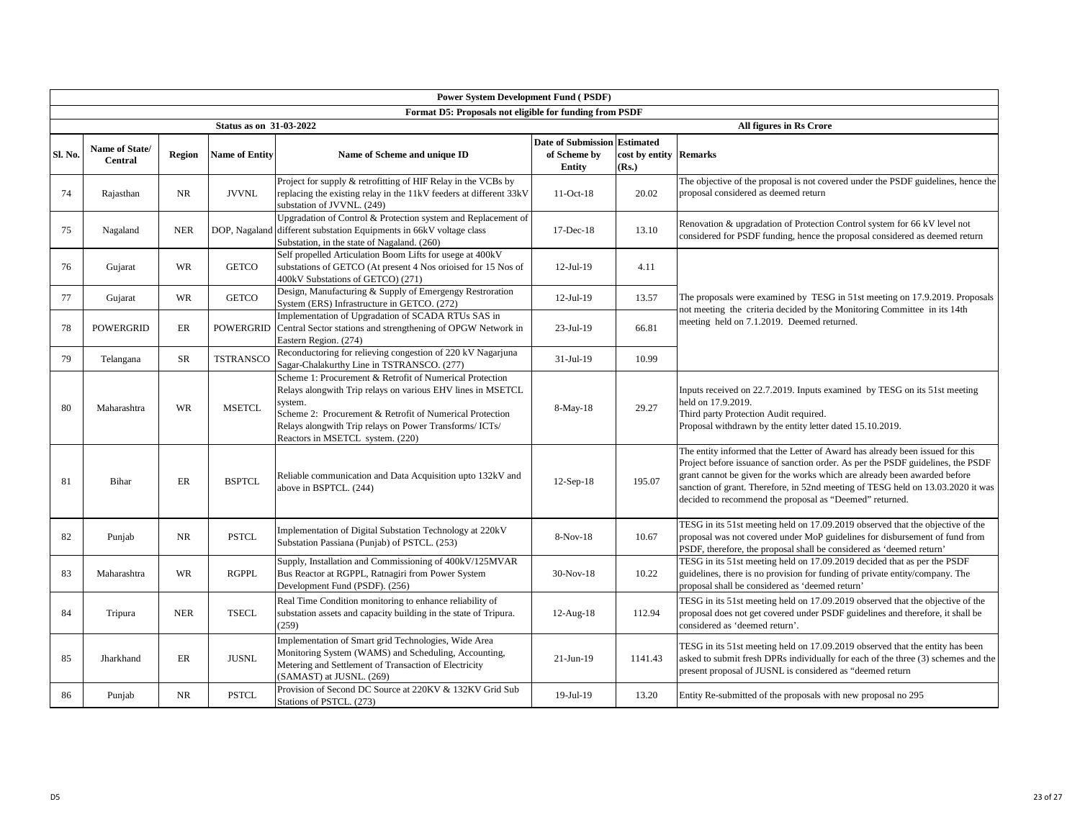|         | <b>Power System Development Fund (PSDF)</b> |               |                                |                                                                                                                                                                                                                                                                                               |                                                                      |                                 |                                                                                                                                                                                                                                                                                                                                                                                             |  |  |  |  |  |
|---------|---------------------------------------------|---------------|--------------------------------|-----------------------------------------------------------------------------------------------------------------------------------------------------------------------------------------------------------------------------------------------------------------------------------------------|----------------------------------------------------------------------|---------------------------------|---------------------------------------------------------------------------------------------------------------------------------------------------------------------------------------------------------------------------------------------------------------------------------------------------------------------------------------------------------------------------------------------|--|--|--|--|--|
|         |                                             |               |                                | Format D5: Proposals not eligible for funding from PSDF                                                                                                                                                                                                                                       |                                                                      |                                 |                                                                                                                                                                                                                                                                                                                                                                                             |  |  |  |  |  |
|         |                                             |               | <b>Status as on 31-03-2022</b> |                                                                                                                                                                                                                                                                                               |                                                                      |                                 | All figures in Rs Crore                                                                                                                                                                                                                                                                                                                                                                     |  |  |  |  |  |
| Sl. No. | Name of State/<br><b>Central</b>            | <b>Region</b> | <b>Name of Entity</b>          | Name of Scheme and unique ID                                                                                                                                                                                                                                                                  | <b>Date of Submission Estimated</b><br>of Scheme by<br><b>Entity</b> | cost by entity Remarks<br>(Rs.) |                                                                                                                                                                                                                                                                                                                                                                                             |  |  |  |  |  |
| 74      | Rajasthan                                   | <b>NR</b>     | <b>JVVNL</b>                   | Project for supply & retrofitting of HIF Relay in the VCBs by<br>replacing the existing relay in the 11kV feeders at different 33kV<br>substation of JVVNL. (249)                                                                                                                             | 11-Oct-18                                                            | 20.02                           | The objective of the proposal is not covered under the PSDF guidelines, hence the<br>proposal considered as deemed return                                                                                                                                                                                                                                                                   |  |  |  |  |  |
| 75      | Nagaland                                    | <b>NER</b>    |                                | Upgradation of Control & Protection system and Replacement of<br>DOP, Nagaland different substation Equipments in 66kV voltage class<br>Substation, in the state of Nagaland. (260)                                                                                                           | 17-Dec-18                                                            | 13.10                           | Renovation & upgradation of Protection Control system for 66 kV level not<br>considered for PSDF funding, hence the proposal considered as deemed return                                                                                                                                                                                                                                    |  |  |  |  |  |
| 76      | Gujarat                                     | WR            | <b>GETCO</b>                   | Self propelled Articulation Boom Lifts for usege at 400kV<br>substations of GETCO (At present 4 Nos orioised for 15 Nos of<br>400kV Substations of GETCO) (271)                                                                                                                               | $12-Jul-19$                                                          | 4.11                            |                                                                                                                                                                                                                                                                                                                                                                                             |  |  |  |  |  |
| 77      | Gujarat                                     | WR            | <b>GETCO</b>                   | Design, Manufacturing & Supply of Emergengy Restroration<br>System (ERS) Infrastructure in GETCO. (272)                                                                                                                                                                                       | 12-Jul-19                                                            | 13.57                           | The proposals were examined by TESG in 51st meeting on 17.9.2019. Proposals<br>not meeting the criteria decided by the Monitoring Committee in its 14th                                                                                                                                                                                                                                     |  |  |  |  |  |
| 78      | <b>POWERGRID</b>                            | ER            | <b>POWERGRID</b>               | Implementation of Upgradation of SCADA RTUs SAS in<br>Central Sector stations and strengthening of OPGW Network in<br>Eastern Region. (274)                                                                                                                                                   | 23-Jul-19                                                            | 66.81                           | meeting held on 7.1.2019. Deemed returned.                                                                                                                                                                                                                                                                                                                                                  |  |  |  |  |  |
| 79      | Telangana                                   | SR            | <b>TSTRANSCO</b>               | Reconductoring for relieving congestion of 220 kV Nagarjuna<br>Sagar-Chalakurthy Line in TSTRANSCO. (277)                                                                                                                                                                                     | 31-Jul-19                                                            | 10.99                           |                                                                                                                                                                                                                                                                                                                                                                                             |  |  |  |  |  |
| 80      | Maharashtra                                 | WR            | <b>MSETCL</b>                  | Scheme 1: Procurement & Retrofit of Numerical Protection<br>Relays alongwith Trip relays on various EHV lines in MSETCL<br>system.<br>Scheme 2: Procurement & Retrofit of Numerical Protection<br>Relays alongwith Trip relays on Power Transforms/ ICTs/<br>Reactors in MSETCL system. (220) | 8-May-18                                                             | 29.27                           | Inputs received on 22.7.2019. Inputs examined by TESG on its 51st meeting<br>held on 17.9.2019.<br>Third party Protection Audit required.<br>Proposal withdrawn by the entity letter dated 15.10.2019.                                                                                                                                                                                      |  |  |  |  |  |
| 81      | Bihar                                       | ER            | <b>BSPTCL</b>                  | Reliable communication and Data Acquisition upto 132kV and<br>above in BSPTCL. (244)                                                                                                                                                                                                          | $12-Sep-18$                                                          | 195.07                          | The entity informed that the Letter of Award has already been issued for this<br>Project before issuance of sanction order. As per the PSDF guidelines, the PSDF<br>grant cannot be given for the works which are already been awarded before<br>sanction of grant. Therefore, in 52nd meeting of TESG held on 13.03.2020 it was<br>decided to recommend the proposal as "Deemed" returned. |  |  |  |  |  |
| 82      | Punjab                                      | NR            | <b>PSTCL</b>                   | Implementation of Digital Substation Technology at 220kV<br>Substation Passiana (Punjab) of PSTCL. (253)                                                                                                                                                                                      | 8-Nov-18                                                             | 10.67                           | TESG in its 51st meeting held on 17.09.2019 observed that the objective of the<br>proposal was not covered under MoP guidelines for disbursement of fund from<br>PSDF, therefore, the proposal shall be considered as 'deemed return'                                                                                                                                                       |  |  |  |  |  |
| 83      | Maharashtra                                 | <b>WR</b>     | <b>RGPPL</b>                   | Supply, Installation and Commissioning of 400kV/125MVAR<br>Bus Reactor at RGPPL, Ratnagiri from Power System<br>Development Fund (PSDF). (256)                                                                                                                                                | $30-Nov-18$                                                          | 10.22                           | TESG in its 51st meeting held on 17.09.2019 decided that as per the PSDF<br>guidelines, there is no provision for funding of private entity/company. The<br>proposal shall be considered as 'deemed return'                                                                                                                                                                                 |  |  |  |  |  |
| 84      | Tripura                                     | <b>NER</b>    | <b>TSECL</b>                   | Real Time Condition monitoring to enhance reliability of<br>substation assets and capacity building in the state of Tripura.<br>(259)                                                                                                                                                         | $12$ -Aug- $18$                                                      | 112.94                          | TESG in its 51st meeting held on 17.09.2019 observed that the objective of the<br>proposal does not get covered under PSDF guidelines and therefore, it shall be<br>considered as 'deemed return'.                                                                                                                                                                                          |  |  |  |  |  |
| 85      | Jharkhand                                   | ER            | <b>JUSNL</b>                   | Implementation of Smart grid Technologies, Wide Area<br>Monitoring System (WAMS) and Scheduling, Accounting,<br>Metering and Settlement of Transaction of Electricity<br>(SAMAST) at JUSNL. (269)                                                                                             | $21-Jun-19$                                                          | 1141.43                         | TESG in its 51st meeting held on 17.09.2019 observed that the entity has been<br>asked to submit fresh DPRs individually for each of the three (3) schemes and the<br>present proposal of JUSNL is considered as "deemed return                                                                                                                                                             |  |  |  |  |  |
| 86      | Punjab                                      | <b>NR</b>     | <b>PSTCL</b>                   | Provision of Second DC Source at 220KV & 132KV Grid Sub<br>Stations of PSTCL. (273)                                                                                                                                                                                                           | 19-Jul-19                                                            | 13.20                           | Entity Re-submitted of the proposals with new proposal no 295                                                                                                                                                                                                                                                                                                                               |  |  |  |  |  |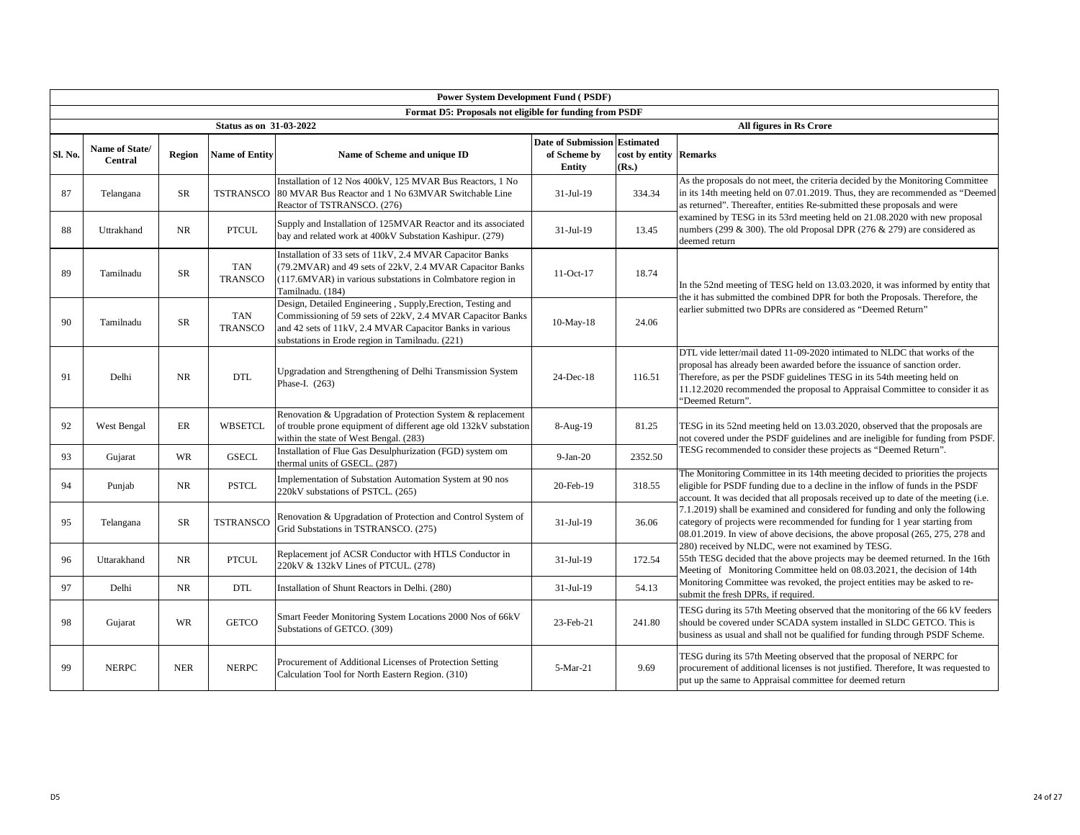|         | <b>Power System Development Fund (PSDF)</b><br>Format D5: Proposals not eligible for funding from PSDF |               |                                                         |                                                                                                                                                                                                                                          |                                                               |                                 |                                                                                                                                                                                                                                                                                                                                     |  |  |  |  |  |
|---------|--------------------------------------------------------------------------------------------------------|---------------|---------------------------------------------------------|------------------------------------------------------------------------------------------------------------------------------------------------------------------------------------------------------------------------------------------|---------------------------------------------------------------|---------------------------------|-------------------------------------------------------------------------------------------------------------------------------------------------------------------------------------------------------------------------------------------------------------------------------------------------------------------------------------|--|--|--|--|--|
|         |                                                                                                        |               |                                                         |                                                                                                                                                                                                                                          |                                                               |                                 |                                                                                                                                                                                                                                                                                                                                     |  |  |  |  |  |
| Sl. No. | Name of State/<br><b>Central</b>                                                                       | <b>Region</b> | <b>Status as on 31-03-2022</b><br><b>Name of Entity</b> | Name of Scheme and unique ID                                                                                                                                                                                                             | <b>Date of Submission Estimated</b><br>of Scheme by<br>Entity | cost by entity Remarks<br>(Rs.) | All figures in Rs Crore                                                                                                                                                                                                                                                                                                             |  |  |  |  |  |
| 87      | Telangana                                                                                              | SR            | <b>TSTRANSCO</b>                                        | Installation of 12 Nos 400kV, 125 MVAR Bus Reactors, 1 No<br>80 MVAR Bus Reactor and 1 No 63MVAR Switchable Line<br>Reactor of TSTRANSCO. (276)                                                                                          | 31-Jul-19                                                     | 334.34                          | As the proposals do not meet, the criteria decided by the Monitoring Committee<br>in its 14th meeting held on 07.01.2019. Thus, they are recommended as "Deemed<br>as returned". Thereafter, entities Re-submitted these proposals and were                                                                                         |  |  |  |  |  |
| 88      | Uttrakhand                                                                                             | NR            | <b>PTCUL</b>                                            | Supply and Installation of 125MVAR Reactor and its associated<br>bay and related work at 400kV Substation Kashipur. (279)                                                                                                                | 31-Jul-19                                                     | 13.45                           | examined by TESG in its 53rd meeting held on 21.08.2020 with new proposal<br>numbers (299 & 300). The old Proposal DPR (276 & 279) are considered as<br>deemed return                                                                                                                                                               |  |  |  |  |  |
| 89      | Tamilnadu                                                                                              | <b>SR</b>     | <b>TAN</b><br><b>TRANSCO</b>                            | Installation of 33 sets of 11kV, 2.4 MVAR Capacitor Banks<br>(79.2MVAR) and 49 sets of 22kV, 2.4 MVAR Capacitor Banks<br>(117.6MVAR) in various substations in Colmbatore region in<br>Tamilnadu. (184)                                  | 11-Oct-17                                                     | 18.74                           | In the 52nd meeting of TESG held on 13.03.2020, it was informed by entity that                                                                                                                                                                                                                                                      |  |  |  |  |  |
| 90      | Tamilnadu                                                                                              | SR            | <b>TAN</b><br><b>TRANSCO</b>                            | Design, Detailed Engineering, Supply, Erection, Testing and<br>Commissioning of 59 sets of 22kV, 2.4 MVAR Capacitor Banks<br>and 42 sets of 11kV, 2.4 MVAR Capacitor Banks in various<br>substations in Erode region in Tamilnadu. (221) | $10-May-18$                                                   | 24.06                           | the it has submitted the combined DPR for both the Proposals. Therefore, the<br>earlier submitted two DPRs are considered as "Deemed Return"                                                                                                                                                                                        |  |  |  |  |  |
| 91      | Delhi                                                                                                  | <b>NR</b>     | <b>DTL</b>                                              | Upgradation and Strengthening of Delhi Transmission System<br>Phase-I. (263)                                                                                                                                                             | 24-Dec-18                                                     | 116.51                          | DTL vide letter/mail dated 11-09-2020 intimated to NLDC that works of the<br>proposal has already been awarded before the issuance of sanction order.<br>Therefore, as per the PSDF guidelines TESG in its 54th meeting held on<br>11.12.2020 recommended the proposal to Appraisal Committee to consider it as<br>"Deemed Return". |  |  |  |  |  |
| 92      | West Bengal                                                                                            | ER            | <b>WBSETCL</b>                                          | Renovation & Upgradation of Protection System & replacement<br>of trouble prone equipment of different age old 132kV substation<br>within the state of West Bengal. (283)                                                                | $8-Aug-19$                                                    | 81.25                           | TESG in its 52nd meeting held on 13.03.2020, observed that the proposals are<br>not covered under the PSDF guidelines and are ineligible for funding from PSDF.                                                                                                                                                                     |  |  |  |  |  |
| 93      | Gujarat                                                                                                | WR            | <b>GSECL</b>                                            | Installation of Flue Gas Desulphurization (FGD) system om<br>thermal units of GSECL. (287)                                                                                                                                               | $9-Ian-20$                                                    | 2352.50                         | TESG recommended to consider these projects as "Deemed Return".                                                                                                                                                                                                                                                                     |  |  |  |  |  |
| 94      | Punjab                                                                                                 | <b>NR</b>     | <b>PSTCL</b>                                            | Implementation of Substation Automation System at 90 nos<br>220kV substations of PSTCL. (265)                                                                                                                                            | 20-Feb-19                                                     | 318.55                          | The Monitoring Committee in its 14th meeting decided to priorities the projects<br>eligible for PSDF funding due to a decline in the inflow of funds in the PSDF<br>account. It was decided that all proposals received up to date of the meeting (i.e.                                                                             |  |  |  |  |  |
| 95      | Telangana                                                                                              | <b>SR</b>     | <b>TSTRANSCO</b>                                        | Renovation & Upgradation of Protection and Control System of<br>Grid Substations in TSTRANSCO. (275)                                                                                                                                     | 31-Jul-19                                                     | 36.06                           | 7.1.2019) shall be examined and considered for funding and only the following<br>category of projects were recommended for funding for 1 year starting from<br>08.01.2019. In view of above decisions, the above proposal (265, 275, 278 and                                                                                        |  |  |  |  |  |
| 96      | Uttarakhand                                                                                            | NR            | <b>PTCUL</b>                                            | Replacement jof ACSR Conductor with HTLS Conductor in<br>220kV & 132kV Lines of PTCUL. (278)                                                                                                                                             | 31-Jul-19                                                     | 172.54                          | 280) received by NLDC, were not examined by TESG.<br>55th TESG decided that the above projects may be deemed returned. In the 16th<br>Meeting of Monitoring Committee held on 08.03.2021, the decision of 14th                                                                                                                      |  |  |  |  |  |
| 97      | Delhi                                                                                                  | NR            | <b>DTL</b>                                              | Installation of Shunt Reactors in Delhi. (280)                                                                                                                                                                                           | 31-Jul-19                                                     | 54.13                           | Monitoring Committee was revoked, the project entities may be asked to re-<br>submit the fresh DPRs, if required.                                                                                                                                                                                                                   |  |  |  |  |  |
| 98      | Gujarat                                                                                                | WR            | <b>GETCO</b>                                            | Smart Feeder Monitoring System Locations 2000 Nos of 66kV<br>Substations of GETCO. (309)                                                                                                                                                 | 23-Feb-21                                                     | 241.80                          | TESG during its 57th Meeting observed that the monitoring of the 66 kV feeders<br>should be covered under SCADA system installed in SLDC GETCO. This is<br>business as usual and shall not be qualified for funding through PSDF Scheme.                                                                                            |  |  |  |  |  |
| 99      | <b>NERPC</b>                                                                                           | <b>NER</b>    | <b>NERPC</b>                                            | Procurement of Additional Licenses of Protection Setting<br>Calculation Tool for North Eastern Region. (310)                                                                                                                             | 5-Mar-21                                                      | 9.69                            | TESG during its 57th Meeting observed that the proposal of NERPC for<br>procurement of additional licenses is not justified. Therefore, It was requested to<br>put up the same to Appraisal committee for deemed return                                                                                                             |  |  |  |  |  |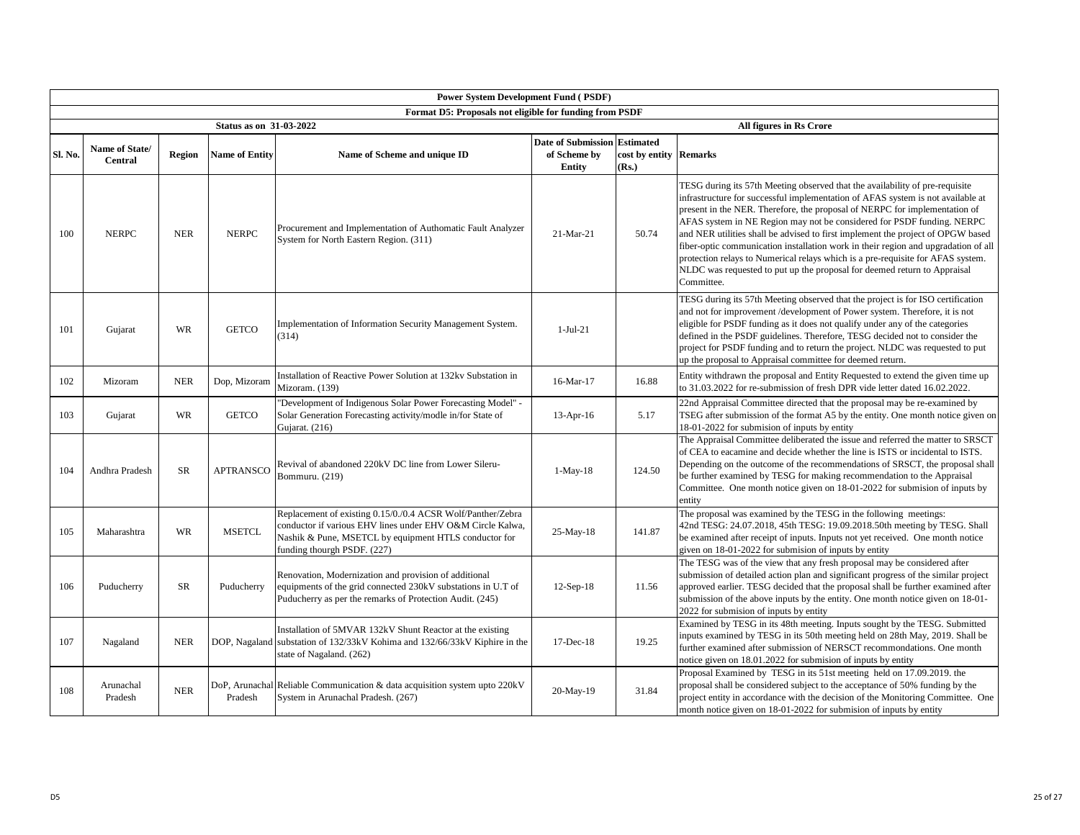| <b>Power System Development Fund (PSDF)</b>             |                                  |            |                                |                                                                                                                                                                                                                   |                                                                      |                                 |                                                                                                                                                                                                                                                                                                                                                                                                                                                                                                                                                                                                                                                                               |  |  |  |  |
|---------------------------------------------------------|----------------------------------|------------|--------------------------------|-------------------------------------------------------------------------------------------------------------------------------------------------------------------------------------------------------------------|----------------------------------------------------------------------|---------------------------------|-------------------------------------------------------------------------------------------------------------------------------------------------------------------------------------------------------------------------------------------------------------------------------------------------------------------------------------------------------------------------------------------------------------------------------------------------------------------------------------------------------------------------------------------------------------------------------------------------------------------------------------------------------------------------------|--|--|--|--|
| Format D5: Proposals not eligible for funding from PSDF |                                  |            |                                |                                                                                                                                                                                                                   |                                                                      |                                 |                                                                                                                                                                                                                                                                                                                                                                                                                                                                                                                                                                                                                                                                               |  |  |  |  |
|                                                         |                                  |            | <b>Status as on 31-03-2022</b> |                                                                                                                                                                                                                   |                                                                      |                                 | All figures in Rs Crore                                                                                                                                                                                                                                                                                                                                                                                                                                                                                                                                                                                                                                                       |  |  |  |  |
| Sl. No.                                                 | Name of State/<br><b>Central</b> | Region     | <b>Name of Entity</b>          | Name of Scheme and unique ID                                                                                                                                                                                      | <b>Date of Submission Estimated</b><br>of Scheme by<br><b>Entity</b> | cost by entity Remarks<br>(Rs.) |                                                                                                                                                                                                                                                                                                                                                                                                                                                                                                                                                                                                                                                                               |  |  |  |  |
| 100                                                     | <b>NERPC</b>                     | <b>NER</b> | <b>NERPC</b>                   | Procurement and Implementation of Authomatic Fault Analyzer<br>System for North Eastern Region. (311)                                                                                                             | 21-Mar-21                                                            | 50.74                           | TESG during its 57th Meeting observed that the availability of pre-requisite<br>infrastructure for successful implementation of AFAS system is not available at<br>present in the NER. Therefore, the proposal of NERPC for implementation of<br>AFAS system in NE Region may not be considered for PSDF funding. NERPC<br>and NER utilities shall be advised to first implement the project of OPGW based<br>fiber-optic communication installation work in their region and upgradation of all<br>protection relays to Numerical relays which is a pre-requisite for AFAS system.<br>NLDC was requested to put up the proposal for deemed return to Appraisal<br>Committee. |  |  |  |  |
| 101                                                     | Gujarat                          | <b>WR</b>  | <b>GETCO</b>                   | Implementation of Information Security Management System.<br>(314)                                                                                                                                                | $1-Jul-21$                                                           |                                 | TESG during its 57th Meeting observed that the project is for ISO certification<br>and not for improvement /development of Power system. Therefore, it is not<br>eligible for PSDF funding as it does not qualify under any of the categories<br>defined in the PSDF guidelines. Therefore, TESG decided not to consider the<br>project for PSDF funding and to return the project. NLDC was requested to put<br>up the proposal to Appraisal committee for deemed return.                                                                                                                                                                                                    |  |  |  |  |
| 102                                                     | Mizoram                          | <b>NER</b> | Dop, Mizoram                   | Installation of Reactive Power Solution at 132kv Substation in<br>Mizoram. (139)                                                                                                                                  | 16-Mar-17                                                            | 16.88                           | Entity withdrawn the proposal and Entity Requested to extend the given time up<br>to 31.03.2022 for re-submission of fresh DPR vide letter dated 16.02.2022.                                                                                                                                                                                                                                                                                                                                                                                                                                                                                                                  |  |  |  |  |
| 103                                                     | Gujarat                          | <b>WR</b>  | <b>GETCO</b>                   | "Development of Indigenous Solar Power Forecasting Model" -<br>Solar Generation Forecasting activity/modle in/for State of<br>Gujarat. (216)                                                                      | $13-Apr-16$                                                          | 5.17                            | 22nd Appraisal Committee directed that the proposal may be re-examined by<br>TSEG after submission of the format A5 by the entity. One month notice given on<br>18-01-2022 for submision of inputs by entity                                                                                                                                                                                                                                                                                                                                                                                                                                                                  |  |  |  |  |
| 104                                                     | Andhra Pradesh                   | <b>SR</b>  | <b>APTRANSCO</b>               | Revival of abandoned 220kV DC line from Lower Sileru-<br>Bommuru, (219)                                                                                                                                           | $1-May-18$                                                           | 124.50                          | The Appraisal Committee deliberated the issue and referred the matter to SRSCT<br>of CEA to eacamine and decide whether the line is ISTS or incidental to ISTS.<br>Depending on the outcome of the recommendations of SRSCT, the proposal shall<br>be further examined by TESG for making recommendation to the Appraisal<br>Committee. One month notice given on 18-01-2022 for submision of inputs by<br>entity                                                                                                                                                                                                                                                             |  |  |  |  |
| 105                                                     | Maharashtra                      | WR         | <b>MSETCL</b>                  | Replacement of existing 0.15/0./0.4 ACSR Wolf/Panther/Zebra<br>conductor if various EHV lines under EHV O&M Circle Kalwa,<br>Nashik & Pune, MSETCL by equipment HTLS conductor for<br>funding thourgh PSDF. (227) | 25-May-18                                                            | 141.87                          | The proposal was examined by the TESG in the following meetings:<br>42nd TESG: 24.07.2018, 45th TESG: 19.09.2018.50th meeting by TESG. Shall<br>be examined after receipt of inputs. Inputs not yet received. One month notice<br>given on 18-01-2022 for submision of inputs by entity                                                                                                                                                                                                                                                                                                                                                                                       |  |  |  |  |
| 106                                                     | Puducherry                       | SR         | Puducherry                     | Renovation, Modernization and provision of additional<br>equipments of the grid connected 230kV substations in U.T of<br>Puducherry as per the remarks of Protection Audit. (245)                                 | $12-Sep-18$                                                          | 11.56                           | The TESG was of the view that any fresh proposal may be considered after<br>submission of detailed action plan and significant progress of the similar project<br>approved earlier. TESG decided that the proposal shall be further examined after<br>submission of the above inputs by the entity. One month notice given on 18-01-<br>2022 for submision of inputs by entity                                                                                                                                                                                                                                                                                                |  |  |  |  |
| 107                                                     | Nagaland                         | <b>NER</b> |                                | Installation of 5MVAR 132kV Shunt Reactor at the existing<br>DOP, Nagaland substation of 132/33kV Kohima and 132/66/33kV Kiphire in the<br>state of Nagaland. (262)                                               | 17-Dec-18                                                            | 19.25                           | Examined by TESG in its 48th meeting. Inputs sought by the TESG. Submitted<br>inputs examined by TESG in its 50th meeting held on 28th May, 2019. Shall be<br>further examined after submission of NERSCT recommondations. One month<br>notice given on 18.01.2022 for submision of inputs by entity                                                                                                                                                                                                                                                                                                                                                                          |  |  |  |  |
| 108                                                     | Arunachal<br>Pradesh             | <b>NER</b> | Pradesh                        | DoP, Arunachal Reliable Communication & data acquisition system upto 220kV<br>System in Arunachal Pradesh. (267)                                                                                                  | 20-May-19                                                            | 31.84                           | Proposal Examined by TESG in its 51st meeting held on 17.09.2019. the<br>proposal shall be considered subject to the acceptance of 50% funding by the<br>project entity in accordance with the decision of the Monitoring Committee. One<br>month notice given on 18-01-2022 for submision of inputs by entity                                                                                                                                                                                                                                                                                                                                                                |  |  |  |  |